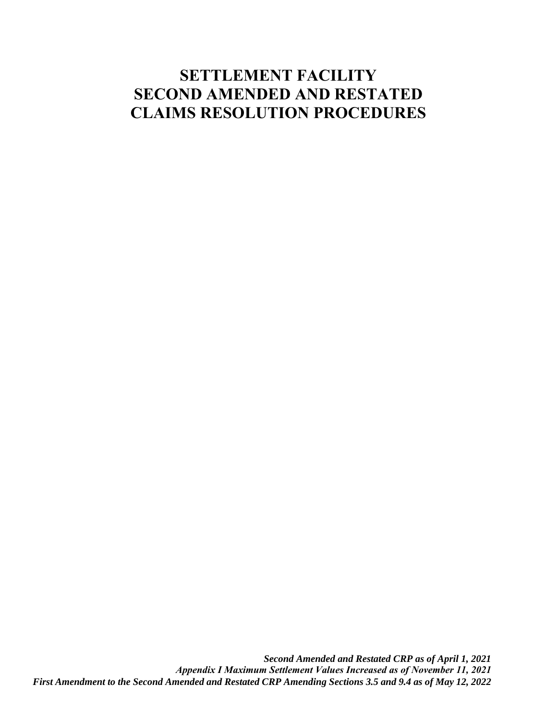# **SETTLEMENT FACILITY SECOND AMENDED AND RESTATED CLAIMS RESOLUTION PROCEDURES**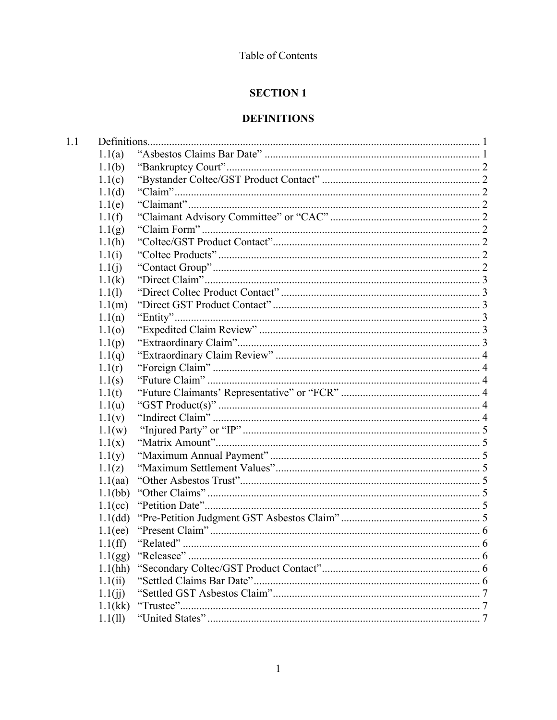### Table of Contents

# **SECTION 1**

# **DEFINITIONS**

| 1.1(a)     |                                                                                                                                                     |  |
|------------|-----------------------------------------------------------------------------------------------------------------------------------------------------|--|
| 1.1(b)     |                                                                                                                                                     |  |
| 1.1(c)     |                                                                                                                                                     |  |
| 1.1(d)     |                                                                                                                                                     |  |
| 1.1(e)     |                                                                                                                                                     |  |
| 1.1(f)     |                                                                                                                                                     |  |
| 1.1(g)     |                                                                                                                                                     |  |
| 1.1(h)     |                                                                                                                                                     |  |
|            |                                                                                                                                                     |  |
|            |                                                                                                                                                     |  |
| 1.1(k)     |                                                                                                                                                     |  |
|            |                                                                                                                                                     |  |
|            |                                                                                                                                                     |  |
|            |                                                                                                                                                     |  |
|            |                                                                                                                                                     |  |
|            |                                                                                                                                                     |  |
|            |                                                                                                                                                     |  |
| 1.1(r)     |                                                                                                                                                     |  |
|            |                                                                                                                                                     |  |
| 1.1(t)     |                                                                                                                                                     |  |
| 1.1(u)     |                                                                                                                                                     |  |
|            |                                                                                                                                                     |  |
|            |                                                                                                                                                     |  |
|            |                                                                                                                                                     |  |
|            |                                                                                                                                                     |  |
|            |                                                                                                                                                     |  |
| 1.1(aa)    |                                                                                                                                                     |  |
| 1.1(bb)    |                                                                                                                                                     |  |
| $1.1$ (cc) |                                                                                                                                                     |  |
| 1.1(dd)    |                                                                                                                                                     |  |
| 1.1(ee)    |                                                                                                                                                     |  |
|            |                                                                                                                                                     |  |
| 1.1(gg)    |                                                                                                                                                     |  |
| 1.1(hh)    |                                                                                                                                                     |  |
| 1.1(ii)    |                                                                                                                                                     |  |
| 1.1(ij)    |                                                                                                                                                     |  |
| 1.1(kk)    |                                                                                                                                                     |  |
| 1.1(11)    |                                                                                                                                                     |  |
|            | 1.1(i)<br>1.1(j)<br>1.1(1)<br>1.1(m)<br>1.1(n)<br>1.1(0)<br>1.1(p)<br>1.1(q)<br>1.1(s)<br>1.1(v)<br>1.1(w)<br>1.1(x)<br>1.1(y)<br>1.1(z)<br>1.1(ff) |  |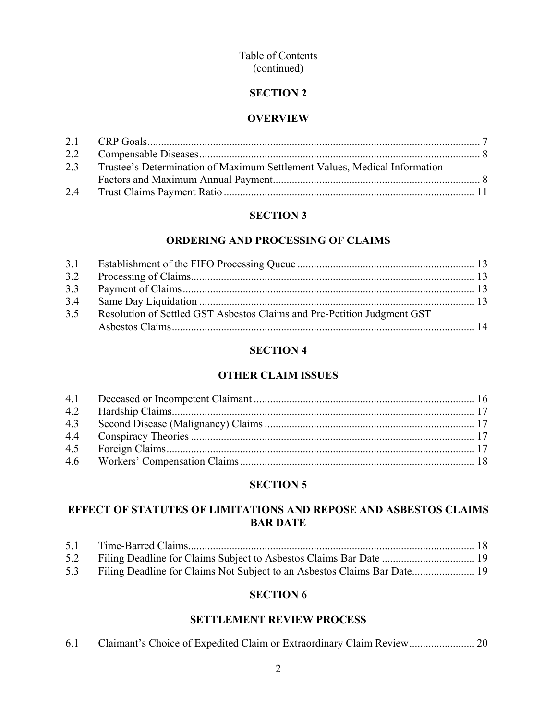### Table of Contents (continued)

### **SECTION 2**

### **OVERVIEW**

| 2.3 Trustee's Determination of Maximum Settlement Values, Medical Information |  |
|-------------------------------------------------------------------------------|--|
|                                                                               |  |
|                                                                               |  |

# **SECTION 3**

### **ORDERING AND PROCESSING OF CLAIMS**

| 3.2 |                                                                         |  |
|-----|-------------------------------------------------------------------------|--|
|     |                                                                         |  |
| 3.4 |                                                                         |  |
| 3.5 | Resolution of Settled GST Asbestos Claims and Pre-Petition Judgment GST |  |
|     |                                                                         |  |

# **SECTION 4**

# **OTHER CLAIM ISSUES**

# **SECTION 5**

# **EFFECT OF STATUTES OF LIMITATIONS AND REPOSE AND ASBESTOS CLAIMS BAR DATE**

| 5.2 Filing Deadline for Claims Subject to Asbestos Claims Bar Date  19       |  |
|------------------------------------------------------------------------------|--|
| 5.3 Filing Deadline for Claims Not Subject to an Asbestos Claims Bar Date 19 |  |

### **SECTION 6**

# **SETTLEMENT REVIEW PROCESS**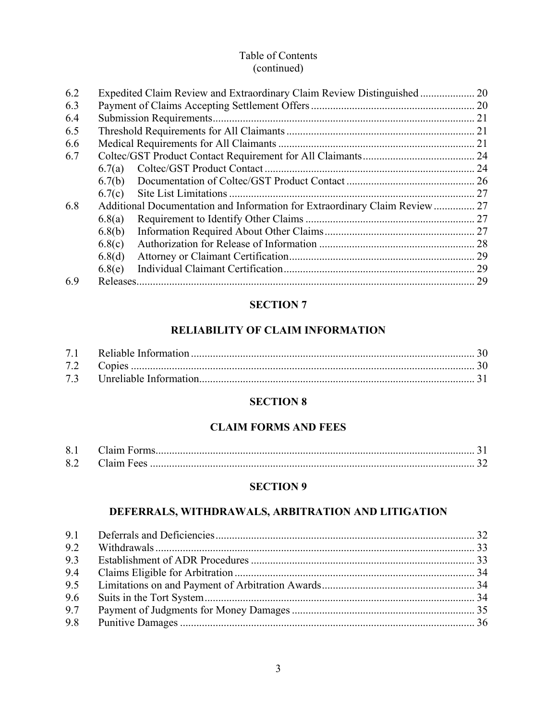### Table of Contents (continued)

| 6.2 |        |                                                                             |  |
|-----|--------|-----------------------------------------------------------------------------|--|
| 6.3 |        |                                                                             |  |
| 6.4 |        |                                                                             |  |
| 6.5 |        |                                                                             |  |
| 6.6 |        |                                                                             |  |
| 6.7 |        |                                                                             |  |
|     | 6.7(a) |                                                                             |  |
|     |        |                                                                             |  |
|     | 6.7(c) |                                                                             |  |
| 6.8 |        | Additional Documentation and Information for Extraordinary Claim Review  27 |  |
|     | 6.8(a) |                                                                             |  |
|     | 6.8(b) |                                                                             |  |
|     | 6.8(c) |                                                                             |  |
|     | 6.8(d) |                                                                             |  |
|     | 6.8(e) |                                                                             |  |
| 6.9 |        |                                                                             |  |

# **SECTION 7**

# **RELIABILITY OF CLAIM INFORMATION**

### **SECTION 8**

# **CLAIM FORMS AND FEES**

| 8.1 |            |  |
|-----|------------|--|
| 8.2 | Claim Fees |  |

### **SECTION 9**

# **DEFERRALS, WITHDRAWALS, ARBITRATION AND LITIGATION**

| 9.2 |  |
|-----|--|
| 9.3 |  |
| 9.4 |  |
| 9.5 |  |
| 9.6 |  |
| 9.7 |  |
| 9.8 |  |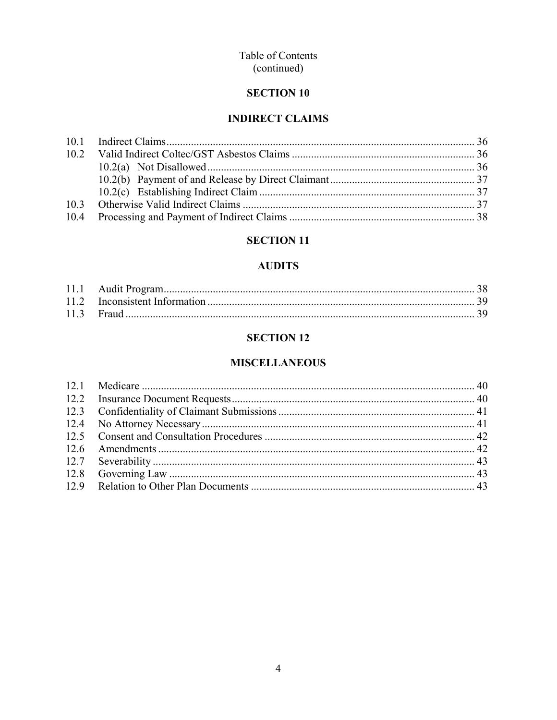### Table of Contents (continued)

# **SECTION 10**

# **INDIRECT CLAIMS**

# **SECTION 11**

### **AUDITS**

# **SECTION 12**

# **MISCELLANEOUS**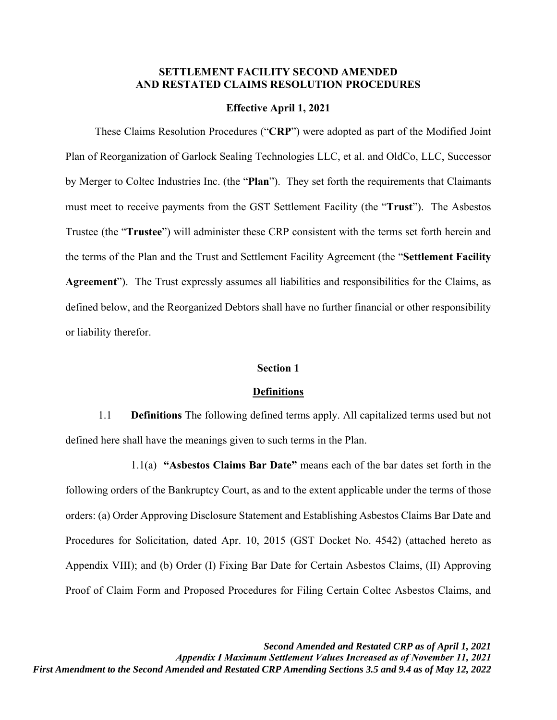### **SETTLEMENT FACILITY SECOND AMENDED AND RESTATED CLAIMS RESOLUTION PROCEDURES**

#### **Effective April 1, 2021**

These Claims Resolution Procedures ("**CRP**") were adopted as part of the Modified Joint Plan of Reorganization of Garlock Sealing Technologies LLC, et al. and OldCo, LLC, Successor by Merger to Coltec Industries Inc. (the "**Plan**"). They set forth the requirements that Claimants must meet to receive payments from the GST Settlement Facility (the "**Trust**"). The Asbestos Trustee (the "**Trustee**") will administer these CRP consistent with the terms set forth herein and the terms of the Plan and the Trust and Settlement Facility Agreement (the "**Settlement Facility Agreement**"). The Trust expressly assumes all liabilities and responsibilities for the Claims, as defined below, and the Reorganized Debtors shall have no further financial or other responsibility or liability therefor.

#### **Section 1**

#### **Definitions**

1.1 **Definitions** The following defined terms apply. All capitalized terms used but not defined here shall have the meanings given to such terms in the Plan.

1.1(a) **"Asbestos Claims Bar Date"** means each of the bar dates set forth in the following orders of the Bankruptcy Court, as and to the extent applicable under the terms of those orders: (a) Order Approving Disclosure Statement and Establishing Asbestos Claims Bar Date and Procedures for Solicitation, dated Apr. 10, 2015 (GST Docket No. 4542) (attached hereto as Appendix VIII); and (b) Order (I) Fixing Bar Date for Certain Asbestos Claims, (II) Approving Proof of Claim Form and Proposed Procedures for Filing Certain Coltec Asbestos Claims, and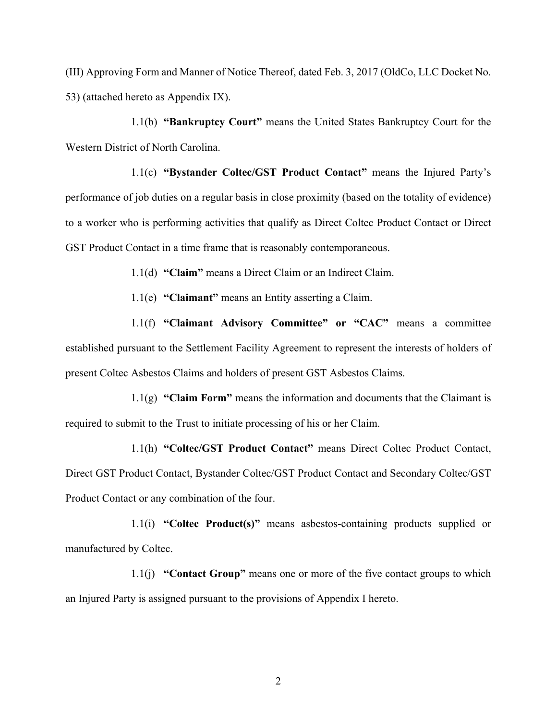(III) Approving Form and Manner of Notice Thereof, dated Feb. 3, 2017 (OldCo, LLC Docket No. 53) (attached hereto as Appendix IX).

1.1(b) **"Bankruptcy Court"** means the United States Bankruptcy Court for the Western District of North Carolina.

1.1(c) **"Bystander Coltec/GST Product Contact"** means the Injured Party's performance of job duties on a regular basis in close proximity (based on the totality of evidence) to a worker who is performing activities that qualify as Direct Coltec Product Contact or Direct GST Product Contact in a time frame that is reasonably contemporaneous.

1.1(d) **"Claim"** means a Direct Claim or an Indirect Claim.

1.1(e) **"Claimant"** means an Entity asserting a Claim.

1.1(f) **"Claimant Advisory Committee" or "CAC"** means a committee established pursuant to the Settlement Facility Agreement to represent the interests of holders of present Coltec Asbestos Claims and holders of present GST Asbestos Claims.

1.1(g) **"Claim Form"** means the information and documents that the Claimant is required to submit to the Trust to initiate processing of his or her Claim.

1.1(h) **"Coltec/GST Product Contact"** means Direct Coltec Product Contact, Direct GST Product Contact, Bystander Coltec/GST Product Contact and Secondary Coltec/GST Product Contact or any combination of the four.

1.1(i) **"Coltec Product(s)"** means asbestos-containing products supplied or manufactured by Coltec.

1.1(j) **"Contact Group"** means one or more of the five contact groups to which an Injured Party is assigned pursuant to the provisions of Appendix I hereto.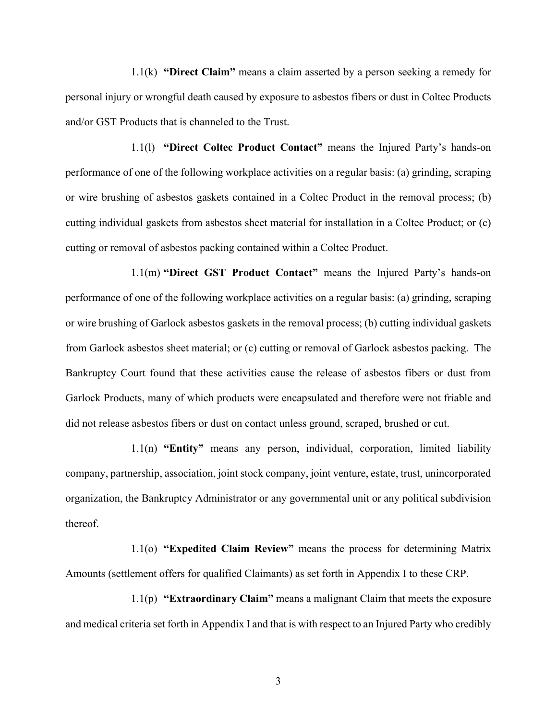1.1(k) **"Direct Claim"** means a claim asserted by a person seeking a remedy for personal injury or wrongful death caused by exposure to asbestos fibers or dust in Coltec Products and/or GST Products that is channeled to the Trust.

1.1(l) **"Direct Coltec Product Contact"** means the Injured Party's hands-on performance of one of the following workplace activities on a regular basis: (a) grinding, scraping or wire brushing of asbestos gaskets contained in a Coltec Product in the removal process; (b) cutting individual gaskets from asbestos sheet material for installation in a Coltec Product; or (c) cutting or removal of asbestos packing contained within a Coltec Product.

1.1(m) **"Direct GST Product Contact"** means the Injured Party's hands-on performance of one of the following workplace activities on a regular basis: (a) grinding, scraping or wire brushing of Garlock asbestos gaskets in the removal process; (b) cutting individual gaskets from Garlock asbestos sheet material; or (c) cutting or removal of Garlock asbestos packing. The Bankruptcy Court found that these activities cause the release of asbestos fibers or dust from Garlock Products, many of which products were encapsulated and therefore were not friable and did not release asbestos fibers or dust on contact unless ground, scraped, brushed or cut.

1.1(n) **"Entity"** means any person, individual, corporation, limited liability company, partnership, association, joint stock company, joint venture, estate, trust, unincorporated organization, the Bankruptcy Administrator or any governmental unit or any political subdivision thereof.

1.1(o) **"Expedited Claim Review"** means the process for determining Matrix Amounts (settlement offers for qualified Claimants) as set forth in Appendix I to these CRP.

1.1(p) **"Extraordinary Claim"** means a malignant Claim that meets the exposure and medical criteria set forth in Appendix I and that is with respect to an Injured Party who credibly

3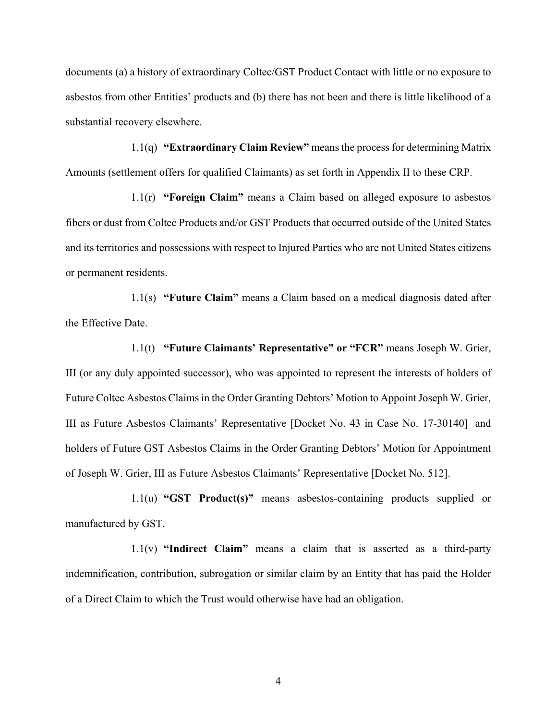documents (a) a history of extraordinary Coltec/GST Product Contact with little or no exposure to asbestos from other Entities' products and (b) there has not been and there is little likelihood of a substantial recovery elsewhere.

1.1(q) **"Extraordinary Claim Review"** means the process for determining Matrix Amounts (settlement offers for qualified Claimants) as set forth in Appendix II to these CRP.

1.1(r) **"Foreign Claim"** means a Claim based on alleged exposure to asbestos fibers or dust from Coltec Products and/or GST Products that occurred outside of the United States and its territories and possessions with respect to Injured Parties who are not United States citizens or permanent residents.

1.1(s) **"Future Claim"** means a Claim based on a medical diagnosis dated after the Effective Date.

1.1(t) **"Future Claimants' Representative" or "FCR"** means Joseph W. Grier, III (or any duly appointed successor), who was appointed to represent the interests of holders of Future Coltec Asbestos Claims in the Order Granting Debtors' Motion to Appoint Joseph W. Grier, III as Future Asbestos Claimants' Representative [Docket No. 43 in Case No. 17-30140] and holders of Future GST Asbestos Claims in the Order Granting Debtors' Motion for Appointment of Joseph W. Grier, III as Future Asbestos Claimants' Representative [Docket No. 512].

1.1(u) **"GST Product(s)"** means asbestos-containing products supplied or manufactured by GST.

1.1(v) **"Indirect Claim"** means a claim that is asserted as a third-party indemnification, contribution, subrogation or similar claim by an Entity that has paid the Holder of a Direct Claim to which the Trust would otherwise have had an obligation.

4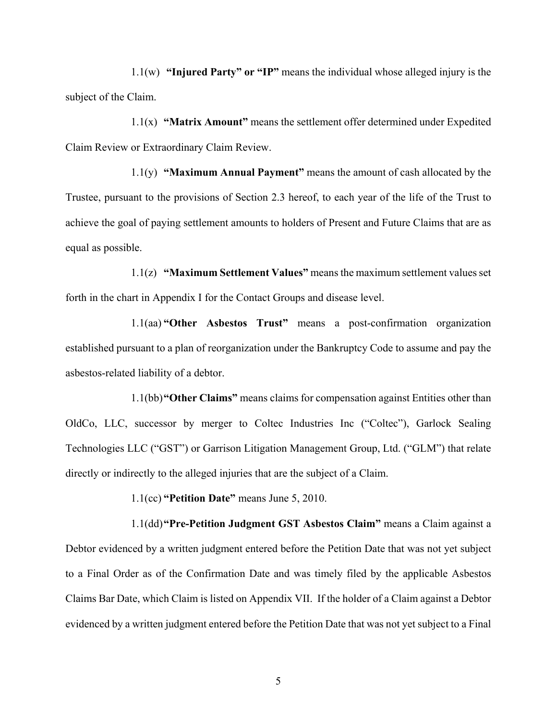1.1(w) **"Injured Party" or "IP"** means the individual whose alleged injury is the subject of the Claim.

1.1(x) **"Matrix Amount"** means the settlement offer determined under Expedited Claim Review or Extraordinary Claim Review.

1.1(y) **"Maximum Annual Payment"** means the amount of cash allocated by the Trustee, pursuant to the provisions of Section 2.3 hereof, to each year of the life of the Trust to achieve the goal of paying settlement amounts to holders of Present and Future Claims that are as equal as possible.

1.1(z) **"Maximum Settlement Values"** means the maximum settlement values set forth in the chart in Appendix I for the Contact Groups and disease level.

1.1(aa) **"Other Asbestos Trust"** means a post-confirmation organization established pursuant to a plan of reorganization under the Bankruptcy Code to assume and pay the asbestos-related liability of a debtor.

1.1(bb)**"Other Claims"** means claims for compensation against Entities other than OldCo, LLC, successor by merger to Coltec Industries Inc ("Coltec"), Garlock Sealing Technologies LLC ("GST") or Garrison Litigation Management Group, Ltd. ("GLM") that relate directly or indirectly to the alleged injuries that are the subject of a Claim.

1.1(cc) **"Petition Date"** means June 5, 2010.

1.1(dd)**"Pre-Petition Judgment GST Asbestos Claim"** means a Claim against a Debtor evidenced by a written judgment entered before the Petition Date that was not yet subject to a Final Order as of the Confirmation Date and was timely filed by the applicable Asbestos Claims Bar Date, which Claim is listed on Appendix VII. If the holder of a Claim against a Debtor evidenced by a written judgment entered before the Petition Date that was not yet subject to a Final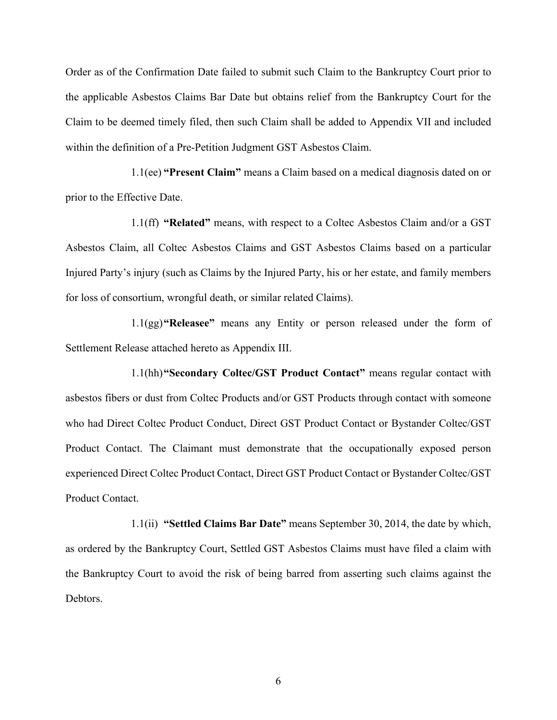Order as of the Confirmation Date failed to submit such Claim to the Bankruptcy Court prior to the applicable Asbestos Claims Bar Date but obtains relief from the Bankruptcy Court for the Claim to be deemed timely filed, then such Claim shall be added to Appendix VII and included within the definition of a Pre-Petition Judgment GST Asbestos Claim.

1.1(ee) **"Present Claim"** means a Claim based on a medical diagnosis dated on or prior to the Effective Date.

1.1(ff) **"Related"** means, with respect to a Coltec Asbestos Claim and/or a GST Asbestos Claim, all Coltec Asbestos Claims and GST Asbestos Claims based on a particular Injured Party's injury (such as Claims by the Injured Party, his or her estate, and family members for loss of consortium, wrongful death, or similar related Claims).

1.1(gg)**"Releasee"** means any Entity or person released under the form of Settlement Release attached hereto as Appendix III.

1.1(hh)**"Secondary Coltec/GST Product Contact"** means regular contact with asbestos fibers or dust from Coltec Products and/or GST Products through contact with someone who had Direct Coltec Product Conduct, Direct GST Product Contact or Bystander Coltec/GST Product Contact. The Claimant must demonstrate that the occupationally exposed person experienced Direct Coltec Product Contact, Direct GST Product Contact or Bystander Coltec/GST Product Contact.

1.1(ii) **"Settled Claims Bar Date"** means September 30, 2014, the date by which, as ordered by the Bankruptcy Court, Settled GST Asbestos Claims must have filed a claim with the Bankruptcy Court to avoid the risk of being barred from asserting such claims against the Debtors.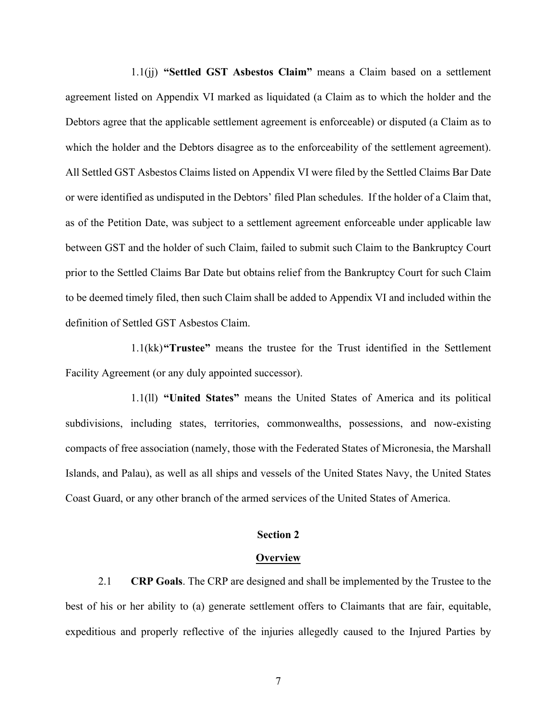1.1(jj) **"Settled GST Asbestos Claim"** means a Claim based on a settlement agreement listed on Appendix VI marked as liquidated (a Claim as to which the holder and the Debtors agree that the applicable settlement agreement is enforceable) or disputed (a Claim as to which the holder and the Debtors disagree as to the enforceability of the settlement agreement). All Settled GST Asbestos Claims listed on Appendix VI were filed by the Settled Claims Bar Date or were identified as undisputed in the Debtors' filed Plan schedules. If the holder of a Claim that, as of the Petition Date, was subject to a settlement agreement enforceable under applicable law between GST and the holder of such Claim, failed to submit such Claim to the Bankruptcy Court prior to the Settled Claims Bar Date but obtains relief from the Bankruptcy Court for such Claim to be deemed timely filed, then such Claim shall be added to Appendix VI and included within the definition of Settled GST Asbestos Claim.

1.1(kk)**"Trustee"** means the trustee for the Trust identified in the Settlement Facility Agreement (or any duly appointed successor).

1.1(ll) **"United States"** means the United States of America and its political subdivisions, including states, territories, commonwealths, possessions, and now-existing compacts of free association (namely, those with the Federated States of Micronesia, the Marshall Islands, and Palau), as well as all ships and vessels of the United States Navy, the United States Coast Guard, or any other branch of the armed services of the United States of America.

### **Section 2**

#### **Overview**

2.1 **CRP Goals**. The CRP are designed and shall be implemented by the Trustee to the best of his or her ability to (a) generate settlement offers to Claimants that are fair, equitable, expeditious and properly reflective of the injuries allegedly caused to the Injured Parties by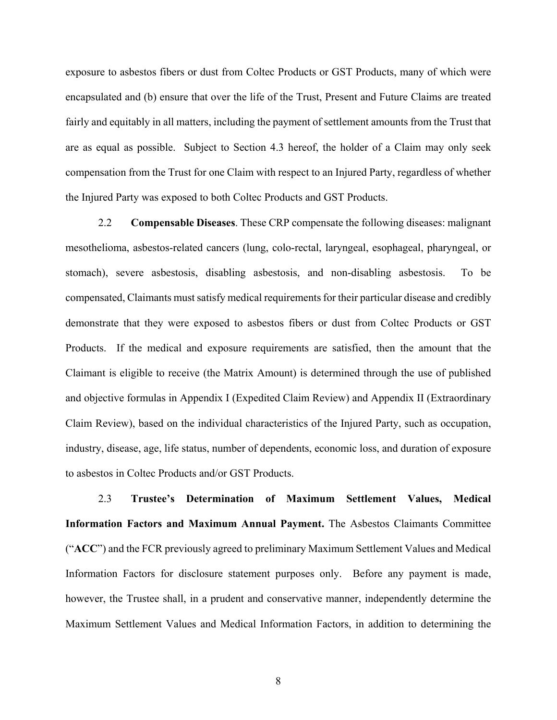exposure to asbestos fibers or dust from Coltec Products or GST Products, many of which were encapsulated and (b) ensure that over the life of the Trust, Present and Future Claims are treated fairly and equitably in all matters, including the payment of settlement amounts from the Trust that are as equal as possible. Subject to Section 4.3 hereof, the holder of a Claim may only seek compensation from the Trust for one Claim with respect to an Injured Party, regardless of whether the Injured Party was exposed to both Coltec Products and GST Products.

2.2 **Compensable Diseases**. These CRP compensate the following diseases: malignant mesothelioma, asbestos-related cancers (lung, colo-rectal, laryngeal, esophageal, pharyngeal, or stomach), severe asbestosis, disabling asbestosis, and non-disabling asbestosis. To be compensated, Claimants must satisfy medical requirements for their particular disease and credibly demonstrate that they were exposed to asbestos fibers or dust from Coltec Products or GST Products. If the medical and exposure requirements are satisfied, then the amount that the Claimant is eligible to receive (the Matrix Amount) is determined through the use of published and objective formulas in Appendix I (Expedited Claim Review) and Appendix II (Extraordinary Claim Review), based on the individual characteristics of the Injured Party, such as occupation, industry, disease, age, life status, number of dependents, economic loss, and duration of exposure to asbestos in Coltec Products and/or GST Products.

2.3 **Trustee's Determination of Maximum Settlement Values, Medical Information Factors and Maximum Annual Payment.** The Asbestos Claimants Committee ("**ACC**") and the FCR previously agreed to preliminary Maximum Settlement Values and Medical Information Factors for disclosure statement purposes only. Before any payment is made, however, the Trustee shall, in a prudent and conservative manner, independently determine the Maximum Settlement Values and Medical Information Factors, in addition to determining the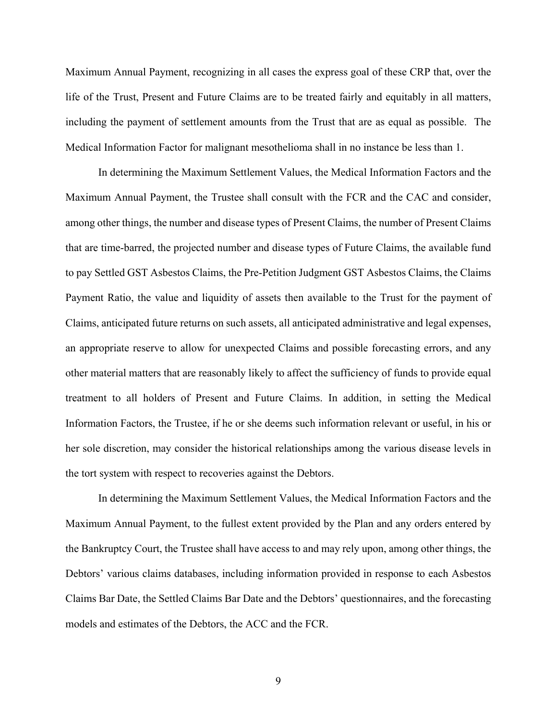Maximum Annual Payment, recognizing in all cases the express goal of these CRP that, over the life of the Trust, Present and Future Claims are to be treated fairly and equitably in all matters, including the payment of settlement amounts from the Trust that are as equal as possible. The Medical Information Factor for malignant mesothelioma shall in no instance be less than 1.

In determining the Maximum Settlement Values, the Medical Information Factors and the Maximum Annual Payment, the Trustee shall consult with the FCR and the CAC and consider, among other things, the number and disease types of Present Claims, the number of Present Claims that are time-barred, the projected number and disease types of Future Claims, the available fund to pay Settled GST Asbestos Claims, the Pre-Petition Judgment GST Asbestos Claims, the Claims Payment Ratio, the value and liquidity of assets then available to the Trust for the payment of Claims, anticipated future returns on such assets, all anticipated administrative and legal expenses, an appropriate reserve to allow for unexpected Claims and possible forecasting errors, and any other material matters that are reasonably likely to affect the sufficiency of funds to provide equal treatment to all holders of Present and Future Claims. In addition, in setting the Medical Information Factors, the Trustee, if he or she deems such information relevant or useful, in his or her sole discretion, may consider the historical relationships among the various disease levels in the tort system with respect to recoveries against the Debtors.

In determining the Maximum Settlement Values, the Medical Information Factors and the Maximum Annual Payment, to the fullest extent provided by the Plan and any orders entered by the Bankruptcy Court, the Trustee shall have access to and may rely upon, among other things, the Debtors' various claims databases, including information provided in response to each Asbestos Claims Bar Date, the Settled Claims Bar Date and the Debtors' questionnaires, and the forecasting models and estimates of the Debtors, the ACC and the FCR.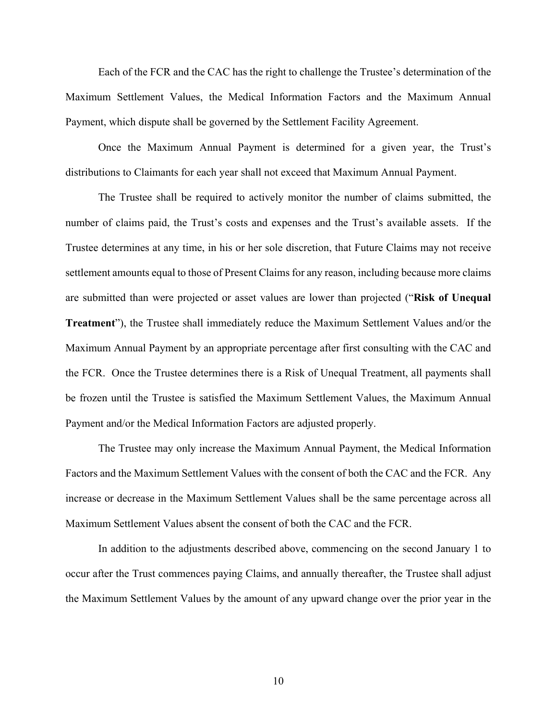Each of the FCR and the CAC has the right to challenge the Trustee's determination of the Maximum Settlement Values, the Medical Information Factors and the Maximum Annual Payment, which dispute shall be governed by the Settlement Facility Agreement.

Once the Maximum Annual Payment is determined for a given year, the Trust's distributions to Claimants for each year shall not exceed that Maximum Annual Payment.

The Trustee shall be required to actively monitor the number of claims submitted, the number of claims paid, the Trust's costs and expenses and the Trust's available assets. If the Trustee determines at any time, in his or her sole discretion, that Future Claims may not receive settlement amounts equal to those of Present Claims for any reason, including because more claims are submitted than were projected or asset values are lower than projected ("**Risk of Unequal Treatment**"), the Trustee shall immediately reduce the Maximum Settlement Values and/or the Maximum Annual Payment by an appropriate percentage after first consulting with the CAC and the FCR. Once the Trustee determines there is a Risk of Unequal Treatment, all payments shall be frozen until the Trustee is satisfied the Maximum Settlement Values, the Maximum Annual Payment and/or the Medical Information Factors are adjusted properly.

The Trustee may only increase the Maximum Annual Payment, the Medical Information Factors and the Maximum Settlement Values with the consent of both the CAC and the FCR. Any increase or decrease in the Maximum Settlement Values shall be the same percentage across all Maximum Settlement Values absent the consent of both the CAC and the FCR.

In addition to the adjustments described above, commencing on the second January 1 to occur after the Trust commences paying Claims, and annually thereafter, the Trustee shall adjust the Maximum Settlement Values by the amount of any upward change over the prior year in the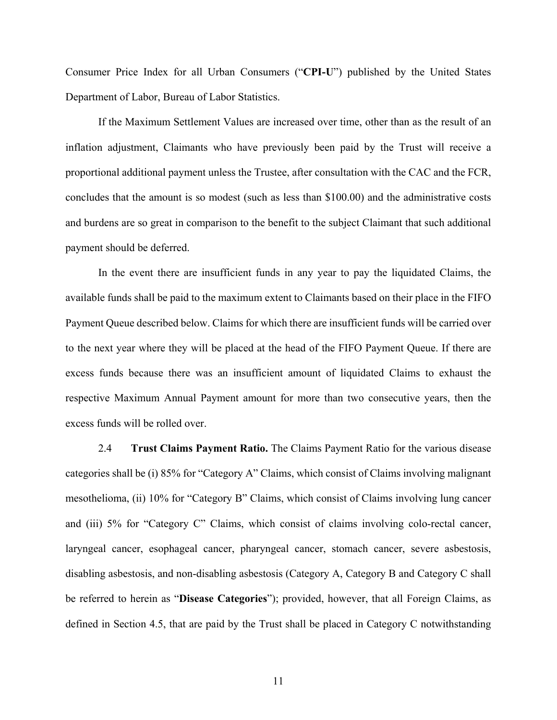Consumer Price Index for all Urban Consumers ("**CPI-U**") published by the United States Department of Labor, Bureau of Labor Statistics.

If the Maximum Settlement Values are increased over time, other than as the result of an inflation adjustment, Claimants who have previously been paid by the Trust will receive a proportional additional payment unless the Trustee, after consultation with the CAC and the FCR, concludes that the amount is so modest (such as less than \$100.00) and the administrative costs and burdens are so great in comparison to the benefit to the subject Claimant that such additional payment should be deferred.

In the event there are insufficient funds in any year to pay the liquidated Claims, the available funds shall be paid to the maximum extent to Claimants based on their place in the FIFO Payment Queue described below. Claims for which there are insufficient funds will be carried over to the next year where they will be placed at the head of the FIFO Payment Queue. If there are excess funds because there was an insufficient amount of liquidated Claims to exhaust the respective Maximum Annual Payment amount for more than two consecutive years, then the excess funds will be rolled over.

2.4 **Trust Claims Payment Ratio.** The Claims Payment Ratio for the various disease categories shall be (i) 85% for "Category A" Claims, which consist of Claims involving malignant mesothelioma, (ii) 10% for "Category B" Claims, which consist of Claims involving lung cancer and (iii) 5% for "Category C" Claims, which consist of claims involving colo-rectal cancer, laryngeal cancer, esophageal cancer, pharyngeal cancer, stomach cancer, severe asbestosis, disabling asbestosis, and non-disabling asbestosis (Category A, Category B and Category C shall be referred to herein as "**Disease Categories**"); provided, however, that all Foreign Claims, as defined in Section 4.5, that are paid by the Trust shall be placed in Category C notwithstanding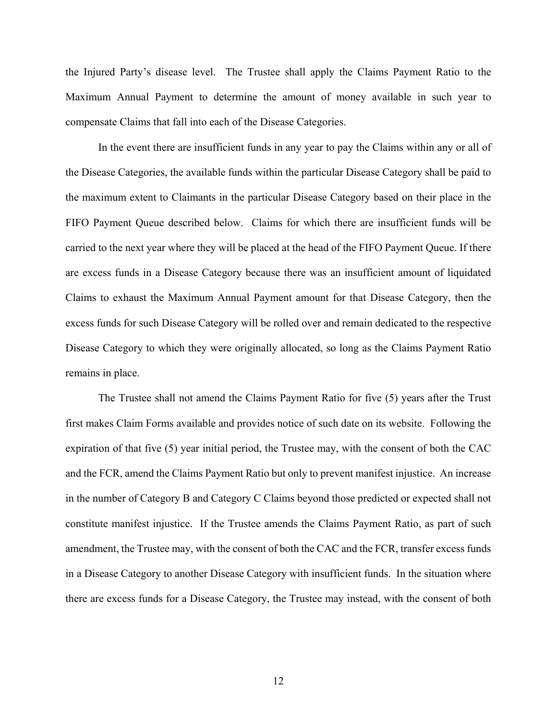the Injured Party's disease level. The Trustee shall apply the Claims Payment Ratio to the Maximum Annual Payment to determine the amount of money available in such year to compensate Claims that fall into each of the Disease Categories.

In the event there are insufficient funds in any year to pay the Claims within any or all of the Disease Categories, the available funds within the particular Disease Category shall be paid to the maximum extent to Claimants in the particular Disease Category based on their place in the FIFO Payment Queue described below. Claims for which there are insufficient funds will be carried to the next year where they will be placed at the head of the FIFO Payment Queue. If there are excess funds in a Disease Category because there was an insufficient amount of liquidated Claims to exhaust the Maximum Annual Payment amount for that Disease Category, then the excess funds for such Disease Category will be rolled over and remain dedicated to the respective Disease Category to which they were originally allocated, so long as the Claims Payment Ratio remains in place.

The Trustee shall not amend the Claims Payment Ratio for five (5) years after the Trust first makes Claim Forms available and provides notice of such date on its website. Following the expiration of that five (5) year initial period, the Trustee may, with the consent of both the CAC and the FCR, amend the Claims Payment Ratio but only to prevent manifest injustice. An increase in the number of Category B and Category C Claims beyond those predicted or expected shall not constitute manifest injustice. If the Trustee amends the Claims Payment Ratio, as part of such amendment, the Trustee may, with the consent of both the CAC and the FCR, transfer excess funds in a Disease Category to another Disease Category with insufficient funds. In the situation where there are excess funds for a Disease Category, the Trustee may instead, with the consent of both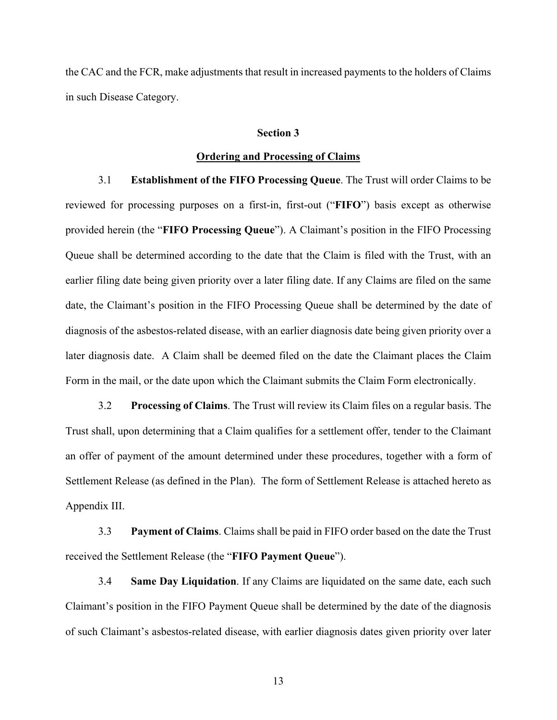the CAC and the FCR, make adjustments that result in increased payments to the holders of Claims in such Disease Category.

#### **Section 3**

### **Ordering and Processing of Claims**

3.1 **Establishment of the FIFO Processing Queue**. The Trust will order Claims to be reviewed for processing purposes on a first-in, first-out ("**FIFO**") basis except as otherwise provided herein (the "**FIFO Processing Queue**"). A Claimant's position in the FIFO Processing Queue shall be determined according to the date that the Claim is filed with the Trust, with an earlier filing date being given priority over a later filing date. If any Claims are filed on the same date, the Claimant's position in the FIFO Processing Queue shall be determined by the date of diagnosis of the asbestos-related disease, with an earlier diagnosis date being given priority over a later diagnosis date. A Claim shall be deemed filed on the date the Claimant places the Claim Form in the mail, or the date upon which the Claimant submits the Claim Form electronically.

3.2 **Processing of Claims**. The Trust will review its Claim files on a regular basis. The Trust shall, upon determining that a Claim qualifies for a settlement offer, tender to the Claimant an offer of payment of the amount determined under these procedures, together with a form of Settlement Release (as defined in the Plan). The form of Settlement Release is attached hereto as Appendix III.

3.3 **Payment of Claims**. Claims shall be paid in FIFO order based on the date the Trust received the Settlement Release (the "**FIFO Payment Queue**").

3.4 **Same Day Liquidation**. If any Claims are liquidated on the same date, each such Claimant's position in the FIFO Payment Queue shall be determined by the date of the diagnosis of such Claimant's asbestos-related disease, with earlier diagnosis dates given priority over later

13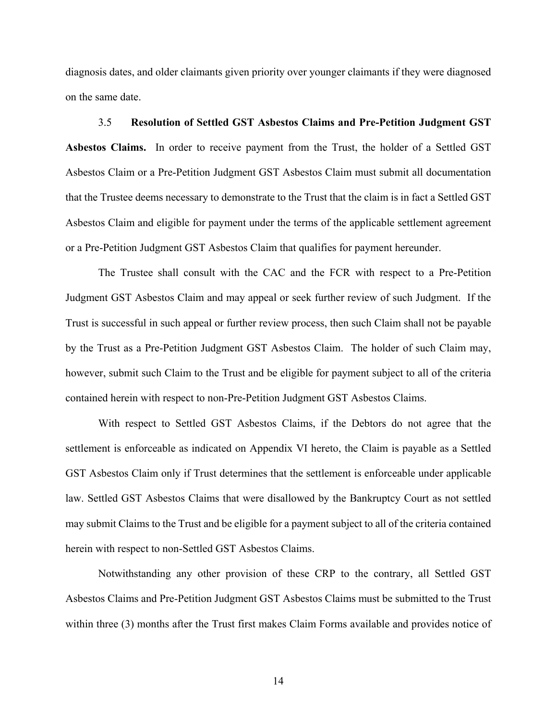diagnosis dates, and older claimants given priority over younger claimants if they were diagnosed on the same date.

3.5 **Resolution of Settled GST Asbestos Claims and Pre-Petition Judgment GST Asbestos Claims.** In order to receive payment from the Trust, the holder of a Settled GST Asbestos Claim or a Pre-Petition Judgment GST Asbestos Claim must submit all documentation that the Trustee deems necessary to demonstrate to the Trust that the claim is in fact a Settled GST Asbestos Claim and eligible for payment under the terms of the applicable settlement agreement or a Pre-Petition Judgment GST Asbestos Claim that qualifies for payment hereunder.

The Trustee shall consult with the CAC and the FCR with respect to a Pre-Petition Judgment GST Asbestos Claim and may appeal or seek further review of such Judgment. If the Trust is successful in such appeal or further review process, then such Claim shall not be payable by the Trust as a Pre-Petition Judgment GST Asbestos Claim. The holder of such Claim may, however, submit such Claim to the Trust and be eligible for payment subject to all of the criteria contained herein with respect to non-Pre-Petition Judgment GST Asbestos Claims.

With respect to Settled GST Asbestos Claims, if the Debtors do not agree that the settlement is enforceable as indicated on Appendix VI hereto, the Claim is payable as a Settled GST Asbestos Claim only if Trust determines that the settlement is enforceable under applicable law. Settled GST Asbestos Claims that were disallowed by the Bankruptcy Court as not settled may submit Claims to the Trust and be eligible for a payment subject to all of the criteria contained herein with respect to non-Settled GST Asbestos Claims.

Notwithstanding any other provision of these CRP to the contrary, all Settled GST Asbestos Claims and Pre-Petition Judgment GST Asbestos Claims must be submitted to the Trust within three (3) months after the Trust first makes Claim Forms available and provides notice of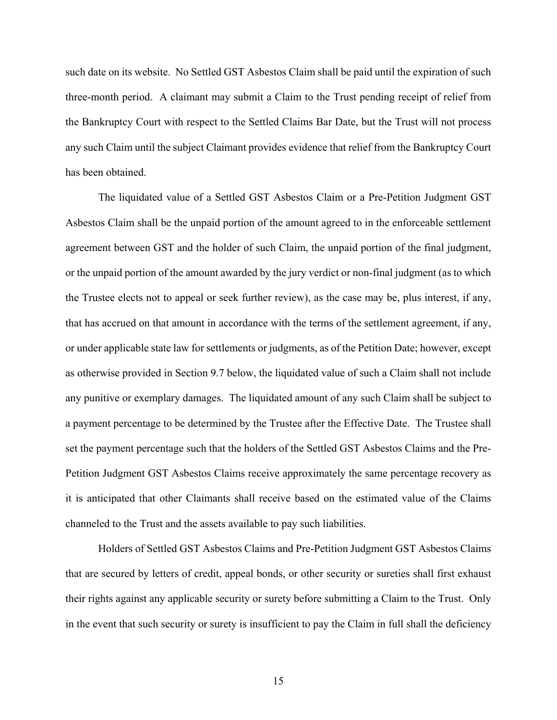such date on its website. No Settled GST Asbestos Claim shall be paid until the expiration of such three-month period. A claimant may submit a Claim to the Trust pending receipt of relief from the Bankruptcy Court with respect to the Settled Claims Bar Date, but the Trust will not process any such Claim until the subject Claimant provides evidence that relief from the Bankruptcy Court has been obtained.

The liquidated value of a Settled GST Asbestos Claim or a Pre-Petition Judgment GST Asbestos Claim shall be the unpaid portion of the amount agreed to in the enforceable settlement agreement between GST and the holder of such Claim, the unpaid portion of the final judgment, or the unpaid portion of the amount awarded by the jury verdict or non-final judgment (as to which the Trustee elects not to appeal or seek further review), as the case may be, plus interest, if any, that has accrued on that amount in accordance with the terms of the settlement agreement, if any, or under applicable state law for settlements or judgments, as of the Petition Date; however, except as otherwise provided in Section 9.7 below, the liquidated value of such a Claim shall not include any punitive or exemplary damages. The liquidated amount of any such Claim shall be subject to a payment percentage to be determined by the Trustee after the Effective Date. The Trustee shall set the payment percentage such that the holders of the Settled GST Asbestos Claims and the Pre-Petition Judgment GST Asbestos Claims receive approximately the same percentage recovery as it is anticipated that other Claimants shall receive based on the estimated value of the Claims channeled to the Trust and the assets available to pay such liabilities.

Holders of Settled GST Asbestos Claims and Pre-Petition Judgment GST Asbestos Claims that are secured by letters of credit, appeal bonds, or other security or sureties shall first exhaust their rights against any applicable security or surety before submitting a Claim to the Trust. Only in the event that such security or surety is insufficient to pay the Claim in full shall the deficiency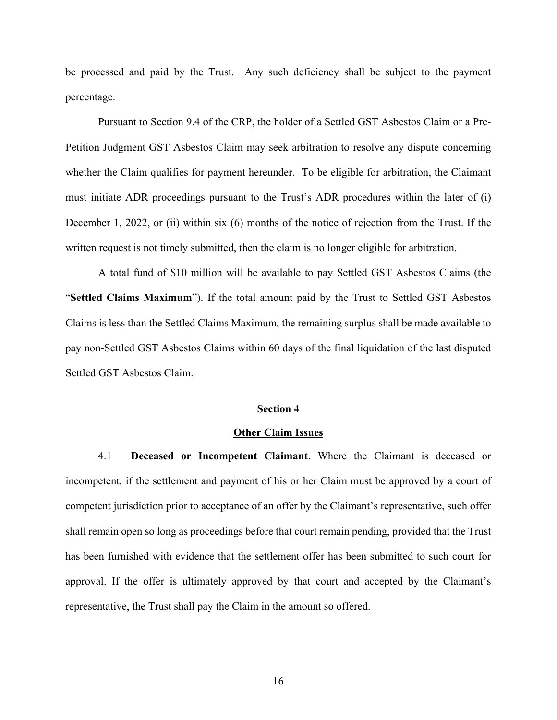be processed and paid by the Trust. Any such deficiency shall be subject to the payment percentage.

Pursuant to Section 9.4 of the CRP, the holder of a Settled GST Asbestos Claim or a Pre-Petition Judgment GST Asbestos Claim may seek arbitration to resolve any dispute concerning whether the Claim qualifies for payment hereunder. To be eligible for arbitration, the Claimant must initiate ADR proceedings pursuant to the Trust's ADR procedures within the later of (i) December 1, 2022, or (ii) within six (6) months of the notice of rejection from the Trust. If the written request is not timely submitted, then the claim is no longer eligible for arbitration.

A total fund of \$10 million will be available to pay Settled GST Asbestos Claims (the "**Settled Claims Maximum**"). If the total amount paid by the Trust to Settled GST Asbestos Claims is less than the Settled Claims Maximum, the remaining surplus shall be made available to pay non-Settled GST Asbestos Claims within 60 days of the final liquidation of the last disputed Settled GST Asbestos Claim.

### **Section 4**

### **Other Claim Issues**

4.1 **Deceased or Incompetent Claimant**. Where the Claimant is deceased or incompetent, if the settlement and payment of his or her Claim must be approved by a court of competent jurisdiction prior to acceptance of an offer by the Claimant's representative, such offer shall remain open so long as proceedings before that court remain pending, provided that the Trust has been furnished with evidence that the settlement offer has been submitted to such court for approval. If the offer is ultimately approved by that court and accepted by the Claimant's representative, the Trust shall pay the Claim in the amount so offered.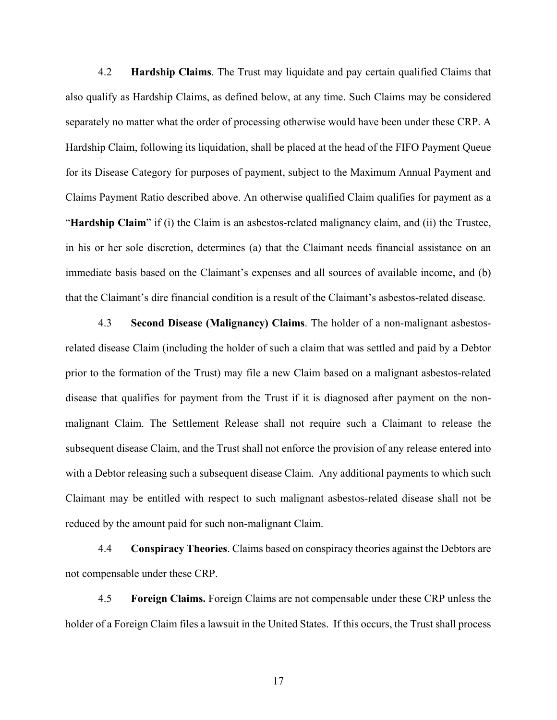4.2 **Hardship Claims**. The Trust may liquidate and pay certain qualified Claims that also qualify as Hardship Claims, as defined below, at any time. Such Claims may be considered separately no matter what the order of processing otherwise would have been under these CRP. A Hardship Claim, following its liquidation, shall be placed at the head of the FIFO Payment Queue for its Disease Category for purposes of payment, subject to the Maximum Annual Payment and Claims Payment Ratio described above. An otherwise qualified Claim qualifies for payment as a "**Hardship Claim**" if (i) the Claim is an asbestos-related malignancy claim, and (ii) the Trustee, in his or her sole discretion, determines (a) that the Claimant needs financial assistance on an immediate basis based on the Claimant's expenses and all sources of available income, and (b) that the Claimant's dire financial condition is a result of the Claimant's asbestos-related disease.

4.3 **Second Disease (Malignancy) Claims**. The holder of a non-malignant asbestosrelated disease Claim (including the holder of such a claim that was settled and paid by a Debtor prior to the formation of the Trust) may file a new Claim based on a malignant asbestos-related disease that qualifies for payment from the Trust if it is diagnosed after payment on the nonmalignant Claim. The Settlement Release shall not require such a Claimant to release the subsequent disease Claim, and the Trust shall not enforce the provision of any release entered into with a Debtor releasing such a subsequent disease Claim. Any additional payments to which such Claimant may be entitled with respect to such malignant asbestos-related disease shall not be reduced by the amount paid for such non-malignant Claim.

4.4 **Conspiracy Theories**. Claims based on conspiracy theories against the Debtors are not compensable under these CRP.

4.5 **Foreign Claims.** Foreign Claims are not compensable under these CRP unless the holder of a Foreign Claim files a lawsuit in the United States. If this occurs, the Trust shall process

17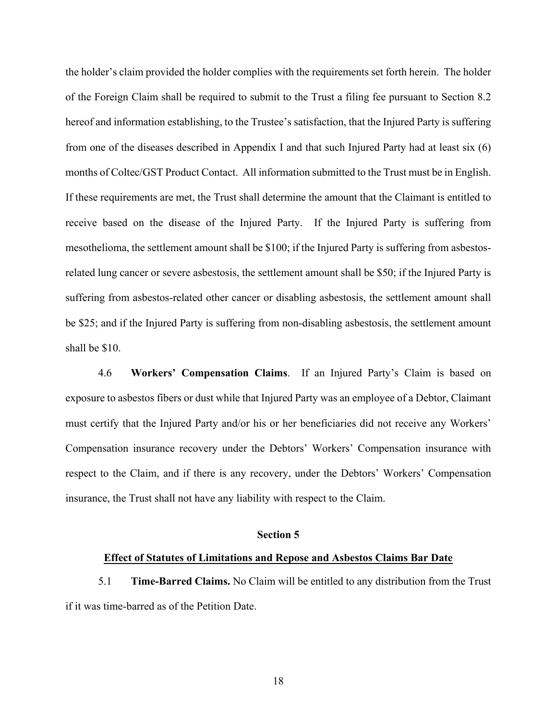the holder's claim provided the holder complies with the requirements set forth herein. The holder of the Foreign Claim shall be required to submit to the Trust a filing fee pursuant to Section 8.2 hereof and information establishing, to the Trustee's satisfaction, that the Injured Party is suffering from one of the diseases described in Appendix I and that such Injured Party had at least six (6) months of Coltec/GST Product Contact. All information submitted to the Trust must be in English. If these requirements are met, the Trust shall determine the amount that the Claimant is entitled to receive based on the disease of the Injured Party. If the Injured Party is suffering from mesothelioma, the settlement amount shall be \$100; if the Injured Party is suffering from asbestosrelated lung cancer or severe asbestosis, the settlement amount shall be \$50; if the Injured Party is suffering from asbestos-related other cancer or disabling asbestosis, the settlement amount shall be \$25; and if the Injured Party is suffering from non-disabling asbestosis, the settlement amount shall be \$10.

4.6 **Workers' Compensation Claims**. If an Injured Party's Claim is based on exposure to asbestos fibers or dust while that Injured Party was an employee of a Debtor, Claimant must certify that the Injured Party and/or his or her beneficiaries did not receive any Workers' Compensation insurance recovery under the Debtors' Workers' Compensation insurance with respect to the Claim, and if there is any recovery, under the Debtors' Workers' Compensation insurance, the Trust shall not have any liability with respect to the Claim.

### **Section 5**

#### **Effect of Statutes of Limitations and Repose and Asbestos Claims Bar Date**

5.1 **Time-Barred Claims.** No Claim will be entitled to any distribution from the Trust if it was time-barred as of the Petition Date.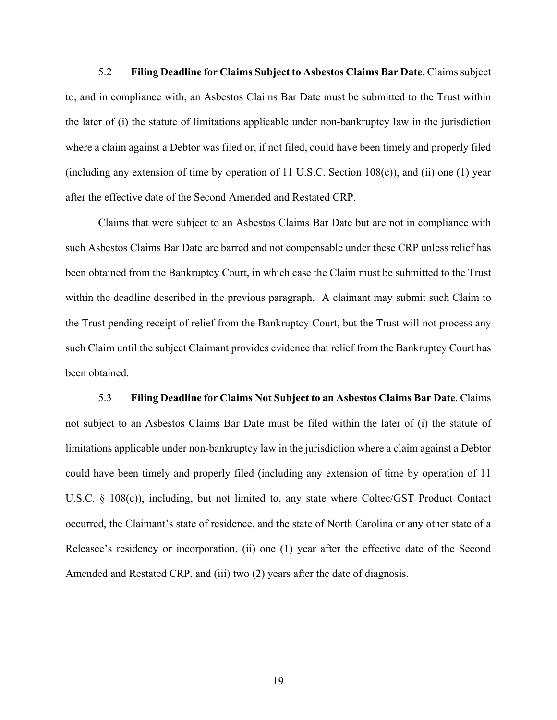5.2 **Filing Deadline for Claims Subject to Asbestos Claims Bar Date**. Claims subject to, and in compliance with, an Asbestos Claims Bar Date must be submitted to the Trust within the later of (i) the statute of limitations applicable under non-bankruptcy law in the jurisdiction where a claim against a Debtor was filed or, if not filed, could have been timely and properly filed (including any extension of time by operation of 11 U.S.C. Section  $108(c)$ ), and (ii) one (1) year after the effective date of the Second Amended and Restated CRP.

Claims that were subject to an Asbestos Claims Bar Date but are not in compliance with such Asbestos Claims Bar Date are barred and not compensable under these CRP unless relief has been obtained from the Bankruptcy Court, in which case the Claim must be submitted to the Trust within the deadline described in the previous paragraph. A claimant may submit such Claim to the Trust pending receipt of relief from the Bankruptcy Court, but the Trust will not process any such Claim until the subject Claimant provides evidence that relief from the Bankruptcy Court has been obtained.

5.3 **Filing Deadline for Claims Not Subject to an Asbestos Claims Bar Date**. Claims not subject to an Asbestos Claims Bar Date must be filed within the later of (i) the statute of limitations applicable under non-bankruptcy law in the jurisdiction where a claim against a Debtor could have been timely and properly filed (including any extension of time by operation of 11 U.S.C. § 108(c)), including, but not limited to, any state where Coltec/GST Product Contact occurred, the Claimant's state of residence, and the state of North Carolina or any other state of a Releasee's residency or incorporation, (ii) one (1) year after the effective date of the Second Amended and Restated CRP, and (iii) two (2) years after the date of diagnosis.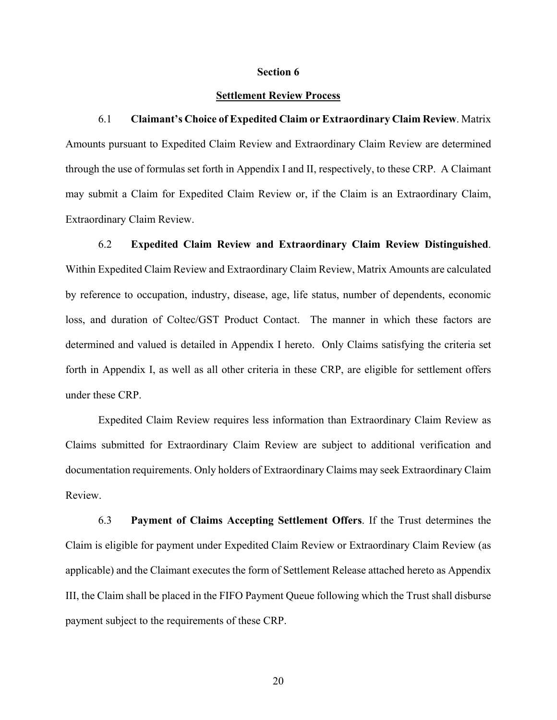#### **Section 6**

### **Settlement Review Process**

6.1 **Claimant's Choice of Expedited Claim or Extraordinary Claim Review**. Matrix Amounts pursuant to Expedited Claim Review and Extraordinary Claim Review are determined through the use of formulas set forth in Appendix I and II, respectively, to these CRP. A Claimant may submit a Claim for Expedited Claim Review or, if the Claim is an Extraordinary Claim, Extraordinary Claim Review.

6.2 **Expedited Claim Review and Extraordinary Claim Review Distinguished**. Within Expedited Claim Review and Extraordinary Claim Review, Matrix Amounts are calculated by reference to occupation, industry, disease, age, life status, number of dependents, economic loss, and duration of Coltec/GST Product Contact. The manner in which these factors are determined and valued is detailed in Appendix I hereto. Only Claims satisfying the criteria set forth in Appendix I, as well as all other criteria in these CRP, are eligible for settlement offers under these CRP.

Expedited Claim Review requires less information than Extraordinary Claim Review as Claims submitted for Extraordinary Claim Review are subject to additional verification and documentation requirements. Only holders of Extraordinary Claims may seek Extraordinary Claim Review.

6.3 **Payment of Claims Accepting Settlement Offers**. If the Trust determines the Claim is eligible for payment under Expedited Claim Review or Extraordinary Claim Review (as applicable) and the Claimant executes the form of Settlement Release attached hereto as Appendix III, the Claim shall be placed in the FIFO Payment Queue following which the Trust shall disburse payment subject to the requirements of these CRP.

20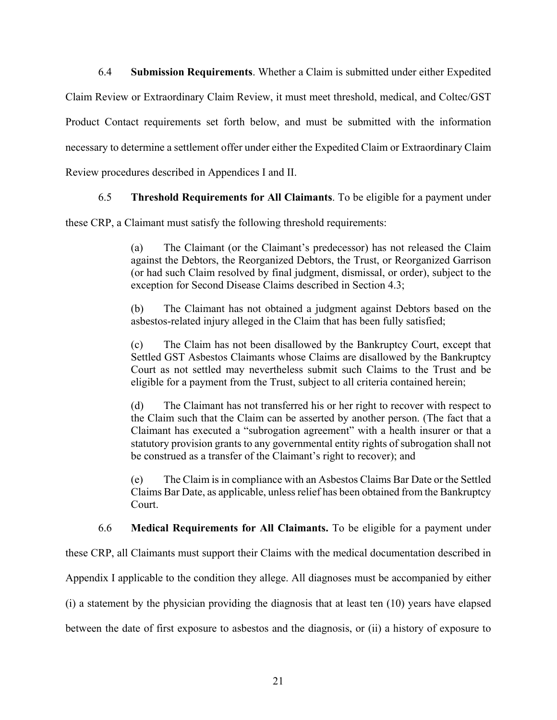6.4 **Submission Requirements**. Whether a Claim is submitted under either Expedited Claim Review or Extraordinary Claim Review, it must meet threshold, medical, and Coltec/GST Product Contact requirements set forth below, and must be submitted with the information necessary to determine a settlement offer under either the Expedited Claim or Extraordinary Claim Review procedures described in Appendices I and II.

### 6.5 **Threshold Requirements for All Claimants**. To be eligible for a payment under

these CRP, a Claimant must satisfy the following threshold requirements:

(a) The Claimant (or the Claimant's predecessor) has not released the Claim against the Debtors, the Reorganized Debtors, the Trust, or Reorganized Garrison (or had such Claim resolved by final judgment, dismissal, or order), subject to the exception for Second Disease Claims described in Section 4.3;

(b) The Claimant has not obtained a judgment against Debtors based on the asbestos-related injury alleged in the Claim that has been fully satisfied;

(c) The Claim has not been disallowed by the Bankruptcy Court, except that Settled GST Asbestos Claimants whose Claims are disallowed by the Bankruptcy Court as not settled may nevertheless submit such Claims to the Trust and be eligible for a payment from the Trust, subject to all criteria contained herein;

(d) The Claimant has not transferred his or her right to recover with respect to the Claim such that the Claim can be asserted by another person. (The fact that a Claimant has executed a "subrogation agreement" with a health insurer or that a statutory provision grants to any governmental entity rights of subrogation shall not be construed as a transfer of the Claimant's right to recover); and

(e) The Claim is in compliance with an Asbestos Claims Bar Date or the Settled Claims Bar Date, as applicable, unless relief has been obtained from the Bankruptcy Court.

6.6 **Medical Requirements for All Claimants.** To be eligible for a payment under

these CRP, all Claimants must support their Claims with the medical documentation described in Appendix I applicable to the condition they allege. All diagnoses must be accompanied by either (i) a statement by the physician providing the diagnosis that at least ten (10) years have elapsed between the date of first exposure to asbestos and the diagnosis, or (ii) a history of exposure to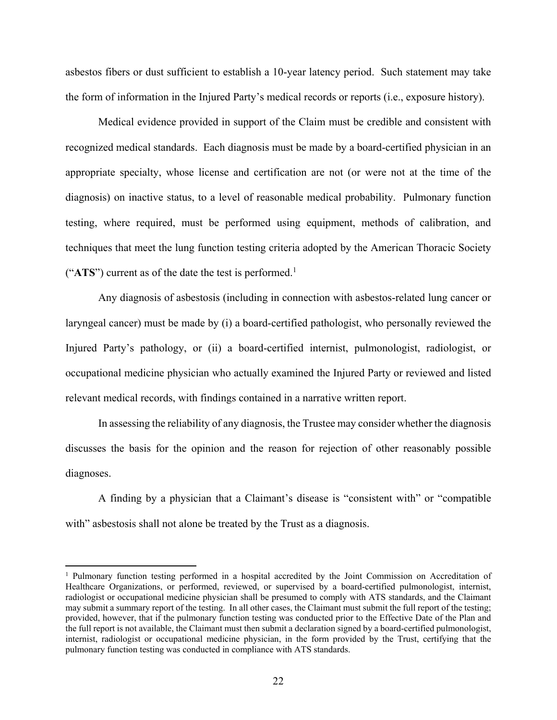asbestos fibers or dust sufficient to establish a 10-year latency period. Such statement may take the form of information in the Injured Party's medical records or reports (i.e., exposure history).

Medical evidence provided in support of the Claim must be credible and consistent with recognized medical standards. Each diagnosis must be made by a board-certified physician in an appropriate specialty, whose license and certification are not (or were not at the time of the diagnosis) on inactive status, to a level of reasonable medical probability. Pulmonary function testing, where required, must be performed using equipment, methods of calibration, and techniques that meet the lung function testing criteria adopted by the American Thoracic Society (" $ATS$ ") current as of the date the test is performed.<sup>1</sup>

Any diagnosis of asbestosis (including in connection with asbestos-related lung cancer or laryngeal cancer) must be made by (i) a board-certified pathologist, who personally reviewed the Injured Party's pathology, or (ii) a board-certified internist, pulmonologist, radiologist, or occupational medicine physician who actually examined the Injured Party or reviewed and listed relevant medical records, with findings contained in a narrative written report.

In assessing the reliability of any diagnosis, the Trustee may consider whether the diagnosis discusses the basis for the opinion and the reason for rejection of other reasonably possible diagnoses.

A finding by a physician that a Claimant's disease is "consistent with" or "compatible with" asbestosis shall not alone be treated by the Trust as a diagnosis.

 $\overline{a}$ 

<sup>&</sup>lt;sup>1</sup> Pulmonary function testing performed in a hospital accredited by the Joint Commission on Accreditation of Healthcare Organizations, or performed, reviewed, or supervised by a board-certified pulmonologist, internist, radiologist or occupational medicine physician shall be presumed to comply with ATS standards, and the Claimant may submit a summary report of the testing. In all other cases, the Claimant must submit the full report of the testing; provided, however, that if the pulmonary function testing was conducted prior to the Effective Date of the Plan and the full report is not available, the Claimant must then submit a declaration signed by a board-certified pulmonologist, internist, radiologist or occupational medicine physician, in the form provided by the Trust, certifying that the pulmonary function testing was conducted in compliance with ATS standards.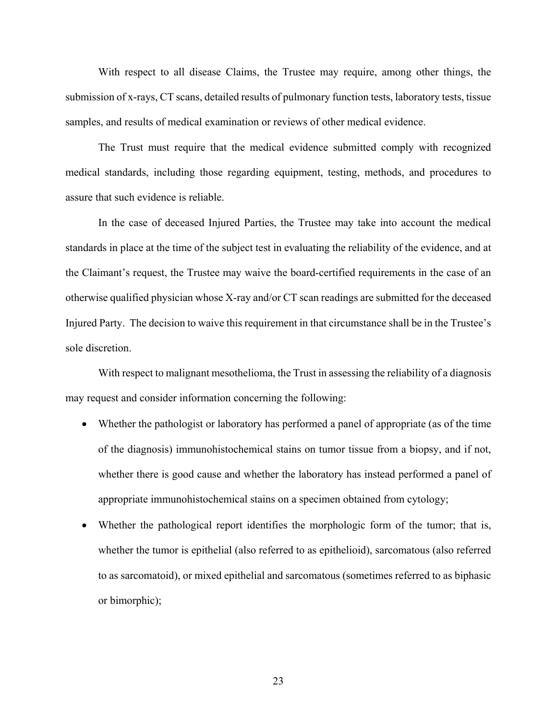With respect to all disease Claims, the Trustee may require, among other things, the submission of x-rays, CT scans, detailed results of pulmonary function tests, laboratory tests, tissue samples, and results of medical examination or reviews of other medical evidence.

The Trust must require that the medical evidence submitted comply with recognized medical standards, including those regarding equipment, testing, methods, and procedures to assure that such evidence is reliable.

In the case of deceased Injured Parties, the Trustee may take into account the medical standards in place at the time of the subject test in evaluating the reliability of the evidence, and at the Claimant's request, the Trustee may waive the board-certified requirements in the case of an otherwise qualified physician whose X-ray and/or CT scan readings are submitted for the deceased Injured Party. The decision to waive this requirement in that circumstance shall be in the Trustee's sole discretion.

With respect to malignant mesothelioma, the Trust in assessing the reliability of a diagnosis may request and consider information concerning the following:

- Whether the pathologist or laboratory has performed a panel of appropriate (as of the time of the diagnosis) immunohistochemical stains on tumor tissue from a biopsy, and if not, whether there is good cause and whether the laboratory has instead performed a panel of appropriate immunohistochemical stains on a specimen obtained from cytology;
- Whether the pathological report identifies the morphologic form of the tumor; that is, whether the tumor is epithelial (also referred to as epithelioid), sarcomatous (also referred to as sarcomatoid), or mixed epithelial and sarcomatous (sometimes referred to as biphasic or bimorphic);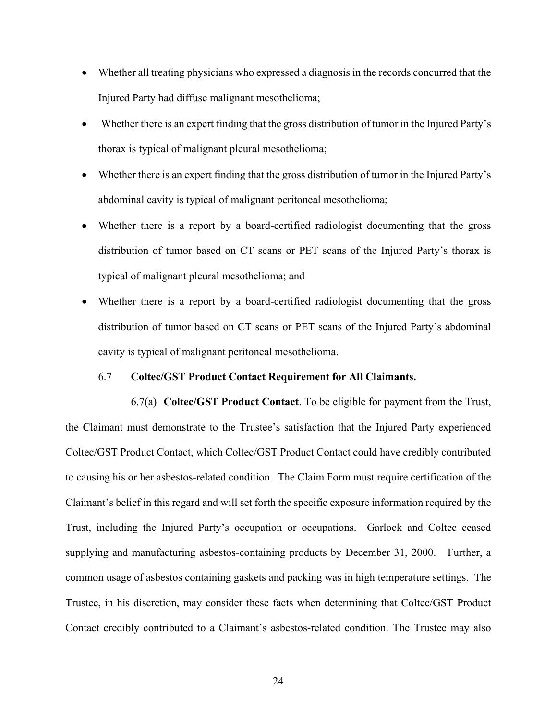- Whether all treating physicians who expressed a diagnosis in the records concurred that the Injured Party had diffuse malignant mesothelioma;
- Whether there is an expert finding that the gross distribution of tumor in the Injured Party's thorax is typical of malignant pleural mesothelioma;
- Whether there is an expert finding that the gross distribution of tumor in the Injured Party's abdominal cavity is typical of malignant peritoneal mesothelioma;
- Whether there is a report by a board-certified radiologist documenting that the gross distribution of tumor based on CT scans or PET scans of the Injured Party's thorax is typical of malignant pleural mesothelioma; and
- Whether there is a report by a board-certified radiologist documenting that the gross distribution of tumor based on CT scans or PET scans of the Injured Party's abdominal cavity is typical of malignant peritoneal mesothelioma.

### 6.7 **Coltec/GST Product Contact Requirement for All Claimants.**

6.7(a) **Coltec/GST Product Contact**. To be eligible for payment from the Trust, the Claimant must demonstrate to the Trustee's satisfaction that the Injured Party experienced Coltec/GST Product Contact, which Coltec/GST Product Contact could have credibly contributed to causing his or her asbestos-related condition. The Claim Form must require certification of the Claimant's belief in this regard and will set forth the specific exposure information required by the Trust, including the Injured Party's occupation or occupations. Garlock and Coltec ceased supplying and manufacturing asbestos-containing products by December 31, 2000. Further, a common usage of asbestos containing gaskets and packing was in high temperature settings. The Trustee, in his discretion, may consider these facts when determining that Coltec/GST Product Contact credibly contributed to a Claimant's asbestos-related condition. The Trustee may also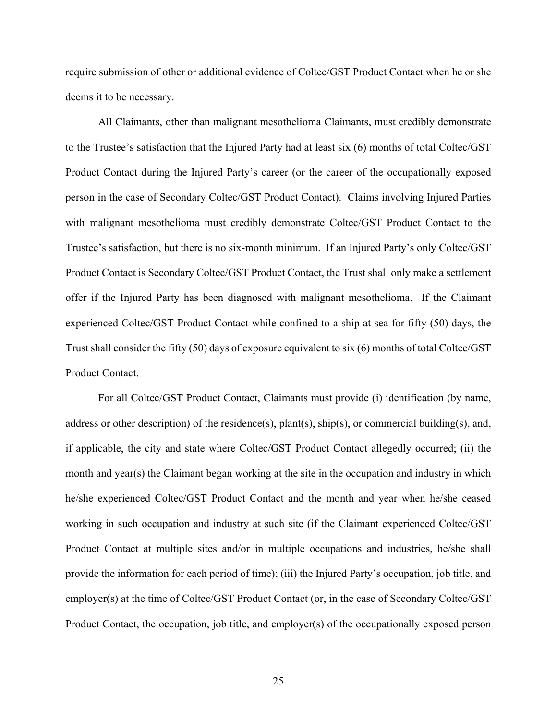require submission of other or additional evidence of Coltec/GST Product Contact when he or she deems it to be necessary.

All Claimants, other than malignant mesothelioma Claimants, must credibly demonstrate to the Trustee's satisfaction that the Injured Party had at least six (6) months of total Coltec/GST Product Contact during the Injured Party's career (or the career of the occupationally exposed person in the case of Secondary Coltec/GST Product Contact). Claims involving Injured Parties with malignant mesothelioma must credibly demonstrate Coltec/GST Product Contact to the Trustee's satisfaction, but there is no six-month minimum. If an Injured Party's only Coltec/GST Product Contact is Secondary Coltec/GST Product Contact, the Trust shall only make a settlement offer if the Injured Party has been diagnosed with malignant mesothelioma. If the Claimant experienced Coltec/GST Product Contact while confined to a ship at sea for fifty (50) days, the Trust shall consider the fifty (50) days of exposure equivalent to six (6) months of total Coltec/GST Product Contact.

For all Coltec/GST Product Contact, Claimants must provide (i) identification (by name, address or other description) of the residence(s), plant(s), ship(s), or commercial building(s), and, if applicable, the city and state where Coltec/GST Product Contact allegedly occurred; (ii) the month and year(s) the Claimant began working at the site in the occupation and industry in which he/she experienced Coltec/GST Product Contact and the month and year when he/she ceased working in such occupation and industry at such site (if the Claimant experienced Coltec/GST Product Contact at multiple sites and/or in multiple occupations and industries, he/she shall provide the information for each period of time); (iii) the Injured Party's occupation, job title, and employer(s) at the time of Coltec/GST Product Contact (or, in the case of Secondary Coltec/GST Product Contact, the occupation, job title, and employer(s) of the occupationally exposed person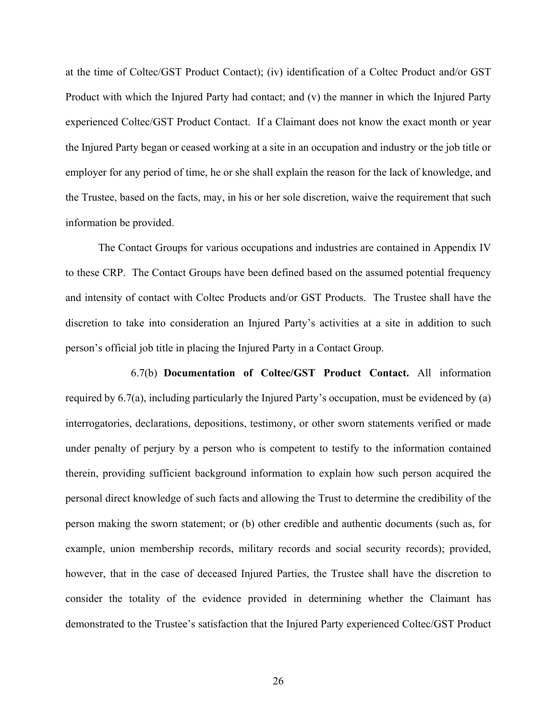at the time of Coltec/GST Product Contact); (iv) identification of a Coltec Product and/or GST Product with which the Injured Party had contact; and (v) the manner in which the Injured Party experienced Coltec/GST Product Contact. If a Claimant does not know the exact month or year the Injured Party began or ceased working at a site in an occupation and industry or the job title or employer for any period of time, he or she shall explain the reason for the lack of knowledge, and the Trustee, based on the facts, may, in his or her sole discretion, waive the requirement that such information be provided.

The Contact Groups for various occupations and industries are contained in Appendix IV to these CRP. The Contact Groups have been defined based on the assumed potential frequency and intensity of contact with Coltec Products and/or GST Products. The Trustee shall have the discretion to take into consideration an Injured Party's activities at a site in addition to such person's official job title in placing the Injured Party in a Contact Group.

6.7(b) **Documentation of Coltec/GST Product Contact.** All information required by 6.7(a), including particularly the Injured Party's occupation, must be evidenced by (a) interrogatories, declarations, depositions, testimony, or other sworn statements verified or made under penalty of perjury by a person who is competent to testify to the information contained therein, providing sufficient background information to explain how such person acquired the personal direct knowledge of such facts and allowing the Trust to determine the credibility of the person making the sworn statement; or (b) other credible and authentic documents (such as, for example, union membership records, military records and social security records); provided, however, that in the case of deceased Injured Parties, the Trustee shall have the discretion to consider the totality of the evidence provided in determining whether the Claimant has demonstrated to the Trustee's satisfaction that the Injured Party experienced Coltec/GST Product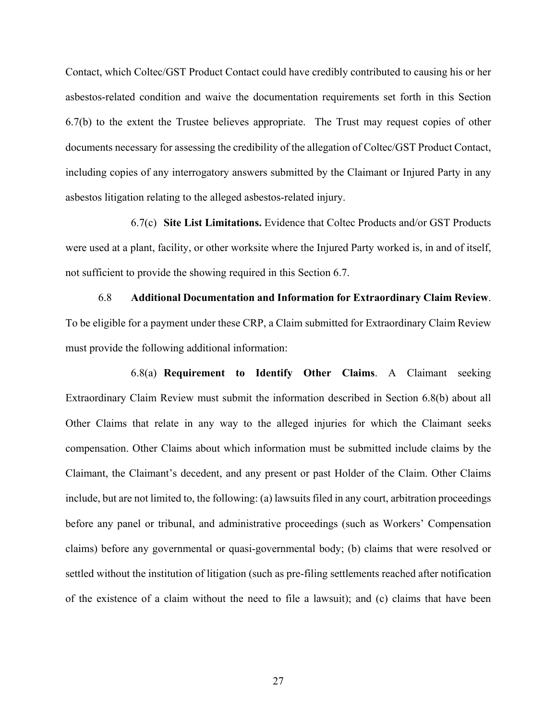Contact, which Coltec/GST Product Contact could have credibly contributed to causing his or her asbestos-related condition and waive the documentation requirements set forth in this Section 6.7(b) to the extent the Trustee believes appropriate. The Trust may request copies of other documents necessary for assessing the credibility of the allegation of Coltec/GST Product Contact, including copies of any interrogatory answers submitted by the Claimant or Injured Party in any asbestos litigation relating to the alleged asbestos-related injury.

6.7(c) **Site List Limitations.** Evidence that Coltec Products and/or GST Products were used at a plant, facility, or other worksite where the Injured Party worked is, in and of itself, not sufficient to provide the showing required in this Section 6.7.

6.8 **Additional Documentation and Information for Extraordinary Claim Review**. To be eligible for a payment under these CRP, a Claim submitted for Extraordinary Claim Review must provide the following additional information:

6.8(a) **Requirement to Identify Other Claims**. A Claimant seeking Extraordinary Claim Review must submit the information described in Section 6.8(b) about all Other Claims that relate in any way to the alleged injuries for which the Claimant seeks compensation. Other Claims about which information must be submitted include claims by the Claimant, the Claimant's decedent, and any present or past Holder of the Claim. Other Claims include, but are not limited to, the following: (a) lawsuits filed in any court, arbitration proceedings before any panel or tribunal, and administrative proceedings (such as Workers' Compensation claims) before any governmental or quasi-governmental body; (b) claims that were resolved or settled without the institution of litigation (such as pre-filing settlements reached after notification of the existence of a claim without the need to file a lawsuit); and (c) claims that have been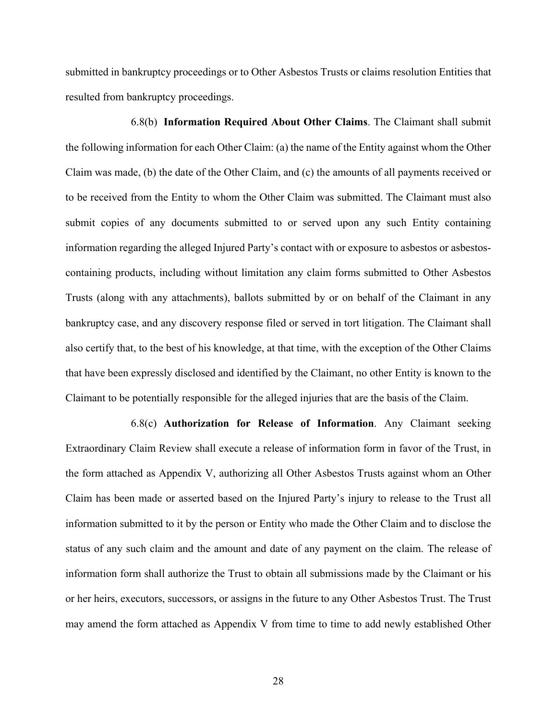submitted in bankruptcy proceedings or to Other Asbestos Trusts or claims resolution Entities that resulted from bankruptcy proceedings.

6.8(b) **Information Required About Other Claims**. The Claimant shall submit the following information for each Other Claim: (a) the name of the Entity against whom the Other Claim was made, (b) the date of the Other Claim, and (c) the amounts of all payments received or to be received from the Entity to whom the Other Claim was submitted. The Claimant must also submit copies of any documents submitted to or served upon any such Entity containing information regarding the alleged Injured Party's contact with or exposure to asbestos or asbestoscontaining products, including without limitation any claim forms submitted to Other Asbestos Trusts (along with any attachments), ballots submitted by or on behalf of the Claimant in any bankruptcy case, and any discovery response filed or served in tort litigation. The Claimant shall also certify that, to the best of his knowledge, at that time, with the exception of the Other Claims that have been expressly disclosed and identified by the Claimant, no other Entity is known to the Claimant to be potentially responsible for the alleged injuries that are the basis of the Claim.

6.8(c) **Authorization for Release of Information**. Any Claimant seeking Extraordinary Claim Review shall execute a release of information form in favor of the Trust, in the form attached as Appendix V, authorizing all Other Asbestos Trusts against whom an Other Claim has been made or asserted based on the Injured Party's injury to release to the Trust all information submitted to it by the person or Entity who made the Other Claim and to disclose the status of any such claim and the amount and date of any payment on the claim. The release of information form shall authorize the Trust to obtain all submissions made by the Claimant or his or her heirs, executors, successors, or assigns in the future to any Other Asbestos Trust. The Trust may amend the form attached as Appendix V from time to time to add newly established Other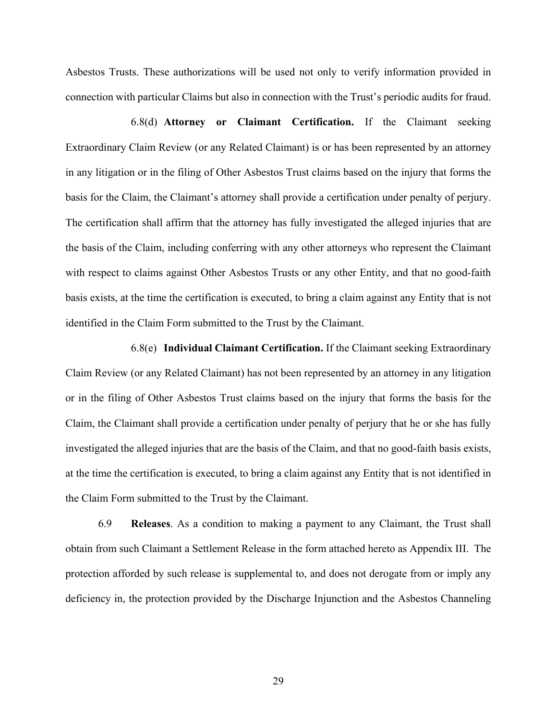Asbestos Trusts. These authorizations will be used not only to verify information provided in connection with particular Claims but also in connection with the Trust's periodic audits for fraud.

6.8(d) **Attorney or Claimant Certification.** If the Claimant seeking Extraordinary Claim Review (or any Related Claimant) is or has been represented by an attorney in any litigation or in the filing of Other Asbestos Trust claims based on the injury that forms the basis for the Claim, the Claimant's attorney shall provide a certification under penalty of perjury. The certification shall affirm that the attorney has fully investigated the alleged injuries that are the basis of the Claim, including conferring with any other attorneys who represent the Claimant with respect to claims against Other Asbestos Trusts or any other Entity, and that no good-faith basis exists, at the time the certification is executed, to bring a claim against any Entity that is not identified in the Claim Form submitted to the Trust by the Claimant.

6.8(e) **Individual Claimant Certification.** If the Claimant seeking Extraordinary Claim Review (or any Related Claimant) has not been represented by an attorney in any litigation or in the filing of Other Asbestos Trust claims based on the injury that forms the basis for the Claim, the Claimant shall provide a certification under penalty of perjury that he or she has fully investigated the alleged injuries that are the basis of the Claim, and that no good-faith basis exists, at the time the certification is executed, to bring a claim against any Entity that is not identified in the Claim Form submitted to the Trust by the Claimant.

6.9 **Releases**. As a condition to making a payment to any Claimant, the Trust shall obtain from such Claimant a Settlement Release in the form attached hereto as Appendix III. The protection afforded by such release is supplemental to, and does not derogate from or imply any deficiency in, the protection provided by the Discharge Injunction and the Asbestos Channeling

29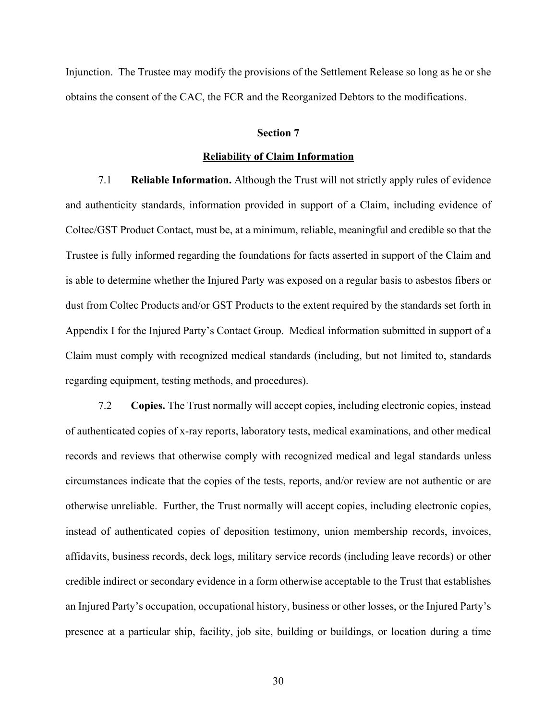Injunction. The Trustee may modify the provisions of the Settlement Release so long as he or she obtains the consent of the CAC, the FCR and the Reorganized Debtors to the modifications.

#### **Section 7**

### **Reliability of Claim Information**

7.1 **Reliable Information.** Although the Trust will not strictly apply rules of evidence and authenticity standards, information provided in support of a Claim, including evidence of Coltec/GST Product Contact, must be, at a minimum, reliable, meaningful and credible so that the Trustee is fully informed regarding the foundations for facts asserted in support of the Claim and is able to determine whether the Injured Party was exposed on a regular basis to asbestos fibers or dust from Coltec Products and/or GST Products to the extent required by the standards set forth in Appendix I for the Injured Party's Contact Group. Medical information submitted in support of a Claim must comply with recognized medical standards (including, but not limited to, standards regarding equipment, testing methods, and procedures).

7.2 **Copies.** The Trust normally will accept copies, including electronic copies, instead of authenticated copies of x-ray reports, laboratory tests, medical examinations, and other medical records and reviews that otherwise comply with recognized medical and legal standards unless circumstances indicate that the copies of the tests, reports, and/or review are not authentic or are otherwise unreliable. Further, the Trust normally will accept copies, including electronic copies, instead of authenticated copies of deposition testimony, union membership records, invoices, affidavits, business records, deck logs, military service records (including leave records) or other credible indirect or secondary evidence in a form otherwise acceptable to the Trust that establishes an Injured Party's occupation, occupational history, business or other losses, or the Injured Party's presence at a particular ship, facility, job site, building or buildings, or location during a time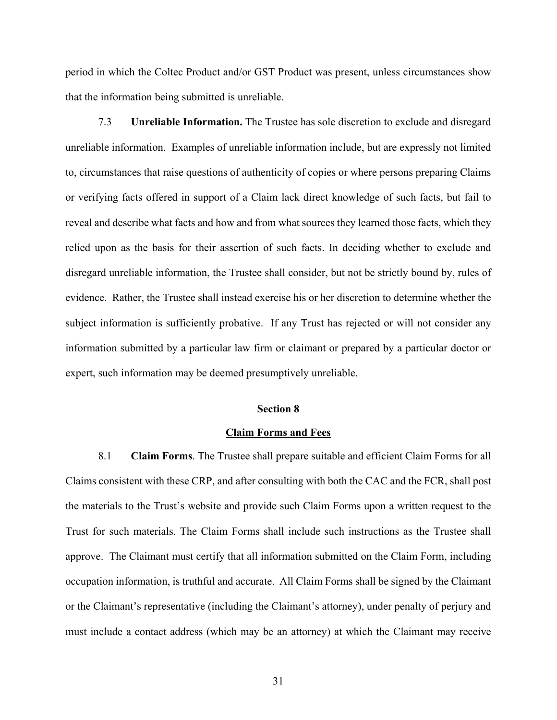period in which the Coltec Product and/or GST Product was present, unless circumstances show that the information being submitted is unreliable.

7.3 **Unreliable Information.** The Trustee has sole discretion to exclude and disregard unreliable information. Examples of unreliable information include, but are expressly not limited to, circumstances that raise questions of authenticity of copies or where persons preparing Claims or verifying facts offered in support of a Claim lack direct knowledge of such facts, but fail to reveal and describe what facts and how and from what sources they learned those facts, which they relied upon as the basis for their assertion of such facts. In deciding whether to exclude and disregard unreliable information, the Trustee shall consider, but not be strictly bound by, rules of evidence. Rather, the Trustee shall instead exercise his or her discretion to determine whether the subject information is sufficiently probative. If any Trust has rejected or will not consider any information submitted by a particular law firm or claimant or prepared by a particular doctor or expert, such information may be deemed presumptively unreliable.

### **Section 8**

### **Claim Forms and Fees**

8.1 **Claim Forms**. The Trustee shall prepare suitable and efficient Claim Forms for all Claims consistent with these CRP, and after consulting with both the CAC and the FCR, shall post the materials to the Trust's website and provide such Claim Forms upon a written request to the Trust for such materials. The Claim Forms shall include such instructions as the Trustee shall approve. The Claimant must certify that all information submitted on the Claim Form, including occupation information, is truthful and accurate. All Claim Forms shall be signed by the Claimant or the Claimant's representative (including the Claimant's attorney), under penalty of perjury and must include a contact address (which may be an attorney) at which the Claimant may receive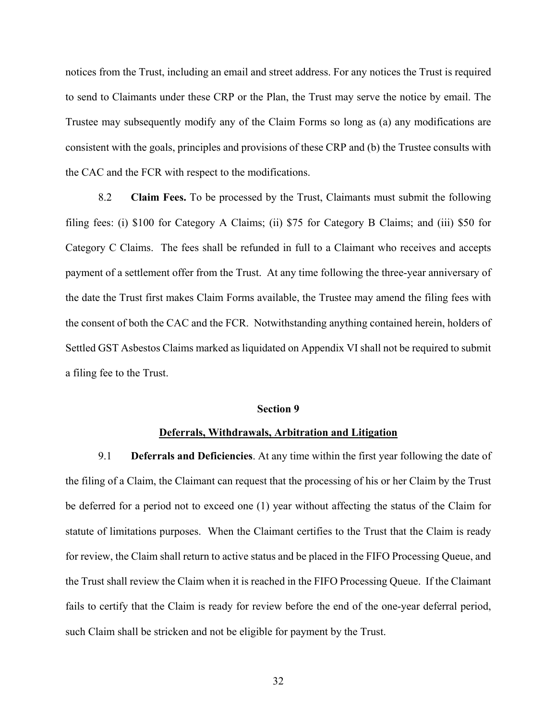notices from the Trust, including an email and street address. For any notices the Trust is required to send to Claimants under these CRP or the Plan, the Trust may serve the notice by email. The Trustee may subsequently modify any of the Claim Forms so long as (a) any modifications are consistent with the goals, principles and provisions of these CRP and (b) the Trustee consults with the CAC and the FCR with respect to the modifications.

8.2 **Claim Fees.** To be processed by the Trust, Claimants must submit the following filing fees: (i) \$100 for Category A Claims; (ii) \$75 for Category B Claims; and (iii) \$50 for Category C Claims. The fees shall be refunded in full to a Claimant who receives and accepts payment of a settlement offer from the Trust. At any time following the three-year anniversary of the date the Trust first makes Claim Forms available, the Trustee may amend the filing fees with the consent of both the CAC and the FCR. Notwithstanding anything contained herein, holders of Settled GST Asbestos Claims marked as liquidated on Appendix VI shall not be required to submit a filing fee to the Trust.

## **Section 9**

### **Deferrals, Withdrawals, Arbitration and Litigation**

9.1 **Deferrals and Deficiencies**. At any time within the first year following the date of the filing of a Claim, the Claimant can request that the processing of his or her Claim by the Trust be deferred for a period not to exceed one (1) year without affecting the status of the Claim for statute of limitations purposes. When the Claimant certifies to the Trust that the Claim is ready for review, the Claim shall return to active status and be placed in the FIFO Processing Queue, and the Trust shall review the Claim when it is reached in the FIFO Processing Queue. If the Claimant fails to certify that the Claim is ready for review before the end of the one-year deferral period, such Claim shall be stricken and not be eligible for payment by the Trust.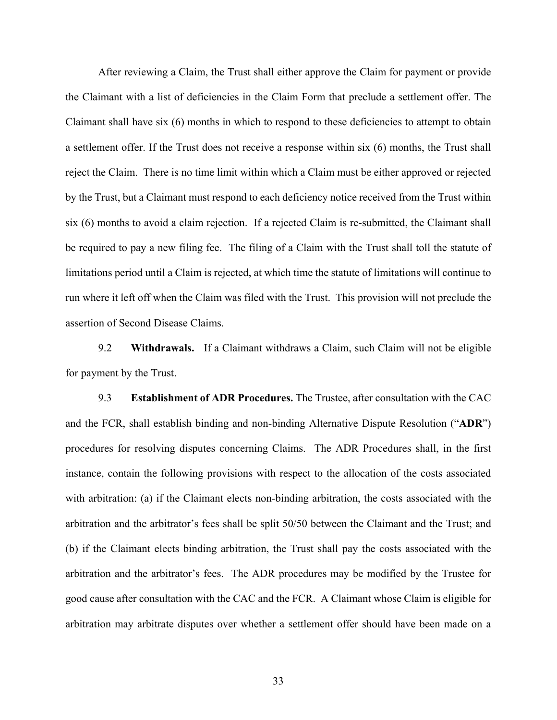After reviewing a Claim, the Trust shall either approve the Claim for payment or provide the Claimant with a list of deficiencies in the Claim Form that preclude a settlement offer. The Claimant shall have six (6) months in which to respond to these deficiencies to attempt to obtain a settlement offer. If the Trust does not receive a response within six (6) months, the Trust shall reject the Claim. There is no time limit within which a Claim must be either approved or rejected by the Trust, but a Claimant must respond to each deficiency notice received from the Trust within six (6) months to avoid a claim rejection. If a rejected Claim is re-submitted, the Claimant shall be required to pay a new filing fee. The filing of a Claim with the Trust shall toll the statute of limitations period until a Claim is rejected, at which time the statute of limitations will continue to run where it left off when the Claim was filed with the Trust. This provision will not preclude the assertion of Second Disease Claims.

9.2 **Withdrawals.** If a Claimant withdraws a Claim, such Claim will not be eligible for payment by the Trust.

9.3 **Establishment of ADR Procedures.** The Trustee, after consultation with the CAC and the FCR, shall establish binding and non-binding Alternative Dispute Resolution ("**ADR**") procedures for resolving disputes concerning Claims. The ADR Procedures shall, in the first instance, contain the following provisions with respect to the allocation of the costs associated with arbitration: (a) if the Claimant elects non-binding arbitration, the costs associated with the arbitration and the arbitrator's fees shall be split 50/50 between the Claimant and the Trust; and (b) if the Claimant elects binding arbitration, the Trust shall pay the costs associated with the arbitration and the arbitrator's fees. The ADR procedures may be modified by the Trustee for good cause after consultation with the CAC and the FCR. A Claimant whose Claim is eligible for arbitration may arbitrate disputes over whether a settlement offer should have been made on a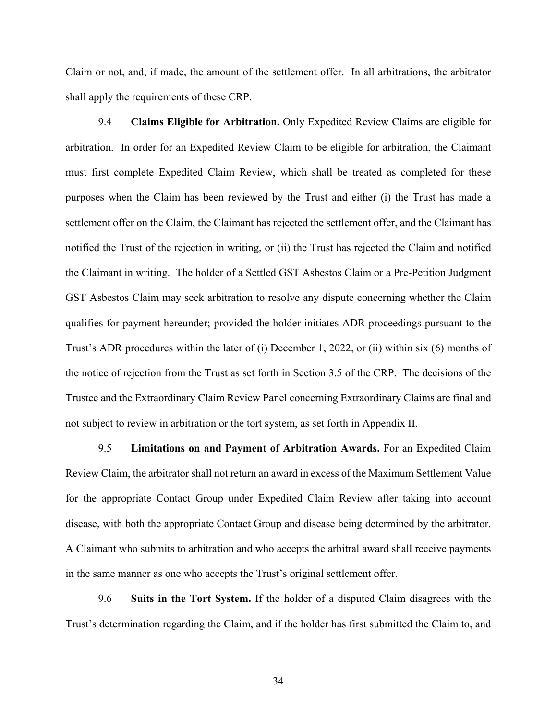Claim or not, and, if made, the amount of the settlement offer. In all arbitrations, the arbitrator shall apply the requirements of these CRP.

9.4 **Claims Eligible for Arbitration.** Only Expedited Review Claims are eligible for arbitration. In order for an Expedited Review Claim to be eligible for arbitration, the Claimant must first complete Expedited Claim Review, which shall be treated as completed for these purposes when the Claim has been reviewed by the Trust and either (i) the Trust has made a settlement offer on the Claim, the Claimant has rejected the settlement offer, and the Claimant has notified the Trust of the rejection in writing, or (ii) the Trust has rejected the Claim and notified the Claimant in writing. The holder of a Settled GST Asbestos Claim or a Pre-Petition Judgment GST Asbestos Claim may seek arbitration to resolve any dispute concerning whether the Claim qualifies for payment hereunder; provided the holder initiates ADR proceedings pursuant to the Trust's ADR procedures within the later of (i) December 1, 2022, or (ii) within six (6) months of the notice of rejection from the Trust as set forth in Section 3.5 of the CRP. The decisions of the Trustee and the Extraordinary Claim Review Panel concerning Extraordinary Claims are final and not subject to review in arbitration or the tort system, as set forth in Appendix II.

9.5 **Limitations on and Payment of Arbitration Awards.** For an Expedited Claim Review Claim, the arbitrator shall not return an award in excess of the Maximum Settlement Value for the appropriate Contact Group under Expedited Claim Review after taking into account disease, with both the appropriate Contact Group and disease being determined by the arbitrator. A Claimant who submits to arbitration and who accepts the arbitral award shall receive payments in the same manner as one who accepts the Trust's original settlement offer.

9.6 **Suits in the Tort System.** If the holder of a disputed Claim disagrees with the Trust's determination regarding the Claim, and if the holder has first submitted the Claim to, and

34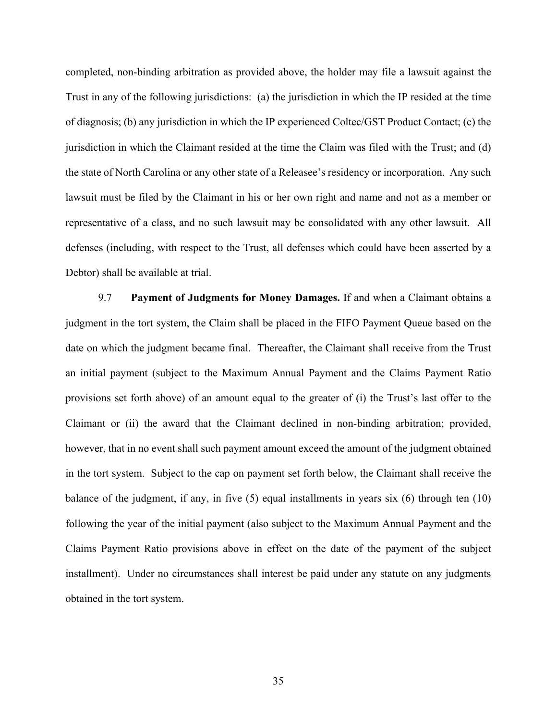completed, non-binding arbitration as provided above, the holder may file a lawsuit against the Trust in any of the following jurisdictions: (a) the jurisdiction in which the IP resided at the time of diagnosis; (b) any jurisdiction in which the IP experienced Coltec/GST Product Contact; (c) the jurisdiction in which the Claimant resided at the time the Claim was filed with the Trust; and (d) the state of North Carolina or any other state of a Releasee's residency or incorporation. Any such lawsuit must be filed by the Claimant in his or her own right and name and not as a member or representative of a class, and no such lawsuit may be consolidated with any other lawsuit. All defenses (including, with respect to the Trust, all defenses which could have been asserted by a Debtor) shall be available at trial.

9.7 **Payment of Judgments for Money Damages.** If and when a Claimant obtains a judgment in the tort system, the Claim shall be placed in the FIFO Payment Queue based on the date on which the judgment became final. Thereafter, the Claimant shall receive from the Trust an initial payment (subject to the Maximum Annual Payment and the Claims Payment Ratio provisions set forth above) of an amount equal to the greater of (i) the Trust's last offer to the Claimant or (ii) the award that the Claimant declined in non-binding arbitration; provided, however, that in no event shall such payment amount exceed the amount of the judgment obtained in the tort system. Subject to the cap on payment set forth below, the Claimant shall receive the balance of the judgment, if any, in five (5) equal installments in years six (6) through ten (10) following the year of the initial payment (also subject to the Maximum Annual Payment and the Claims Payment Ratio provisions above in effect on the date of the payment of the subject installment). Under no circumstances shall interest be paid under any statute on any judgments obtained in the tort system.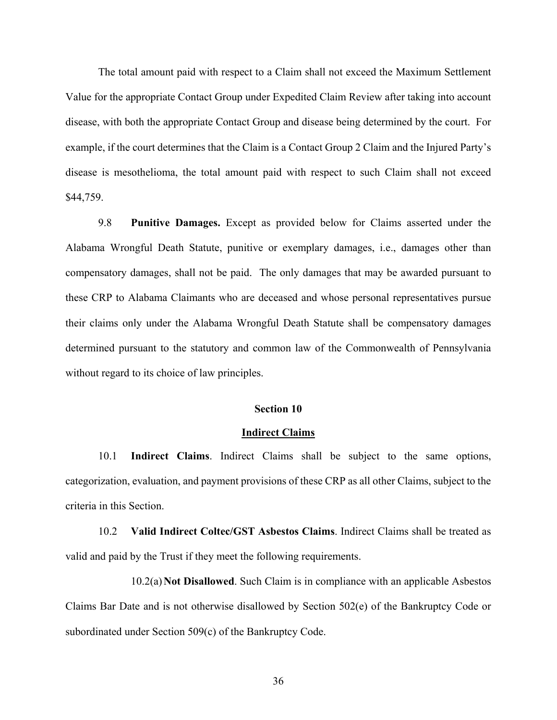The total amount paid with respect to a Claim shall not exceed the Maximum Settlement Value for the appropriate Contact Group under Expedited Claim Review after taking into account disease, with both the appropriate Contact Group and disease being determined by the court. For example, if the court determines that the Claim is a Contact Group 2 Claim and the Injured Party's disease is mesothelioma, the total amount paid with respect to such Claim shall not exceed \$44,759.

9.8 **Punitive Damages.** Except as provided below for Claims asserted under the Alabama Wrongful Death Statute, punitive or exemplary damages, i.e., damages other than compensatory damages, shall not be paid. The only damages that may be awarded pursuant to these CRP to Alabama Claimants who are deceased and whose personal representatives pursue their claims only under the Alabama Wrongful Death Statute shall be compensatory damages determined pursuant to the statutory and common law of the Commonwealth of Pennsylvania without regard to its choice of law principles.

## **Section 10**

#### **Indirect Claims**

10.1 **Indirect Claims**. Indirect Claims shall be subject to the same options, categorization, evaluation, and payment provisions of these CRP as all other Claims, subject to the criteria in this Section.

10.2 **Valid Indirect Coltec/GST Asbestos Claims**. Indirect Claims shall be treated as valid and paid by the Trust if they meet the following requirements.

10.2(a)**Not Disallowed**. Such Claim is in compliance with an applicable Asbestos Claims Bar Date and is not otherwise disallowed by Section 502(e) of the Bankruptcy Code or subordinated under Section 509(c) of the Bankruptcy Code.

36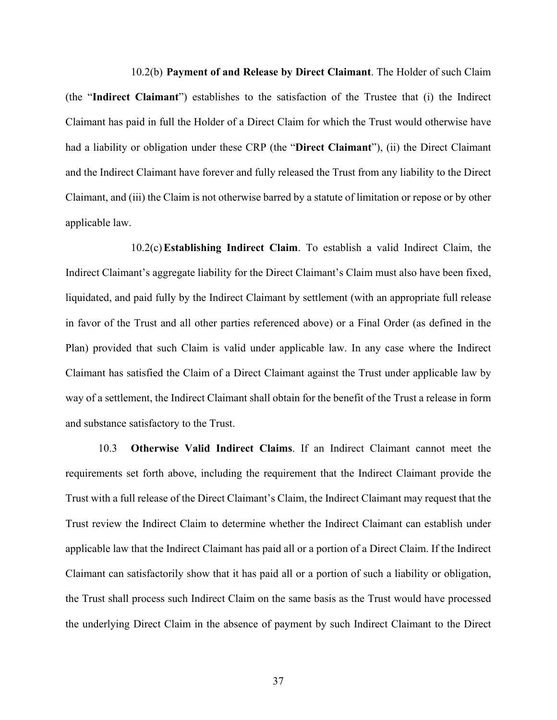10.2(b) **Payment of and Release by Direct Claimant**. The Holder of such Claim (the "**Indirect Claimant**") establishes to the satisfaction of the Trustee that (i) the Indirect Claimant has paid in full the Holder of a Direct Claim for which the Trust would otherwise have had a liability or obligation under these CRP (the "**Direct Claimant**"), (ii) the Direct Claimant and the Indirect Claimant have forever and fully released the Trust from any liability to the Direct Claimant, and (iii) the Claim is not otherwise barred by a statute of limitation or repose or by other applicable law.

10.2(c)**Establishing Indirect Claim**. To establish a valid Indirect Claim, the Indirect Claimant's aggregate liability for the Direct Claimant's Claim must also have been fixed, liquidated, and paid fully by the Indirect Claimant by settlement (with an appropriate full release in favor of the Trust and all other parties referenced above) or a Final Order (as defined in the Plan) provided that such Claim is valid under applicable law. In any case where the Indirect Claimant has satisfied the Claim of a Direct Claimant against the Trust under applicable law by way of a settlement, the Indirect Claimant shall obtain for the benefit of the Trust a release in form and substance satisfactory to the Trust.

10.3 **Otherwise Valid Indirect Claims**. If an Indirect Claimant cannot meet the requirements set forth above, including the requirement that the Indirect Claimant provide the Trust with a full release of the Direct Claimant's Claim, the Indirect Claimant may request that the Trust review the Indirect Claim to determine whether the Indirect Claimant can establish under applicable law that the Indirect Claimant has paid all or a portion of a Direct Claim. If the Indirect Claimant can satisfactorily show that it has paid all or a portion of such a liability or obligation, the Trust shall process such Indirect Claim on the same basis as the Trust would have processed the underlying Direct Claim in the absence of payment by such Indirect Claimant to the Direct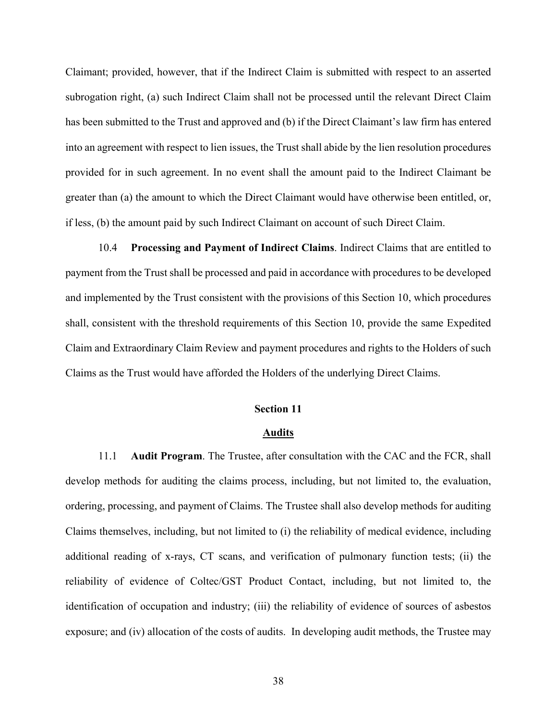Claimant; provided, however, that if the Indirect Claim is submitted with respect to an asserted subrogation right, (a) such Indirect Claim shall not be processed until the relevant Direct Claim has been submitted to the Trust and approved and (b) if the Direct Claimant's law firm has entered into an agreement with respect to lien issues, the Trust shall abide by the lien resolution procedures provided for in such agreement. In no event shall the amount paid to the Indirect Claimant be greater than (a) the amount to which the Direct Claimant would have otherwise been entitled, or, if less, (b) the amount paid by such Indirect Claimant on account of such Direct Claim.

10.4 **Processing and Payment of Indirect Claims**. Indirect Claims that are entitled to payment from the Trust shall be processed and paid in accordance with procedures to be developed and implemented by the Trust consistent with the provisions of this Section 10, which procedures shall, consistent with the threshold requirements of this Section 10, provide the same Expedited Claim and Extraordinary Claim Review and payment procedures and rights to the Holders of such Claims as the Trust would have afforded the Holders of the underlying Direct Claims.

## **Section 11**

#### **Audits**

11.1 **Audit Program**. The Trustee, after consultation with the CAC and the FCR, shall develop methods for auditing the claims process, including, but not limited to, the evaluation, ordering, processing, and payment of Claims. The Trustee shall also develop methods for auditing Claims themselves, including, but not limited to (i) the reliability of medical evidence, including additional reading of x-rays, CT scans, and verification of pulmonary function tests; (ii) the reliability of evidence of Coltec/GST Product Contact, including, but not limited to, the identification of occupation and industry; (iii) the reliability of evidence of sources of asbestos exposure; and (iv) allocation of the costs of audits. In developing audit methods, the Trustee may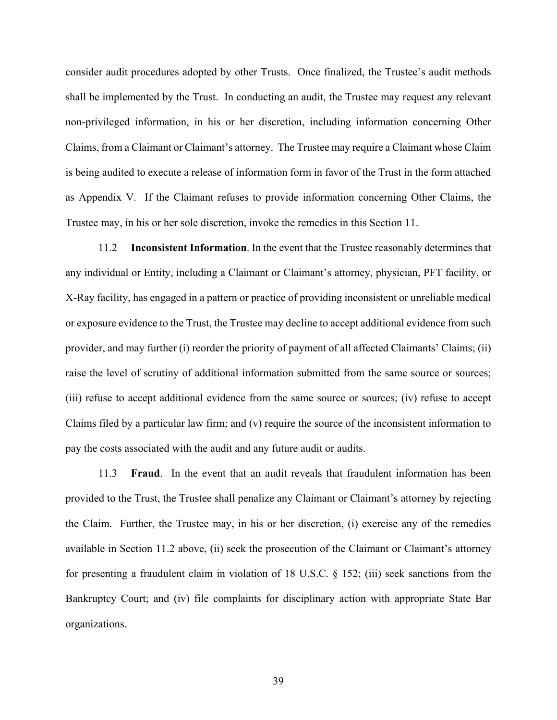consider audit procedures adopted by other Trusts. Once finalized, the Trustee's audit methods shall be implemented by the Trust. In conducting an audit, the Trustee may request any relevant non-privileged information, in his or her discretion, including information concerning Other Claims, from a Claimant or Claimant's attorney. The Trustee may require a Claimant whose Claim is being audited to execute a release of information form in favor of the Trust in the form attached as Appendix V. If the Claimant refuses to provide information concerning Other Claims, the Trustee may, in his or her sole discretion, invoke the remedies in this Section 11.

11.2 **Inconsistent Information**. In the event that the Trustee reasonably determines that any individual or Entity, including a Claimant or Claimant's attorney, physician, PFT facility, or X-Ray facility, has engaged in a pattern or practice of providing inconsistent or unreliable medical or exposure evidence to the Trust, the Trustee may decline to accept additional evidence from such provider, and may further (i) reorder the priority of payment of all affected Claimants' Claims; (ii) raise the level of scrutiny of additional information submitted from the same source or sources; (iii) refuse to accept additional evidence from the same source or sources; (iv) refuse to accept Claims filed by a particular law firm; and (v) require the source of the inconsistent information to pay the costs associated with the audit and any future audit or audits.

11.3 **Fraud**. In the event that an audit reveals that fraudulent information has been provided to the Trust, the Trustee shall penalize any Claimant or Claimant's attorney by rejecting the Claim. Further, the Trustee may, in his or her discretion, (i) exercise any of the remedies available in Section 11.2 above, (ii) seek the prosecution of the Claimant or Claimant's attorney for presenting a fraudulent claim in violation of 18 U.S.C. § 152; (iii) seek sanctions from the Bankruptcy Court; and (iv) file complaints for disciplinary action with appropriate State Bar organizations.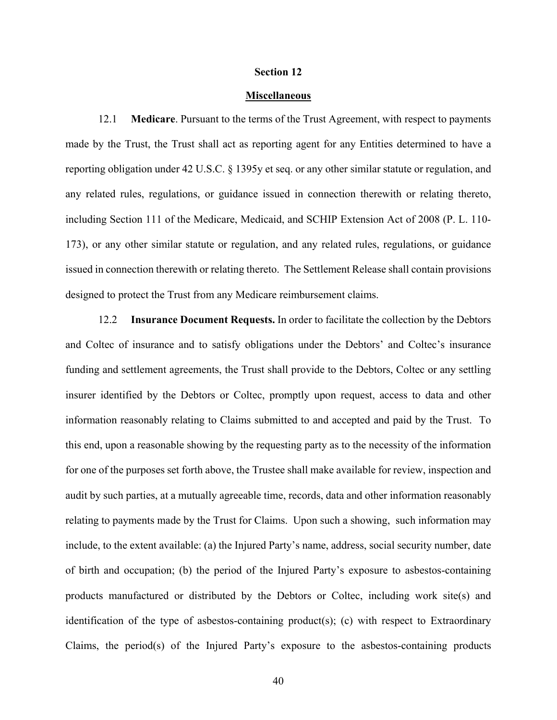#### **Section 12**

#### **Miscellaneous**

12.1 **Medicare**. Pursuant to the terms of the Trust Agreement, with respect to payments made by the Trust, the Trust shall act as reporting agent for any Entities determined to have a reporting obligation under 42 U.S.C. § 1395y et seq. or any other similar statute or regulation, and any related rules, regulations, or guidance issued in connection therewith or relating thereto, including Section 111 of the Medicare, Medicaid, and SCHIP Extension Act of 2008 (P. L. 110- 173), or any other similar statute or regulation, and any related rules, regulations, or guidance issued in connection therewith or relating thereto. The Settlement Release shall contain provisions designed to protect the Trust from any Medicare reimbursement claims.

12.2 **Insurance Document Requests.** In order to facilitate the collection by the Debtors and Coltec of insurance and to satisfy obligations under the Debtors' and Coltec's insurance funding and settlement agreements, the Trust shall provide to the Debtors, Coltec or any settling insurer identified by the Debtors or Coltec, promptly upon request, access to data and other information reasonably relating to Claims submitted to and accepted and paid by the Trust. To this end, upon a reasonable showing by the requesting party as to the necessity of the information for one of the purposes set forth above, the Trustee shall make available for review, inspection and audit by such parties, at a mutually agreeable time, records, data and other information reasonably relating to payments made by the Trust for Claims. Upon such a showing, such information may include, to the extent available: (a) the Injured Party's name, address, social security number, date of birth and occupation; (b) the period of the Injured Party's exposure to asbestos-containing products manufactured or distributed by the Debtors or Coltec, including work site(s) and identification of the type of asbestos-containing product(s); (c) with respect to Extraordinary Claims, the period(s) of the Injured Party's exposure to the asbestos-containing products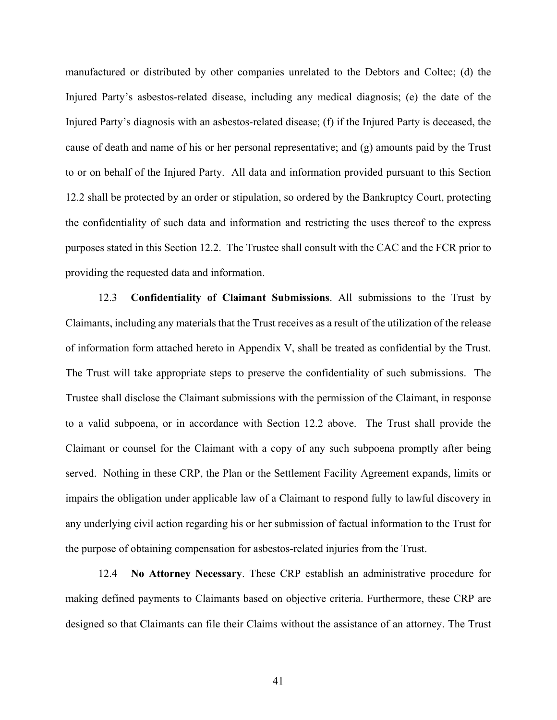manufactured or distributed by other companies unrelated to the Debtors and Coltec; (d) the Injured Party's asbestos-related disease, including any medical diagnosis; (e) the date of the Injured Party's diagnosis with an asbestos-related disease; (f) if the Injured Party is deceased, the cause of death and name of his or her personal representative; and (g) amounts paid by the Trust to or on behalf of the Injured Party. All data and information provided pursuant to this Section 12.2 shall be protected by an order or stipulation, so ordered by the Bankruptcy Court, protecting the confidentiality of such data and information and restricting the uses thereof to the express purposes stated in this Section 12.2. The Trustee shall consult with the CAC and the FCR prior to providing the requested data and information.

12.3 **Confidentiality of Claimant Submissions**. All submissions to the Trust by Claimants, including any materials that the Trust receives as a result of the utilization of the release of information form attached hereto in Appendix V, shall be treated as confidential by the Trust. The Trust will take appropriate steps to preserve the confidentiality of such submissions. The Trustee shall disclose the Claimant submissions with the permission of the Claimant, in response to a valid subpoena, or in accordance with Section 12.2 above. The Trust shall provide the Claimant or counsel for the Claimant with a copy of any such subpoena promptly after being served. Nothing in these CRP, the Plan or the Settlement Facility Agreement expands, limits or impairs the obligation under applicable law of a Claimant to respond fully to lawful discovery in any underlying civil action regarding his or her submission of factual information to the Trust for the purpose of obtaining compensation for asbestos-related injuries from the Trust.

12.4 **No Attorney Necessary**. These CRP establish an administrative procedure for making defined payments to Claimants based on objective criteria. Furthermore, these CRP are designed so that Claimants can file their Claims without the assistance of an attorney. The Trust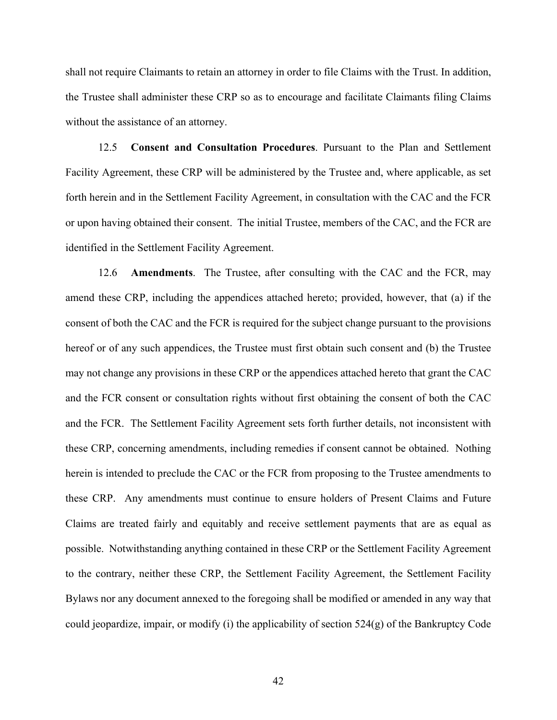shall not require Claimants to retain an attorney in order to file Claims with the Trust. In addition, the Trustee shall administer these CRP so as to encourage and facilitate Claimants filing Claims without the assistance of an attorney.

12.5 **Consent and Consultation Procedures**. Pursuant to the Plan and Settlement Facility Agreement, these CRP will be administered by the Trustee and, where applicable, as set forth herein and in the Settlement Facility Agreement, in consultation with the CAC and the FCR or upon having obtained their consent. The initial Trustee, members of the CAC, and the FCR are identified in the Settlement Facility Agreement.

12.6 **Amendments**. The Trustee, after consulting with the CAC and the FCR, may amend these CRP, including the appendices attached hereto; provided, however, that (a) if the consent of both the CAC and the FCR is required for the subject change pursuant to the provisions hereof or of any such appendices, the Trustee must first obtain such consent and (b) the Trustee may not change any provisions in these CRP or the appendices attached hereto that grant the CAC and the FCR consent or consultation rights without first obtaining the consent of both the CAC and the FCR. The Settlement Facility Agreement sets forth further details, not inconsistent with these CRP, concerning amendments, including remedies if consent cannot be obtained. Nothing herein is intended to preclude the CAC or the FCR from proposing to the Trustee amendments to these CRP. Any amendments must continue to ensure holders of Present Claims and Future Claims are treated fairly and equitably and receive settlement payments that are as equal as possible. Notwithstanding anything contained in these CRP or the Settlement Facility Agreement to the contrary, neither these CRP, the Settlement Facility Agreement, the Settlement Facility Bylaws nor any document annexed to the foregoing shall be modified or amended in any way that could jeopardize, impair, or modify (i) the applicability of section  $524(g)$  of the Bankruptcy Code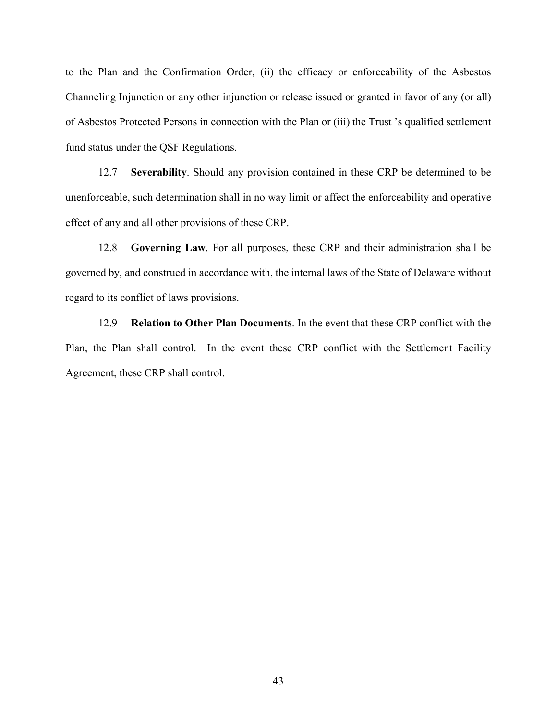to the Plan and the Confirmation Order, (ii) the efficacy or enforceability of the Asbestos Channeling Injunction or any other injunction or release issued or granted in favor of any (or all) of Asbestos Protected Persons in connection with the Plan or (iii) the Trust 's qualified settlement fund status under the QSF Regulations.

12.7 **Severability**. Should any provision contained in these CRP be determined to be unenforceable, such determination shall in no way limit or affect the enforceability and operative effect of any and all other provisions of these CRP.

12.8 **Governing Law**. For all purposes, these CRP and their administration shall be governed by, and construed in accordance with, the internal laws of the State of Delaware without regard to its conflict of laws provisions.

12.9 **Relation to Other Plan Documents**. In the event that these CRP conflict with the Plan, the Plan shall control. In the event these CRP conflict with the Settlement Facility Agreement, these CRP shall control.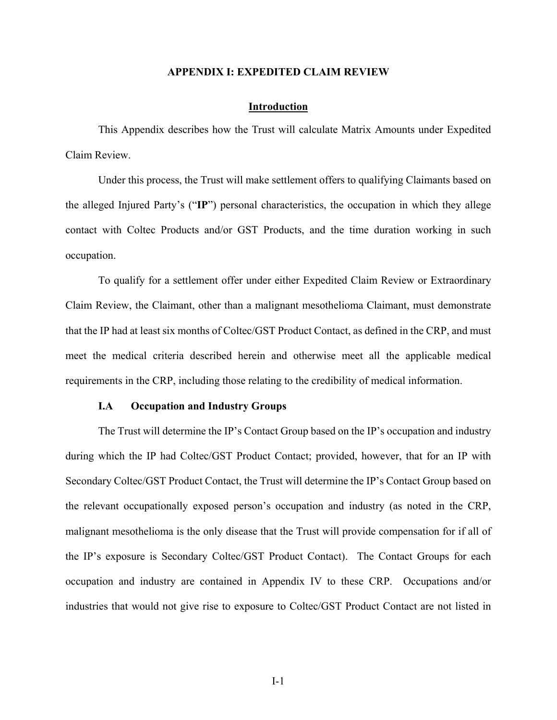#### **APPENDIX I: EXPEDITED CLAIM REVIEW**

#### **Introduction**

This Appendix describes how the Trust will calculate Matrix Amounts under Expedited Claim Review.

Under this process, the Trust will make settlement offers to qualifying Claimants based on the alleged Injured Party's ("**IP**") personal characteristics, the occupation in which they allege contact with Coltec Products and/or GST Products, and the time duration working in such occupation.

To qualify for a settlement offer under either Expedited Claim Review or Extraordinary Claim Review, the Claimant, other than a malignant mesothelioma Claimant, must demonstrate that the IP had at least six months of Coltec/GST Product Contact, as defined in the CRP, and must meet the medical criteria described herein and otherwise meet all the applicable medical requirements in the CRP, including those relating to the credibility of medical information.

#### **I.A Occupation and Industry Groups**

The Trust will determine the IP's Contact Group based on the IP's occupation and industry during which the IP had Coltec/GST Product Contact; provided, however, that for an IP with Secondary Coltec/GST Product Contact, the Trust will determine the IP's Contact Group based on the relevant occupationally exposed person's occupation and industry (as noted in the CRP, malignant mesothelioma is the only disease that the Trust will provide compensation for if all of the IP's exposure is Secondary Coltec/GST Product Contact). The Contact Groups for each occupation and industry are contained in Appendix IV to these CRP. Occupations and/or industries that would not give rise to exposure to Coltec/GST Product Contact are not listed in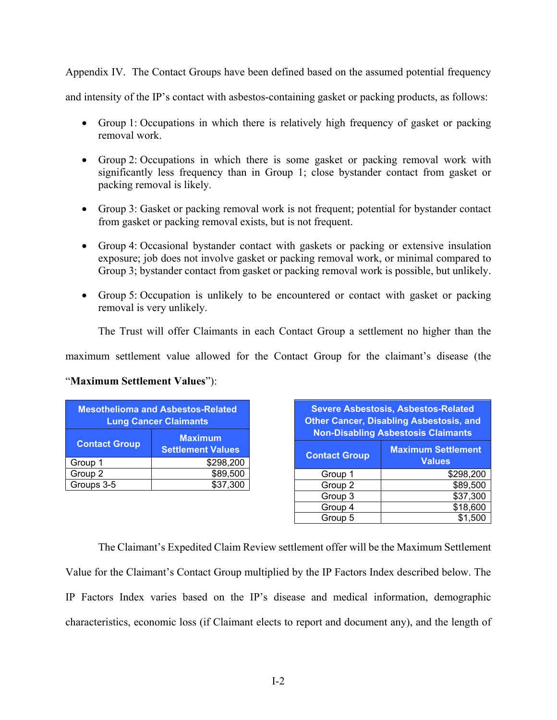Appendix IV. The Contact Groups have been defined based on the assumed potential frequency

and intensity of the IP's contact with asbestos-containing gasket or packing products, as follows:

- Group 1: Occupations in which there is relatively high frequency of gasket or packing removal work.
- Group 2: Occupations in which there is some gasket or packing removal work with significantly less frequency than in Group 1; close bystander contact from gasket or packing removal is likely.
- Group 3: Gasket or packing removal work is not frequent; potential for bystander contact from gasket or packing removal exists, but is not frequent.
- Group 4: Occasional bystander contact with gaskets or packing or extensive insulation exposure; job does not involve gasket or packing removal work, or minimal compared to Group 3; bystander contact from gasket or packing removal work is possible, but unlikely.
- Group 5: Occupation is unlikely to be encountered or contact with gasket or packing removal is very unlikely.

The Trust will offer Claimants in each Contact Group a settlement no higher than the

maximum settlement value allowed for the Contact Group for the claimant's disease (the

# "**Maximum Settlement Values**"):

| <b>Mesothelioma and Asbestos-Related</b><br><b>Lung Cancer Claimants</b> |                                            |  |
|--------------------------------------------------------------------------|--------------------------------------------|--|
| <b>Contact Group</b>                                                     | <b>Maximum</b><br><b>Settlement Values</b> |  |
| Group 1                                                                  | \$298,200                                  |  |
| Group 2                                                                  | \$89,500                                   |  |
| Groups 3-5                                                               | \$37,300                                   |  |

| <b>Severe Asbestosis, Asbestos-Related</b><br><b>Other Cancer, Disabling Asbestosis, and</b><br><b>Non-Disabling Asbestosis Claimants</b> |                                            |  |  |
|-------------------------------------------------------------------------------------------------------------------------------------------|--------------------------------------------|--|--|
| <b>Contact Group</b>                                                                                                                      | <b>Maximum Settlement</b><br><b>Values</b> |  |  |
| Group 1                                                                                                                                   | \$298,200                                  |  |  |
| Group 2                                                                                                                                   | \$89,500                                   |  |  |
| Group 3                                                                                                                                   | \$37,300                                   |  |  |
| Group 4                                                                                                                                   | \$18,600                                   |  |  |
| Group 5                                                                                                                                   | \$1.50                                     |  |  |

The Claimant's Expedited Claim Review settlement offer will be the Maximum Settlement Value for the Claimant's Contact Group multiplied by the IP Factors Index described below. The IP Factors Index varies based on the IP's disease and medical information, demographic characteristics, economic loss (if Claimant elects to report and document any), and the length of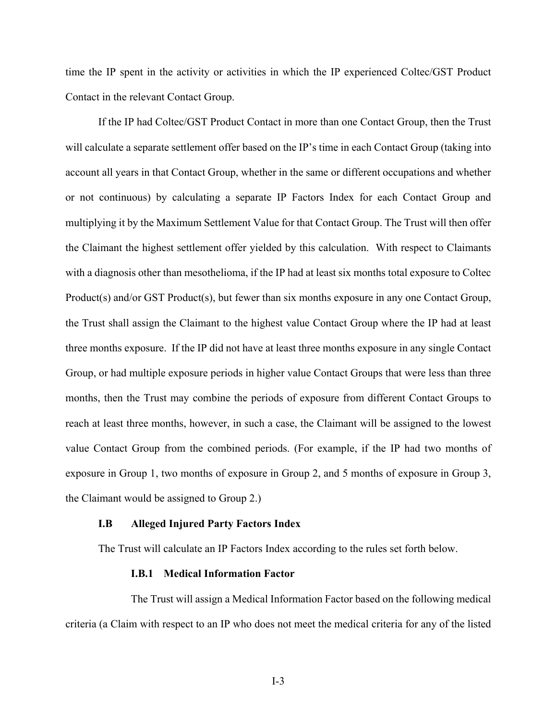time the IP spent in the activity or activities in which the IP experienced Coltec/GST Product Contact in the relevant Contact Group.

If the IP had Coltec/GST Product Contact in more than one Contact Group, then the Trust will calculate a separate settlement offer based on the IP's time in each Contact Group (taking into account all years in that Contact Group, whether in the same or different occupations and whether or not continuous) by calculating a separate IP Factors Index for each Contact Group and multiplying it by the Maximum Settlement Value for that Contact Group. The Trust will then offer the Claimant the highest settlement offer yielded by this calculation. With respect to Claimants with a diagnosis other than mesothelioma, if the IP had at least six months total exposure to Coltec Product(s) and/or GST Product(s), but fewer than six months exposure in any one Contact Group, the Trust shall assign the Claimant to the highest value Contact Group where the IP had at least three months exposure. If the IP did not have at least three months exposure in any single Contact Group, or had multiple exposure periods in higher value Contact Groups that were less than three months, then the Trust may combine the periods of exposure from different Contact Groups to reach at least three months, however, in such a case, the Claimant will be assigned to the lowest value Contact Group from the combined periods. (For example, if the IP had two months of exposure in Group 1, two months of exposure in Group 2, and 5 months of exposure in Group 3, the Claimant would be assigned to Group 2.)

#### **I.B Alleged Injured Party Factors Index**

The Trust will calculate an IP Factors Index according to the rules set forth below.

#### **I.B.1 Medical Information Factor**

The Trust will assign a Medical Information Factor based on the following medical criteria (a Claim with respect to an IP who does not meet the medical criteria for any of the listed

I-3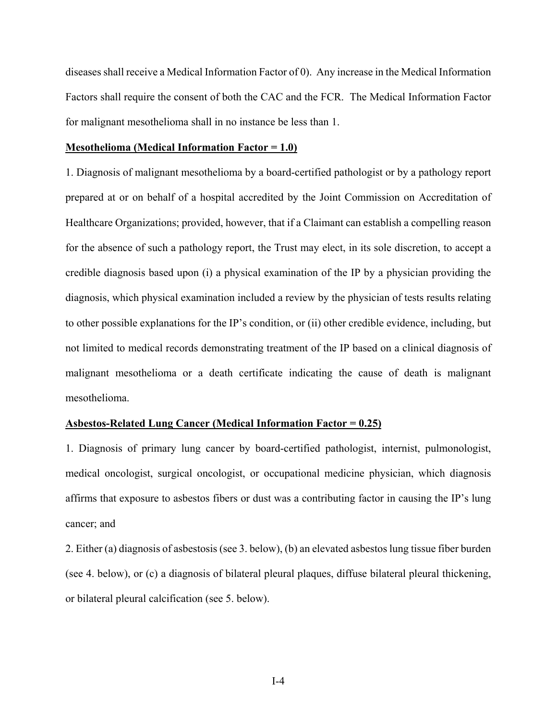diseases shall receive a Medical Information Factor of 0). Any increase in the Medical Information Factors shall require the consent of both the CAC and the FCR. The Medical Information Factor for malignant mesothelioma shall in no instance be less than 1.

#### **Mesothelioma (Medical Information Factor = 1.0)**

1. Diagnosis of malignant mesothelioma by a board-certified pathologist or by a pathology report prepared at or on behalf of a hospital accredited by the Joint Commission on Accreditation of Healthcare Organizations; provided, however, that if a Claimant can establish a compelling reason for the absence of such a pathology report, the Trust may elect, in its sole discretion, to accept a credible diagnosis based upon (i) a physical examination of the IP by a physician providing the diagnosis, which physical examination included a review by the physician of tests results relating to other possible explanations for the IP's condition, or (ii) other credible evidence, including, but not limited to medical records demonstrating treatment of the IP based on a clinical diagnosis of malignant mesothelioma or a death certificate indicating the cause of death is malignant mesothelioma.

# **Asbestos-Related Lung Cancer (Medical Information Factor = 0.25)**

1. Diagnosis of primary lung cancer by board-certified pathologist, internist, pulmonologist, medical oncologist, surgical oncologist, or occupational medicine physician, which diagnosis affirms that exposure to asbestos fibers or dust was a contributing factor in causing the IP's lung cancer; and

2. Either (a) diagnosis of asbestosis (see 3. below), (b) an elevated asbestos lung tissue fiber burden (see 4. below), or (c) a diagnosis of bilateral pleural plaques, diffuse bilateral pleural thickening, or bilateral pleural calcification (see 5. below).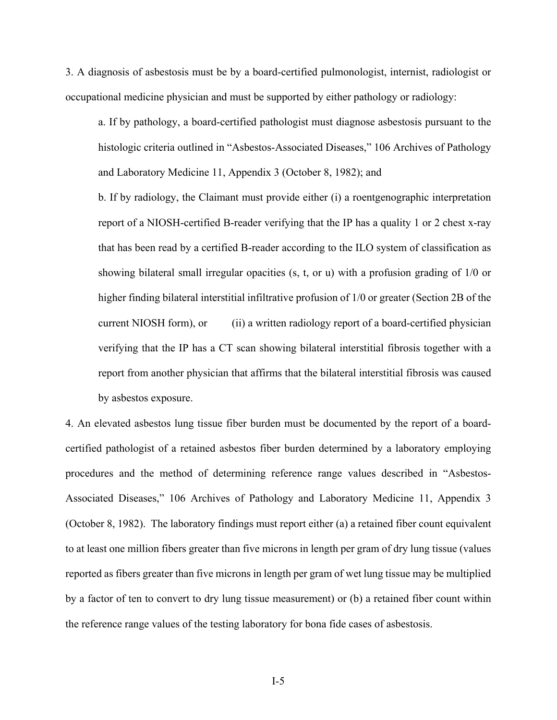3. A diagnosis of asbestosis must be by a board-certified pulmonologist, internist, radiologist or occupational medicine physician and must be supported by either pathology or radiology:

a. If by pathology, a board-certified pathologist must diagnose asbestosis pursuant to the histologic criteria outlined in "Asbestos-Associated Diseases," 106 Archives of Pathology and Laboratory Medicine 11, Appendix 3 (October 8, 1982); and

b. If by radiology, the Claimant must provide either (i) a roentgenographic interpretation report of a NIOSH-certified B-reader verifying that the IP has a quality 1 or 2 chest x-ray that has been read by a certified B-reader according to the ILO system of classification as showing bilateral small irregular opacities (s, t, or u) with a profusion grading of 1/0 or higher finding bilateral interstitial infiltrative profusion of 1/0 or greater (Section 2B of the current NIOSH form), or (ii) a written radiology report of a board-certified physician verifying that the IP has a CT scan showing bilateral interstitial fibrosis together with a report from another physician that affirms that the bilateral interstitial fibrosis was caused by asbestos exposure.

4. An elevated asbestos lung tissue fiber burden must be documented by the report of a boardcertified pathologist of a retained asbestos fiber burden determined by a laboratory employing procedures and the method of determining reference range values described in "Asbestos-Associated Diseases," 106 Archives of Pathology and Laboratory Medicine 11, Appendix 3 (October 8, 1982). The laboratory findings must report either (a) a retained fiber count equivalent to at least one million fibers greater than five microns in length per gram of dry lung tissue (values reported as fibers greater than five microns in length per gram of wet lung tissue may be multiplied by a factor of ten to convert to dry lung tissue measurement) or (b) a retained fiber count within the reference range values of the testing laboratory for bona fide cases of asbestosis.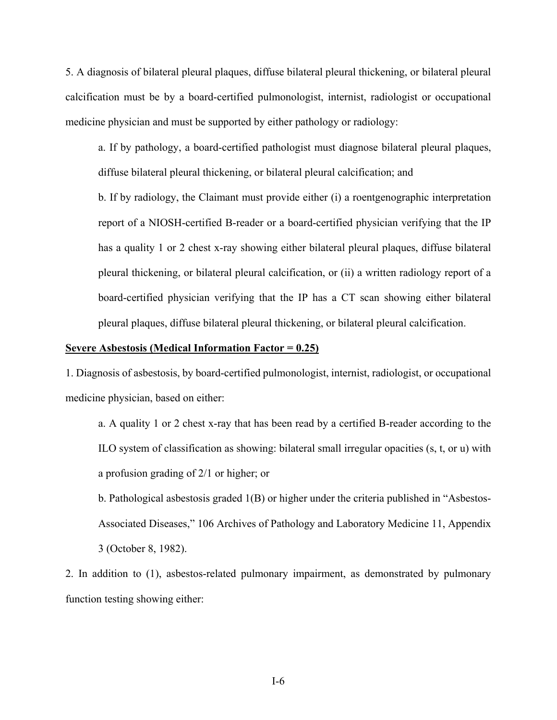5. A diagnosis of bilateral pleural plaques, diffuse bilateral pleural thickening, or bilateral pleural calcification must be by a board-certified pulmonologist, internist, radiologist or occupational medicine physician and must be supported by either pathology or radiology:

a. If by pathology, a board-certified pathologist must diagnose bilateral pleural plaques, diffuse bilateral pleural thickening, or bilateral pleural calcification; and

b. If by radiology, the Claimant must provide either (i) a roentgenographic interpretation report of a NIOSH-certified B-reader or a board-certified physician verifying that the IP has a quality 1 or 2 chest x-ray showing either bilateral pleural plaques, diffuse bilateral pleural thickening, or bilateral pleural calcification, or (ii) a written radiology report of a board-certified physician verifying that the IP has a CT scan showing either bilateral pleural plaques, diffuse bilateral pleural thickening, or bilateral pleural calcification.

# **Severe Asbestosis (Medical Information Factor = 0.25)**

1. Diagnosis of asbestosis, by board-certified pulmonologist, internist, radiologist, or occupational medicine physician, based on either:

a. A quality 1 or 2 chest x-ray that has been read by a certified B-reader according to the ILO system of classification as showing: bilateral small irregular opacities (s, t, or u) with a profusion grading of 2/1 or higher; or

b. Pathological asbestosis graded 1(B) or higher under the criteria published in "Asbestos-Associated Diseases," 106 Archives of Pathology and Laboratory Medicine 11, Appendix 3 (October 8, 1982).

2. In addition to (1), asbestos-related pulmonary impairment, as demonstrated by pulmonary function testing showing either: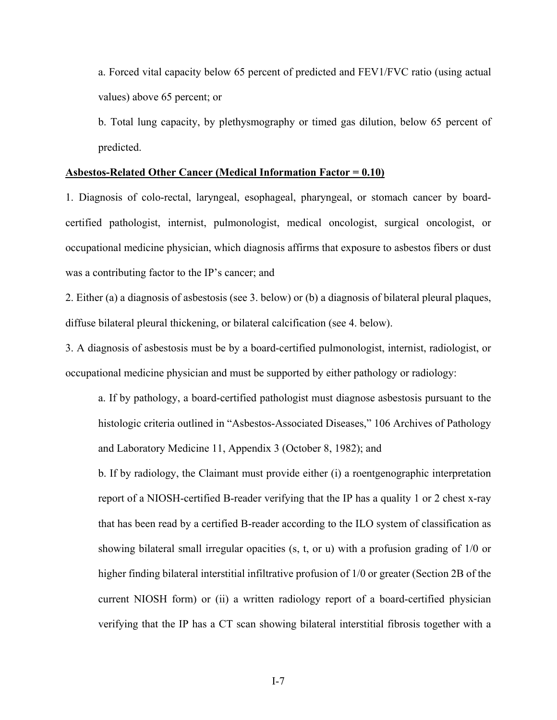a. Forced vital capacity below 65 percent of predicted and FEV1/FVC ratio (using actual values) above 65 percent; or

b. Total lung capacity, by plethysmography or timed gas dilution, below 65 percent of predicted.

#### **Asbestos-Related Other Cancer (Medical Information Factor = 0.10)**

1. Diagnosis of colo-rectal, laryngeal, esophageal, pharyngeal, or stomach cancer by boardcertified pathologist, internist, pulmonologist, medical oncologist, surgical oncologist, or occupational medicine physician, which diagnosis affirms that exposure to asbestos fibers or dust was a contributing factor to the IP's cancer; and

2. Either (a) a diagnosis of asbestosis (see 3. below) or (b) a diagnosis of bilateral pleural plaques, diffuse bilateral pleural thickening, or bilateral calcification (see 4. below).

3. A diagnosis of asbestosis must be by a board-certified pulmonologist, internist, radiologist, or occupational medicine physician and must be supported by either pathology or radiology:

a. If by pathology, a board-certified pathologist must diagnose asbestosis pursuant to the histologic criteria outlined in "Asbestos-Associated Diseases," 106 Archives of Pathology and Laboratory Medicine 11, Appendix 3 (October 8, 1982); and

b. If by radiology, the Claimant must provide either (i) a roentgenographic interpretation report of a NIOSH-certified B-reader verifying that the IP has a quality 1 or 2 chest x-ray that has been read by a certified B-reader according to the ILO system of classification as showing bilateral small irregular opacities (s, t, or u) with a profusion grading of 1/0 or higher finding bilateral interstitial infiltrative profusion of 1/0 or greater (Section 2B of the current NIOSH form) or (ii) a written radiology report of a board-certified physician verifying that the IP has a CT scan showing bilateral interstitial fibrosis together with a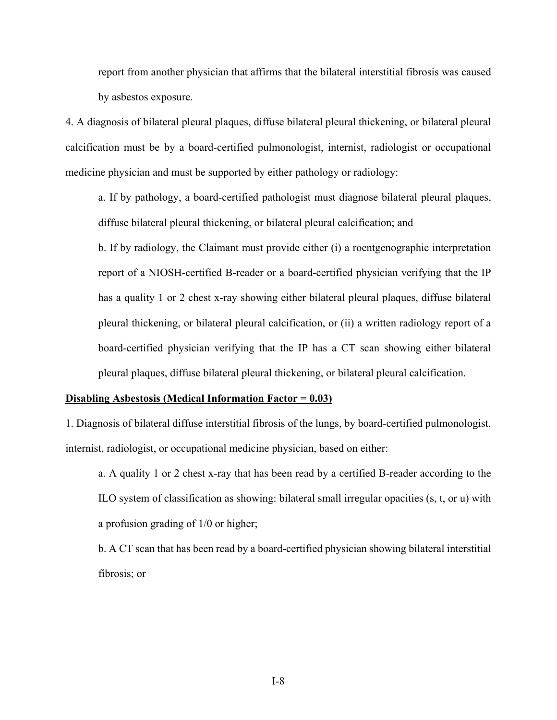report from another physician that affirms that the bilateral interstitial fibrosis was caused by asbestos exposure.

4. A diagnosis of bilateral pleural plaques, diffuse bilateral pleural thickening, or bilateral pleural calcification must be by a board-certified pulmonologist, internist, radiologist or occupational medicine physician and must be supported by either pathology or radiology:

a. If by pathology, a board-certified pathologist must diagnose bilateral pleural plaques, diffuse bilateral pleural thickening, or bilateral pleural calcification; and

b. If by radiology, the Claimant must provide either (i) a roentgenographic interpretation report of a NIOSH-certified B-reader or a board-certified physician verifying that the IP has a quality 1 or 2 chest x-ray showing either bilateral pleural plaques, diffuse bilateral pleural thickening, or bilateral pleural calcification, or (ii) a written radiology report of a board-certified physician verifying that the IP has a CT scan showing either bilateral pleural plaques, diffuse bilateral pleural thickening, or bilateral pleural calcification.

#### **Disabling Asbestosis (Medical Information Factor = 0.03)**

1. Diagnosis of bilateral diffuse interstitial fibrosis of the lungs, by board-certified pulmonologist, internist, radiologist, or occupational medicine physician, based on either:

a. A quality 1 or 2 chest x-ray that has been read by a certified B-reader according to the ILO system of classification as showing: bilateral small irregular opacities (s, t, or u) with a profusion grading of 1/0 or higher;

b. A CT scan that has been read by a board-certified physician showing bilateral interstitial fibrosis; or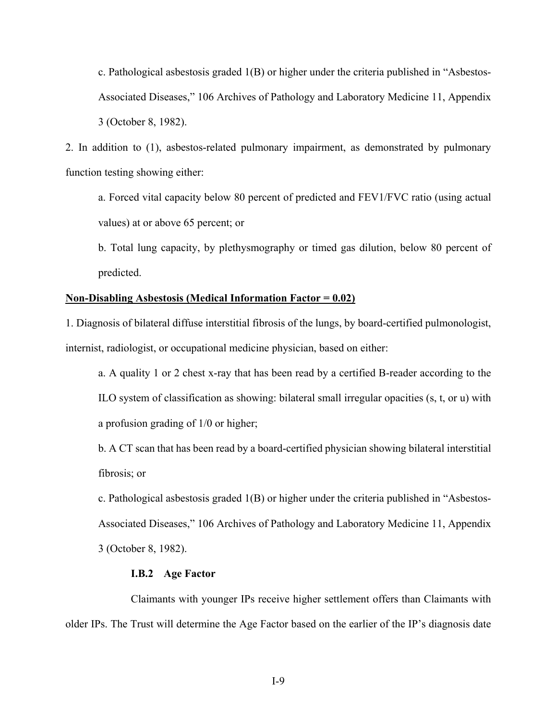c. Pathological asbestosis graded 1(B) or higher under the criteria published in "Asbestos-Associated Diseases," 106 Archives of Pathology and Laboratory Medicine 11, Appendix 3 (October 8, 1982).

2. In addition to (1), asbestos-related pulmonary impairment, as demonstrated by pulmonary function testing showing either:

a. Forced vital capacity below 80 percent of predicted and FEV1/FVC ratio (using actual values) at or above 65 percent; or

b. Total lung capacity, by plethysmography or timed gas dilution, below 80 percent of predicted.

### **Non-Disabling Asbestosis (Medical Information Factor = 0.02)**

1. Diagnosis of bilateral diffuse interstitial fibrosis of the lungs, by board-certified pulmonologist, internist, radiologist, or occupational medicine physician, based on either:

a. A quality 1 or 2 chest x-ray that has been read by a certified B-reader according to the ILO system of classification as showing: bilateral small irregular opacities (s, t, or u) with a profusion grading of 1/0 or higher;

b. A CT scan that has been read by a board-certified physician showing bilateral interstitial fibrosis; or

c. Pathological asbestosis graded 1(B) or higher under the criteria published in "Asbestos-Associated Diseases," 106 Archives of Pathology and Laboratory Medicine 11, Appendix 3 (October 8, 1982).

#### **I.B.2 Age Factor**

Claimants with younger IPs receive higher settlement offers than Claimants with older IPs. The Trust will determine the Age Factor based on the earlier of the IP's diagnosis date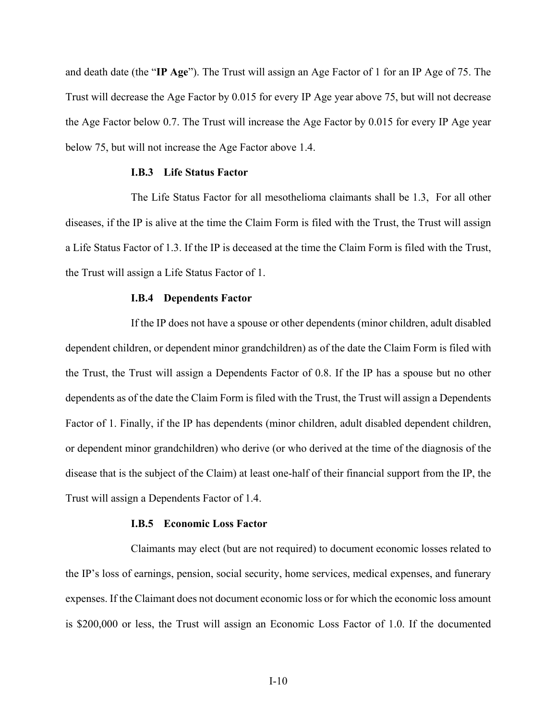and death date (the "**IP Age**"). The Trust will assign an Age Factor of 1 for an IP Age of 75. The Trust will decrease the Age Factor by 0.015 for every IP Age year above 75, but will not decrease the Age Factor below 0.7. The Trust will increase the Age Factor by 0.015 for every IP Age year below 75, but will not increase the Age Factor above 1.4.

# **I.B.3 Life Status Factor**

The Life Status Factor for all mesothelioma claimants shall be 1.3, For all other diseases, if the IP is alive at the time the Claim Form is filed with the Trust, the Trust will assign a Life Status Factor of 1.3. If the IP is deceased at the time the Claim Form is filed with the Trust, the Trust will assign a Life Status Factor of 1.

#### **I.B.4 Dependents Factor**

If the IP does not have a spouse or other dependents (minor children, adult disabled dependent children, or dependent minor grandchildren) as of the date the Claim Form is filed with the Trust, the Trust will assign a Dependents Factor of 0.8. If the IP has a spouse but no other dependents as of the date the Claim Form is filed with the Trust, the Trust will assign a Dependents Factor of 1. Finally, if the IP has dependents (minor children, adult disabled dependent children, or dependent minor grandchildren) who derive (or who derived at the time of the diagnosis of the disease that is the subject of the Claim) at least one-half of their financial support from the IP, the Trust will assign a Dependents Factor of 1.4.

# **I.B.5 Economic Loss Factor**

Claimants may elect (but are not required) to document economic losses related to the IP's loss of earnings, pension, social security, home services, medical expenses, and funerary expenses. If the Claimant does not document economic loss or for which the economic loss amount is \$200,000 or less, the Trust will assign an Economic Loss Factor of 1.0. If the documented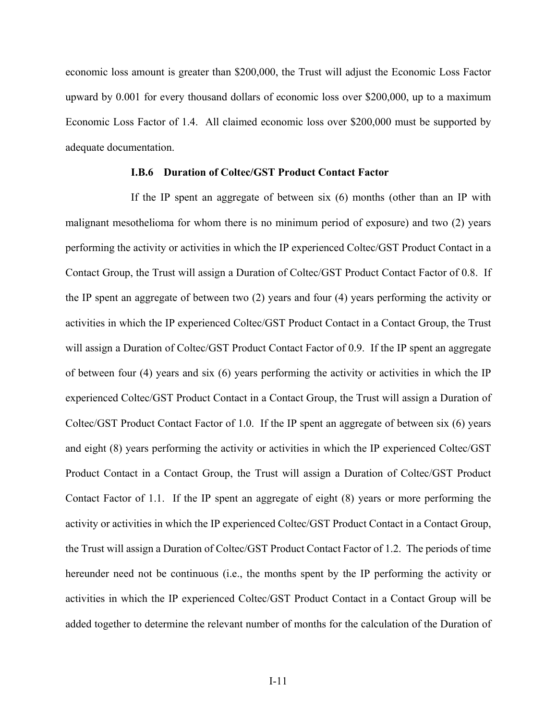economic loss amount is greater than \$200,000, the Trust will adjust the Economic Loss Factor upward by 0.001 for every thousand dollars of economic loss over \$200,000, up to a maximum Economic Loss Factor of 1.4. All claimed economic loss over \$200,000 must be supported by adequate documentation.

### **I.B.6 Duration of Coltec/GST Product Contact Factor**

If the IP spent an aggregate of between six (6) months (other than an IP with malignant mesothelioma for whom there is no minimum period of exposure) and two (2) years performing the activity or activities in which the IP experienced Coltec/GST Product Contact in a Contact Group, the Trust will assign a Duration of Coltec/GST Product Contact Factor of 0.8. If the IP spent an aggregate of between two (2) years and four (4) years performing the activity or activities in which the IP experienced Coltec/GST Product Contact in a Contact Group, the Trust will assign a Duration of Coltec/GST Product Contact Factor of 0.9. If the IP spent an aggregate of between four (4) years and six (6) years performing the activity or activities in which the IP experienced Coltec/GST Product Contact in a Contact Group, the Trust will assign a Duration of Coltec/GST Product Contact Factor of 1.0. If the IP spent an aggregate of between six (6) years and eight (8) years performing the activity or activities in which the IP experienced Coltec/GST Product Contact in a Contact Group, the Trust will assign a Duration of Coltec/GST Product Contact Factor of 1.1. If the IP spent an aggregate of eight (8) years or more performing the activity or activities in which the IP experienced Coltec/GST Product Contact in a Contact Group, the Trust will assign a Duration of Coltec/GST Product Contact Factor of 1.2. The periods of time hereunder need not be continuous (i.e., the months spent by the IP performing the activity or activities in which the IP experienced Coltec/GST Product Contact in a Contact Group will be added together to determine the relevant number of months for the calculation of the Duration of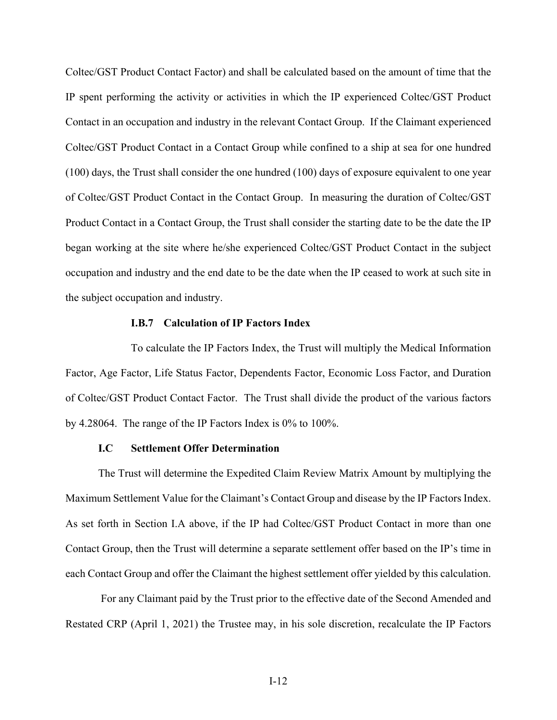Coltec/GST Product Contact Factor) and shall be calculated based on the amount of time that the IP spent performing the activity or activities in which the IP experienced Coltec/GST Product Contact in an occupation and industry in the relevant Contact Group. If the Claimant experienced Coltec/GST Product Contact in a Contact Group while confined to a ship at sea for one hundred (100) days, the Trust shall consider the one hundred (100) days of exposure equivalent to one year of Coltec/GST Product Contact in the Contact Group. In measuring the duration of Coltec/GST Product Contact in a Contact Group, the Trust shall consider the starting date to be the date the IP began working at the site where he/she experienced Coltec/GST Product Contact in the subject occupation and industry and the end date to be the date when the IP ceased to work at such site in the subject occupation and industry.

### **I.B.7 Calculation of IP Factors Index**

To calculate the IP Factors Index, the Trust will multiply the Medical Information Factor, Age Factor, Life Status Factor, Dependents Factor, Economic Loss Factor, and Duration of Coltec/GST Product Contact Factor. The Trust shall divide the product of the various factors by 4.28064. The range of the IP Factors Index is 0% to 100%.

# **I.C Settlement Offer Determination**

The Trust will determine the Expedited Claim Review Matrix Amount by multiplying the Maximum Settlement Value for the Claimant's Contact Group and disease by the IP Factors Index. As set forth in Section I.A above, if the IP had Coltec/GST Product Contact in more than one Contact Group, then the Trust will determine a separate settlement offer based on the IP's time in each Contact Group and offer the Claimant the highest settlement offer yielded by this calculation.

 For any Claimant paid by the Trust prior to the effective date of the Second Amended and Restated CRP (April 1, 2021) the Trustee may, in his sole discretion, recalculate the IP Factors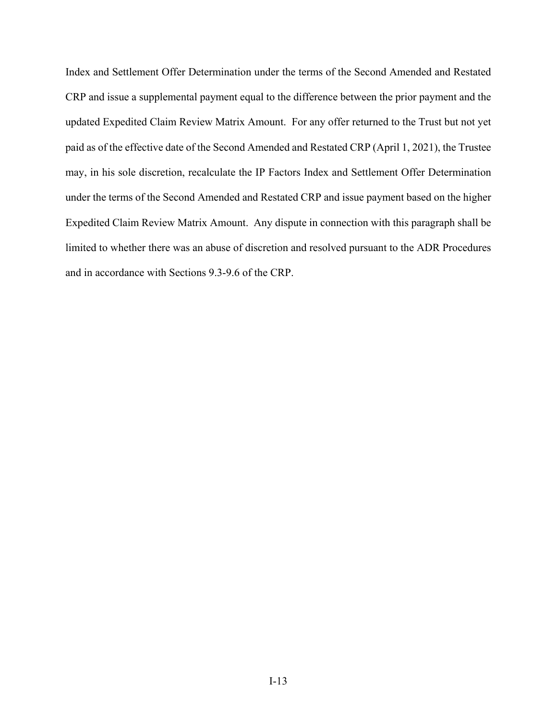Index and Settlement Offer Determination under the terms of the Second Amended and Restated CRP and issue a supplemental payment equal to the difference between the prior payment and the updated Expedited Claim Review Matrix Amount. For any offer returned to the Trust but not yet paid as of the effective date of the Second Amended and Restated CRP (April 1, 2021), the Trustee may, in his sole discretion, recalculate the IP Factors Index and Settlement Offer Determination under the terms of the Second Amended and Restated CRP and issue payment based on the higher Expedited Claim Review Matrix Amount. Any dispute in connection with this paragraph shall be limited to whether there was an abuse of discretion and resolved pursuant to the ADR Procedures and in accordance with Sections 9.3-9.6 of the CRP.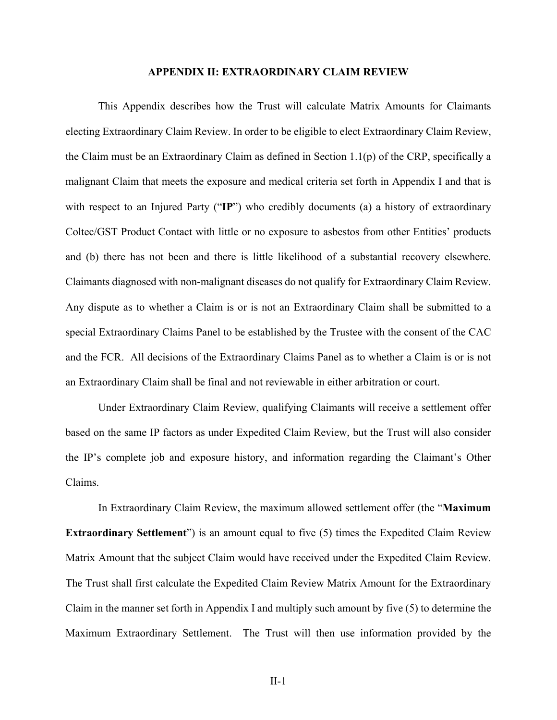#### **APPENDIX II: EXTRAORDINARY CLAIM REVIEW**

This Appendix describes how the Trust will calculate Matrix Amounts for Claimants electing Extraordinary Claim Review. In order to be eligible to elect Extraordinary Claim Review, the Claim must be an Extraordinary Claim as defined in Section 1.1(p) of the CRP, specifically a malignant Claim that meets the exposure and medical criteria set forth in Appendix I and that is with respect to an Injured Party ("**IP**") who credibly documents (a) a history of extraordinary Coltec/GST Product Contact with little or no exposure to asbestos from other Entities' products and (b) there has not been and there is little likelihood of a substantial recovery elsewhere. Claimants diagnosed with non-malignant diseases do not qualify for Extraordinary Claim Review. Any dispute as to whether a Claim is or is not an Extraordinary Claim shall be submitted to a special Extraordinary Claims Panel to be established by the Trustee with the consent of the CAC and the FCR. All decisions of the Extraordinary Claims Panel as to whether a Claim is or is not an Extraordinary Claim shall be final and not reviewable in either arbitration or court.

Under Extraordinary Claim Review, qualifying Claimants will receive a settlement offer based on the same IP factors as under Expedited Claim Review, but the Trust will also consider the IP's complete job and exposure history, and information regarding the Claimant's Other Claims.

In Extraordinary Claim Review, the maximum allowed settlement offer (the "**Maximum Extraordinary Settlement**") is an amount equal to five (5) times the Expedited Claim Review Matrix Amount that the subject Claim would have received under the Expedited Claim Review. The Trust shall first calculate the Expedited Claim Review Matrix Amount for the Extraordinary Claim in the manner set forth in Appendix I and multiply such amount by five (5) to determine the Maximum Extraordinary Settlement. The Trust will then use information provided by the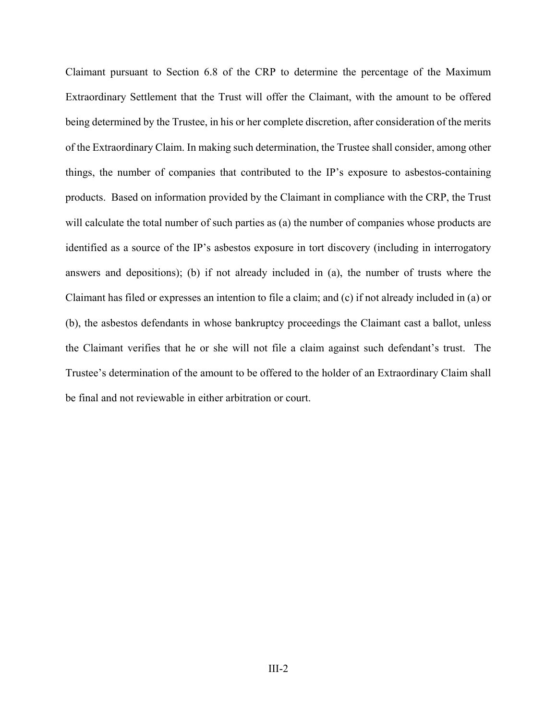Claimant pursuant to Section 6.8 of the CRP to determine the percentage of the Maximum Extraordinary Settlement that the Trust will offer the Claimant, with the amount to be offered being determined by the Trustee, in his or her complete discretion, after consideration of the merits of the Extraordinary Claim. In making such determination, the Trustee shall consider, among other things, the number of companies that contributed to the IP's exposure to asbestos-containing products. Based on information provided by the Claimant in compliance with the CRP, the Trust will calculate the total number of such parties as (a) the number of companies whose products are identified as a source of the IP's asbestos exposure in tort discovery (including in interrogatory answers and depositions); (b) if not already included in (a), the number of trusts where the Claimant has filed or expresses an intention to file a claim; and (c) if not already included in (a) or (b), the asbestos defendants in whose bankruptcy proceedings the Claimant cast a ballot, unless the Claimant verifies that he or she will not file a claim against such defendant's trust. The Trustee's determination of the amount to be offered to the holder of an Extraordinary Claim shall be final and not reviewable in either arbitration or court.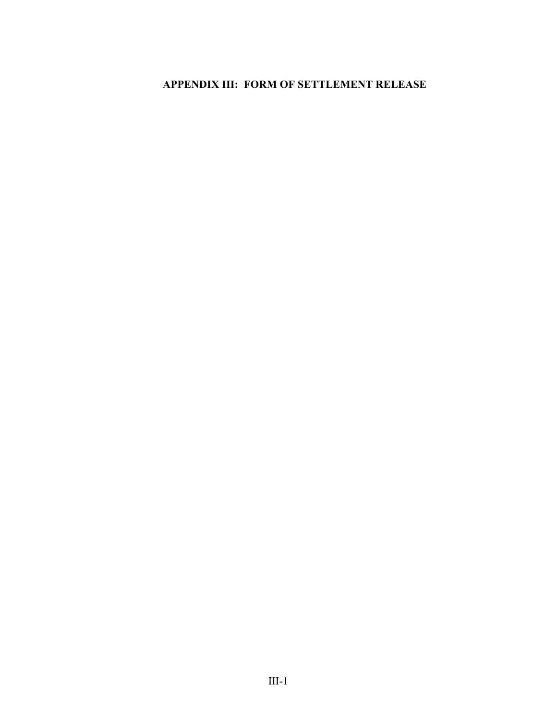# **APPENDIX III: FORM OF SETTLEMENT RELEASE**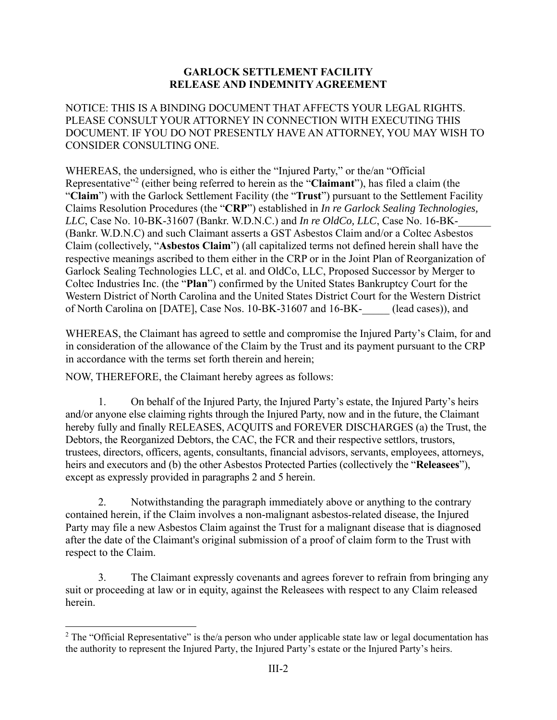# **GARLOCK SETTLEMENT FACILITY RELEASE AND INDEMNITY AGREEMENT**

NOTICE: THIS IS A BINDING DOCUMENT THAT AFFECTS YOUR LEGAL RIGHTS. PLEASE CONSULT YOUR ATTORNEY IN CONNECTION WITH EXECUTING THIS DOCUMENT. IF YOU DO NOT PRESENTLY HAVE AN ATTORNEY, YOU MAY WISH TO CONSIDER CONSULTING ONE.

WHEREAS, the undersigned, who is either the "Injured Party," or the/an "Official Representative<sup>"2</sup> (either being referred to herein as the "Claimant"), has filed a claim (the "**Claim**") with the Garlock Settlement Facility (the "**Trust**") pursuant to the Settlement Facility Claims Resolution Procedures (the "**CRP**") established in *In re Garlock Sealing Technologies, LLC*, Case No. 10-BK-31607 (Bankr. W.D.N.C.) and *In re OldCo, LLC*, Case No. 16-BK-(Bankr. W.D.N.C) and such Claimant asserts a GST Asbestos Claim and/or a Coltec Asbestos Claim (collectively, "**Asbestos Claim**") (all capitalized terms not defined herein shall have the respective meanings ascribed to them either in the CRP or in the Joint Plan of Reorganization of Garlock Sealing Technologies LLC, et al. and OldCo, LLC, Proposed Successor by Merger to Coltec Industries Inc. (the "**Plan**") confirmed by the United States Bankruptcy Court for the Western District of North Carolina and the United States District Court for the Western District of North Carolina on [DATE], Case Nos. 10-BK-31607 and 16-BK- (lead cases)), and

WHEREAS, the Claimant has agreed to settle and compromise the Injured Party's Claim, for and in consideration of the allowance of the Claim by the Trust and its payment pursuant to the CRP in accordance with the terms set forth therein and herein;

NOW, THEREFORE, the Claimant hereby agrees as follows:

 $\overline{a}$ 

1. On behalf of the Injured Party, the Injured Party's estate, the Injured Party's heirs and/or anyone else claiming rights through the Injured Party, now and in the future, the Claimant hereby fully and finally RELEASES, ACQUITS and FOREVER DISCHARGES (a) the Trust, the Debtors, the Reorganized Debtors, the CAC, the FCR and their respective settlors, trustors, trustees, directors, officers, agents, consultants, financial advisors, servants, employees, attorneys, heirs and executors and (b) the other Asbestos Protected Parties (collectively the "**Releasees**"), except as expressly provided in paragraphs 2 and 5 herein.

2. Notwithstanding the paragraph immediately above or anything to the contrary contained herein, if the Claim involves a non-malignant asbestos-related disease, the Injured Party may file a new Asbestos Claim against the Trust for a malignant disease that is diagnosed after the date of the Claimant's original submission of a proof of claim form to the Trust with respect to the Claim.

3. The Claimant expressly covenants and agrees forever to refrain from bringing any suit or proceeding at law or in equity, against the Releasees with respect to any Claim released herein.

<sup>&</sup>lt;sup>2</sup> The "Official Representative" is the/a person who under applicable state law or legal documentation has the authority to represent the Injured Party, the Injured Party's estate or the Injured Party's heirs.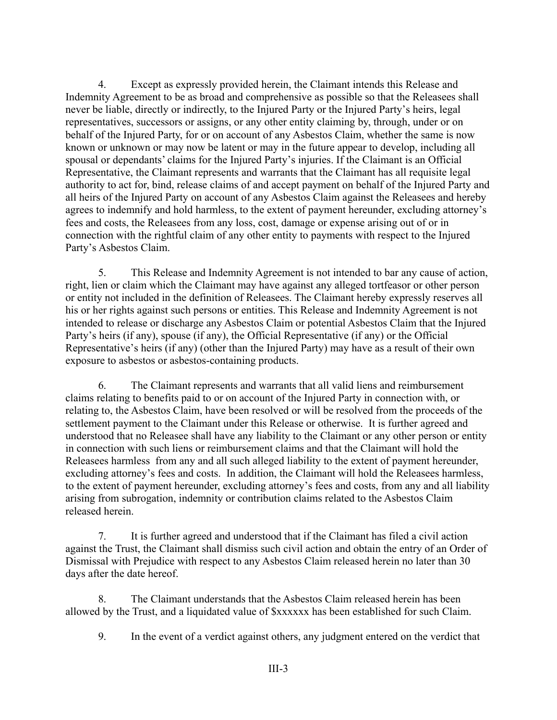4. Except as expressly provided herein, the Claimant intends this Release and Indemnity Agreement to be as broad and comprehensive as possible so that the Releasees shall never be liable, directly or indirectly, to the Injured Party or the Injured Party's heirs, legal representatives, successors or assigns, or any other entity claiming by, through, under or on behalf of the Injured Party, for or on account of any Asbestos Claim, whether the same is now known or unknown or may now be latent or may in the future appear to develop, including all spousal or dependants' claims for the Injured Party's injuries. If the Claimant is an Official Representative, the Claimant represents and warrants that the Claimant has all requisite legal authority to act for, bind, release claims of and accept payment on behalf of the Injured Party and all heirs of the Injured Party on account of any Asbestos Claim against the Releasees and hereby agrees to indemnify and hold harmless, to the extent of payment hereunder, excluding attorney's fees and costs, the Releasees from any loss, cost, damage or expense arising out of or in connection with the rightful claim of any other entity to payments with respect to the Injured Party's Asbestos Claim.

5. This Release and Indemnity Agreement is not intended to bar any cause of action, right, lien or claim which the Claimant may have against any alleged tortfeasor or other person or entity not included in the definition of Releasees. The Claimant hereby expressly reserves all his or her rights against such persons or entities. This Release and Indemnity Agreement is not intended to release or discharge any Asbestos Claim or potential Asbestos Claim that the Injured Party's heirs (if any), spouse (if any), the Official Representative (if any) or the Official Representative's heirs (if any) (other than the Injured Party) may have as a result of their own exposure to asbestos or asbestos-containing products.

6. The Claimant represents and warrants that all valid liens and reimbursement claims relating to benefits paid to or on account of the Injured Party in connection with, or relating to, the Asbestos Claim, have been resolved or will be resolved from the proceeds of the settlement payment to the Claimant under this Release or otherwise. It is further agreed and understood that no Releasee shall have any liability to the Claimant or any other person or entity in connection with such liens or reimbursement claims and that the Claimant will hold the Releasees harmless from any and all such alleged liability to the extent of payment hereunder, excluding attorney's fees and costs. In addition, the Claimant will hold the Releasees harmless, to the extent of payment hereunder, excluding attorney's fees and costs, from any and all liability arising from subrogation, indemnity or contribution claims related to the Asbestos Claim released herein.

7. It is further agreed and understood that if the Claimant has filed a civil action against the Trust, the Claimant shall dismiss such civil action and obtain the entry of an Order of Dismissal with Prejudice with respect to any Asbestos Claim released herein no later than 30 days after the date hereof.

8. The Claimant understands that the Asbestos Claim released herein has been allowed by the Trust, and a liquidated value of \$xxxxxx has been established for such Claim.

9. In the event of a verdict against others, any judgment entered on the verdict that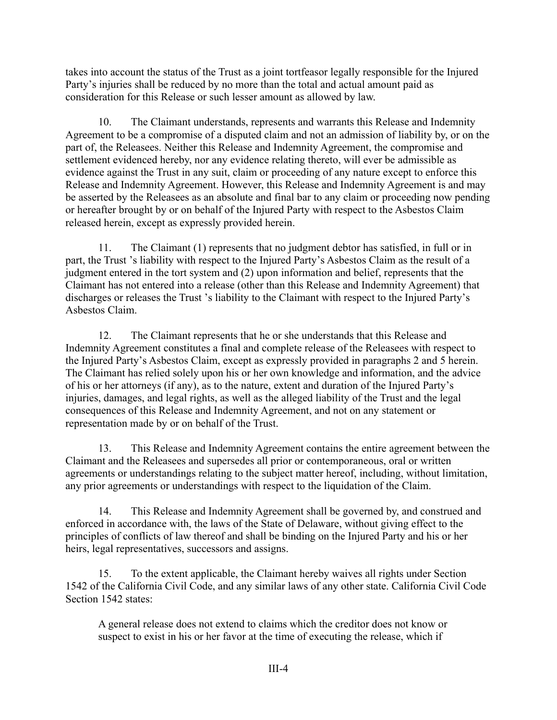takes into account the status of the Trust as a joint tortfeasor legally responsible for the Injured Party's injuries shall be reduced by no more than the total and actual amount paid as consideration for this Release or such lesser amount as allowed by law.

10. The Claimant understands, represents and warrants this Release and Indemnity Agreement to be a compromise of a disputed claim and not an admission of liability by, or on the part of, the Releasees. Neither this Release and Indemnity Agreement, the compromise and settlement evidenced hereby, nor any evidence relating thereto, will ever be admissible as evidence against the Trust in any suit, claim or proceeding of any nature except to enforce this Release and Indemnity Agreement. However, this Release and Indemnity Agreement is and may be asserted by the Releasees as an absolute and final bar to any claim or proceeding now pending or hereafter brought by or on behalf of the Injured Party with respect to the Asbestos Claim released herein, except as expressly provided herein.

11. The Claimant (1) represents that no judgment debtor has satisfied, in full or in part, the Trust 's liability with respect to the Injured Party's Asbestos Claim as the result of a judgment entered in the tort system and (2) upon information and belief, represents that the Claimant has not entered into a release (other than this Release and Indemnity Agreement) that discharges or releases the Trust 's liability to the Claimant with respect to the Injured Party's Asbestos Claim.

12. The Claimant represents that he or she understands that this Release and Indemnity Agreement constitutes a final and complete release of the Releasees with respect to the Injured Party's Asbestos Claim, except as expressly provided in paragraphs 2 and 5 herein. The Claimant has relied solely upon his or her own knowledge and information, and the advice of his or her attorneys (if any), as to the nature, extent and duration of the Injured Party's injuries, damages, and legal rights, as well as the alleged liability of the Trust and the legal consequences of this Release and Indemnity Agreement, and not on any statement or representation made by or on behalf of the Trust.

13. This Release and Indemnity Agreement contains the entire agreement between the Claimant and the Releasees and supersedes all prior or contemporaneous, oral or written agreements or understandings relating to the subject matter hereof, including, without limitation, any prior agreements or understandings with respect to the liquidation of the Claim.

14. This Release and Indemnity Agreement shall be governed by, and construed and enforced in accordance with, the laws of the State of Delaware, without giving effect to the principles of conflicts of law thereof and shall be binding on the Injured Party and his or her heirs, legal representatives, successors and assigns.

15. To the extent applicable, the Claimant hereby waives all rights under Section 1542 of the California Civil Code, and any similar laws of any other state. California Civil Code Section 1542 states:

A general release does not extend to claims which the creditor does not know or suspect to exist in his or her favor at the time of executing the release, which if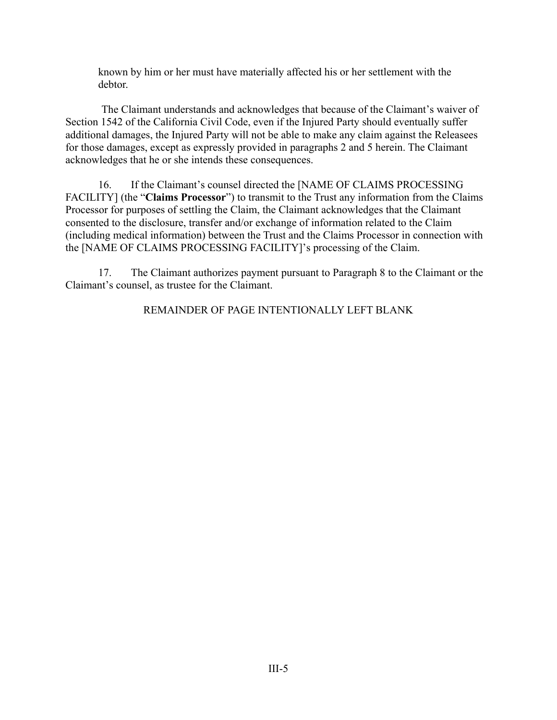known by him or her must have materially affected his or her settlement with the debtor.

 The Claimant understands and acknowledges that because of the Claimant's waiver of Section 1542 of the California Civil Code, even if the Injured Party should eventually suffer additional damages, the Injured Party will not be able to make any claim against the Releasees for those damages, except as expressly provided in paragraphs 2 and 5 herein. The Claimant acknowledges that he or she intends these consequences.

16. If the Claimant's counsel directed the [NAME OF CLAIMS PROCESSING FACILITY] (the "**Claims Processor**") to transmit to the Trust any information from the Claims Processor for purposes of settling the Claim, the Claimant acknowledges that the Claimant consented to the disclosure, transfer and/or exchange of information related to the Claim (including medical information) between the Trust and the Claims Processor in connection with the [NAME OF CLAIMS PROCESSING FACILITY]'s processing of the Claim.

17. The Claimant authorizes payment pursuant to Paragraph 8 to the Claimant or the Claimant's counsel, as trustee for the Claimant.

REMAINDER OF PAGE INTENTIONALLY LEFT BLANK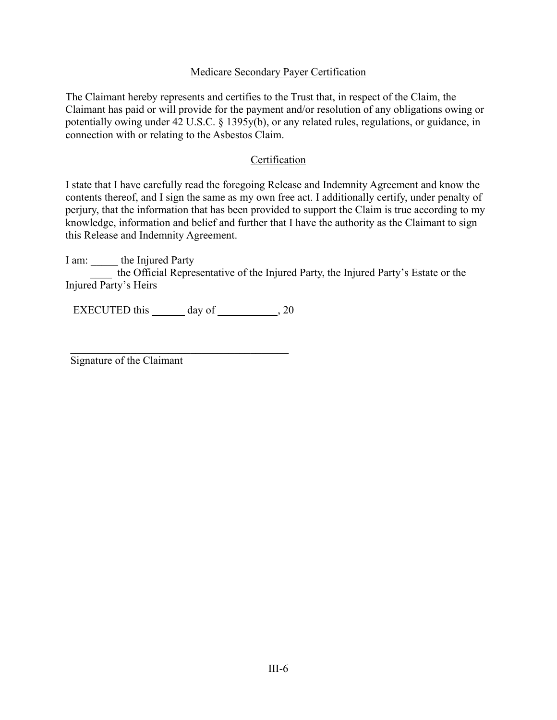# Medicare Secondary Payer Certification

The Claimant hereby represents and certifies to the Trust that, in respect of the Claim, the Claimant has paid or will provide for the payment and/or resolution of any obligations owing or potentially owing under 42 U.S.C. § 1395y(b), or any related rules, regulations, or guidance, in connection with or relating to the Asbestos Claim.

# Certification

I state that I have carefully read the foregoing Release and Indemnity Agreement and know the contents thereof, and I sign the same as my own free act. I additionally certify, under penalty of perjury, that the information that has been provided to support the Claim is true according to my knowledge, information and belief and further that I have the authority as the Claimant to sign this Release and Indemnity Agreement.

I am: \_\_\_\_\_ the Injured Party the Official Representative of the Injured Party, the Injured Party's Estate or the Injured Party's Heirs

EXECUTED this day of , 20

Signature of the Claimant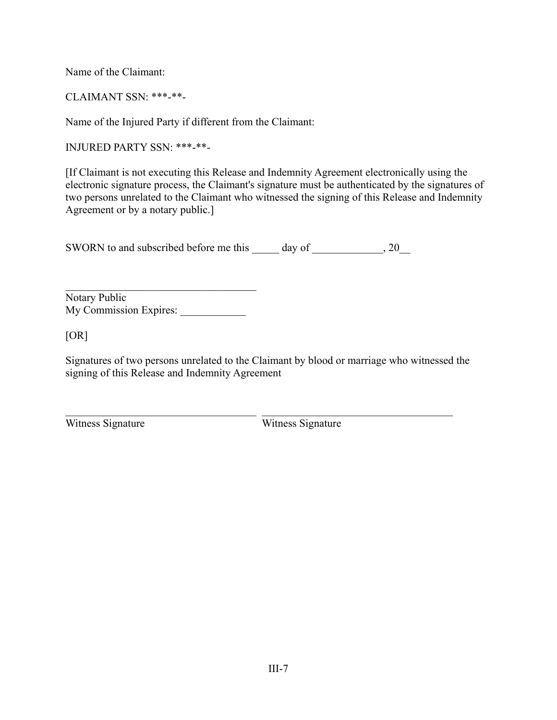Name of the Claimant:

CLAIMANT SSN: \*\*\*-\*\*-

Name of the Injured Party if different from the Claimant:

INJURED PARTY SSN: \*\*\*-\*\*-

[If Claimant is not executing this Release and Indemnity Agreement electronically using the electronic signature process, the Claimant's signature must be authenticated by the signatures of two persons unrelated to the Claimant who witnessed the signing of this Release and Indemnity Agreement or by a notary public.]

SWORN to and subscribed before me this day of  $\qquad \qquad , 20$ 

Notary Public My Commission Expires:

[OR]

Signatures of two persons unrelated to the Claimant by blood or marriage who witnessed the signing of this Release and Indemnity Agreement

Witness Signature Witness Signature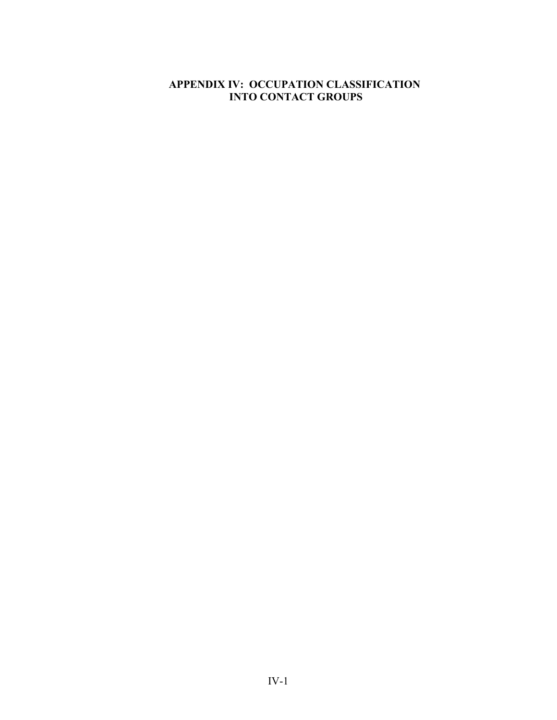# **APPENDIX IV: OCCUPATION CLASSIFICATION INTO CONTACT GROUPS**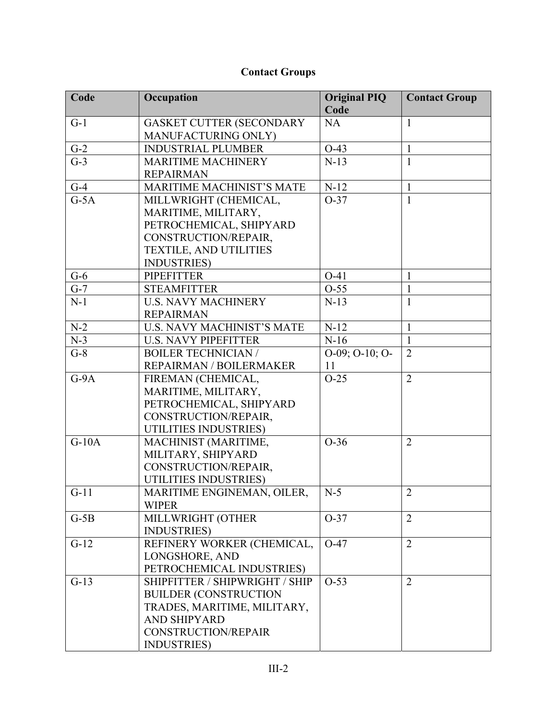# **Contact Groups**

| Code                | Occupation                       | <b>Original PIQ</b>    | <b>Contact Group</b> |
|---------------------|----------------------------------|------------------------|----------------------|
|                     |                                  | Code                   |                      |
| $G-1$               | <b>GASKET CUTTER (SECONDARY</b>  | <b>NA</b>              | $\mathbf{1}$         |
|                     | MANUFACTURING ONLY)              |                        |                      |
| $G-2$               | <b>INDUSTRIAL PLUMBER</b>        | $O-43$                 | $\mathbf{1}$         |
| $G-3$               | <b>MARITIME MACHINERY</b>        | $N-13$                 | $\mathbf{1}$         |
|                     | <b>REPAIRMAN</b>                 |                        |                      |
| $G-4$               | <b>MARITIME MACHINIST'S MATE</b> | $N-12$                 | $\mathbf{1}$         |
| $G-5A$              | MILLWRIGHT (CHEMICAL,            | $O-37$                 | $\mathbf{1}$         |
|                     | MARITIME, MILITARY,              |                        |                      |
|                     | PETROCHEMICAL, SHIPYARD          |                        |                      |
|                     | CONSTRUCTION/REPAIR,             |                        |                      |
|                     | <b>TEXTILE, AND UTILITIES</b>    |                        |                      |
|                     | <b>INDUSTRIES</b> )              |                        |                      |
| $G-6$               | <b>PIPEFITTER</b>                | $O-41$                 | 1                    |
| $G-7$               | <b>STEAMFITTER</b>               | $O-55$                 | $\mathbf{1}$         |
| $N-1$               | <b>U.S. NAVY MACHINERY</b>       | $N-13$                 | $\mathbf{1}$         |
|                     | <b>REPAIRMAN</b>                 |                        |                      |
| $N-2$               | U.S. NAVY MACHINIST'S MATE       | $N-12$                 | $\mathbf{1}$         |
| $N-3$               | <b>U.S. NAVY PIPEFITTER</b>      | $N-16$                 | $\mathbf{1}$         |
| $G-8$               | <b>BOILER TECHNICIAN/</b>        | $O-09$ ; $O-10$ ; $O-$ | $\overline{2}$       |
|                     | REPAIRMAN / BOILERMAKER          | 11                     |                      |
| $G-9A$              | FIREMAN (CHEMICAL,               | $O-25$                 | $\overline{2}$       |
|                     | MARITIME, MILITARY,              |                        |                      |
|                     | PETROCHEMICAL, SHIPYARD          |                        |                      |
|                     | CONSTRUCTION/REPAIR,             |                        |                      |
|                     | UTILITIES INDUSTRIES)            |                        |                      |
| $\overline{G}$ -10A | MACHINIST (MARITIME,             | $O-36$                 | $\overline{2}$       |
|                     | MILITARY, SHIPYARD               |                        |                      |
|                     | CONSTRUCTION/REPAIR,             |                        |                      |
|                     | UTILITIES INDUSTRIES)            |                        |                      |
| $G-11$              | MARITIME ENGINEMAN, OILER.       | $N-5$                  | $\overline{2}$       |
|                     | <b>WIPER</b>                     |                        |                      |
| $G-5B$              | MILLWRIGHT (OTHER                | $O-37$                 | $\overline{2}$       |
|                     | <b>INDUSTRIES</b> )              |                        |                      |
| $G-12$              | REFINERY WORKER (CHEMICAL,       | $O-47$                 | $\overline{2}$       |
|                     | LONGSHORE, AND                   |                        |                      |
|                     | PETROCHEMICAL INDUSTRIES)        |                        |                      |
| $G-13$              | SHIPFITTER / SHIPWRIGHT / SHIP   | $O-53$                 | $\overline{2}$       |
|                     | <b>BUILDER (CONSTRUCTION</b>     |                        |                      |
|                     | TRADES, MARITIME, MILITARY,      |                        |                      |
|                     | <b>AND SHIPYARD</b>              |                        |                      |
|                     | CONSTRUCTION/REPAIR              |                        |                      |
|                     | <b>INDUSTRIES</b> )              |                        |                      |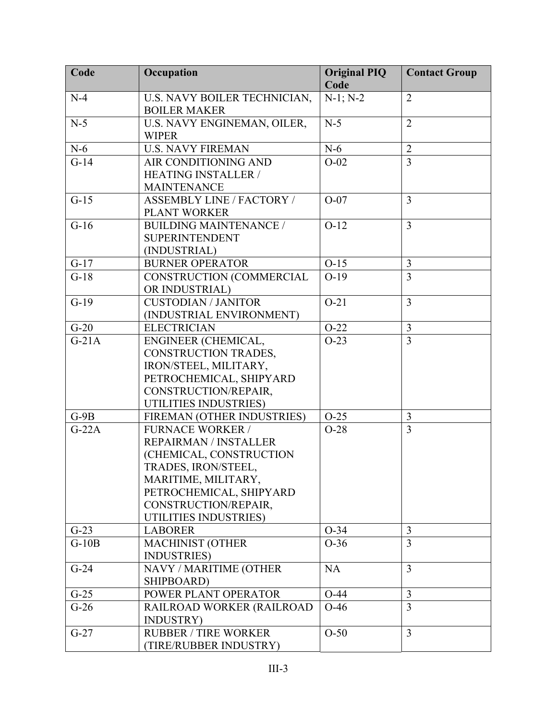| Code    | Occupation                                  | <b>Original PIQ</b><br>Code | <b>Contact Group</b> |
|---------|---------------------------------------------|-----------------------------|----------------------|
| $N-4$   | U.S. NAVY BOILER TECHNICIAN,                | $N-1; N-2$                  | $\overline{2}$       |
|         | <b>BOILER MAKER</b>                         |                             |                      |
| $N-5$   | U.S. NAVY ENGINEMAN, OILER,<br><b>WIPER</b> | $N-5$                       | $\overline{2}$       |
| $N-6$   | <b>U.S. NAVY FIREMAN</b>                    | $N-6$                       | $\overline{2}$       |
| $G-14$  | AIR CONDITIONING AND                        | $O-02$                      | $\overline{3}$       |
|         | <b>HEATING INSTALLER /</b>                  |                             |                      |
|         | <b>MAINTENANCE</b>                          |                             |                      |
| $G-15$  | <b>ASSEMBLY LINE / FACTORY /</b>            | $O-07$                      | $\overline{3}$       |
|         | PLANT WORKER                                |                             |                      |
| $G-16$  | <b>BUILDING MAINTENANCE /</b>               | $O-12$                      | 3                    |
|         | <b>SUPERINTENDENT</b>                       |                             |                      |
|         | (INDUSTRIAL)                                |                             |                      |
| $G-17$  | <b>BURNER OPERATOR</b>                      | $O-15$                      | 3                    |
| $G-18$  | CONSTRUCTION (COMMERCIAL                    | $O-19$                      | $\overline{3}$       |
|         | OR INDUSTRIAL)                              |                             |                      |
| $G-19$  | <b>CUSTODIAN / JANITOR</b>                  | $O-21$                      | $\overline{3}$       |
|         | (INDUSTRIAL ENVIRONMENT)                    |                             |                      |
| $G-20$  | <b>ELECTRICIAN</b>                          | $O-22$                      | 3                    |
| $G-21A$ | ENGINEER (CHEMICAL,                         | $O-23$                      | $\overline{3}$       |
|         | CONSTRUCTION TRADES,                        |                             |                      |
|         | IRON/STEEL, MILITARY,                       |                             |                      |
|         | PETROCHEMICAL, SHIPYARD                     |                             |                      |
|         | CONSTRUCTION/REPAIR,                        |                             |                      |
|         | UTILITIES INDUSTRIES)                       |                             |                      |
| $G-9B$  | FIREMAN (OTHER INDUSTRIES)                  | $O-25$                      | 3                    |
| $G-22A$ | <b>FURNACE WORKER /</b>                     | $O-28$                      | $\overline{3}$       |
|         | REPAIRMAN / INSTALLER                       |                             |                      |
|         | (CHEMICAL, CONSTRUCTION                     |                             |                      |
|         | TRADES, IRON/STEEL,                         |                             |                      |
|         | MARITIME, MILITARY,                         |                             |                      |
|         | PETROCHEMICAL, SHIPYARD                     |                             |                      |
|         | CONSTRUCTION/REPAIR,                        |                             |                      |
|         | UTILITIES INDUSTRIES)                       |                             |                      |
| $G-23$  | <b>LABORER</b>                              | $O-34$                      | 3                    |
| $G-10B$ | <b>MACHINIST (OTHER</b>                     | $O-36$                      | $\overline{3}$       |
|         | <b>INDUSTRIES</b> )                         |                             |                      |
| $G-24$  | NAVY / MARITIME (OTHER                      | <b>NA</b>                   | 3                    |
|         | SHIPBOARD)                                  |                             |                      |
| $G-25$  | POWER PLANT OPERATOR                        | $O-44$                      | 3                    |
| $G-26$  | RAILROAD WORKER (RAILROAD                   | $O-46$                      | $\overline{3}$       |
|         | <b>INDUSTRY</b> )                           |                             |                      |
| $G-27$  | <b>RUBBER / TIRE WORKER</b>                 | $O-50$                      | $\overline{3}$       |
|         | (TIRE/RUBBER INDUSTRY)                      |                             |                      |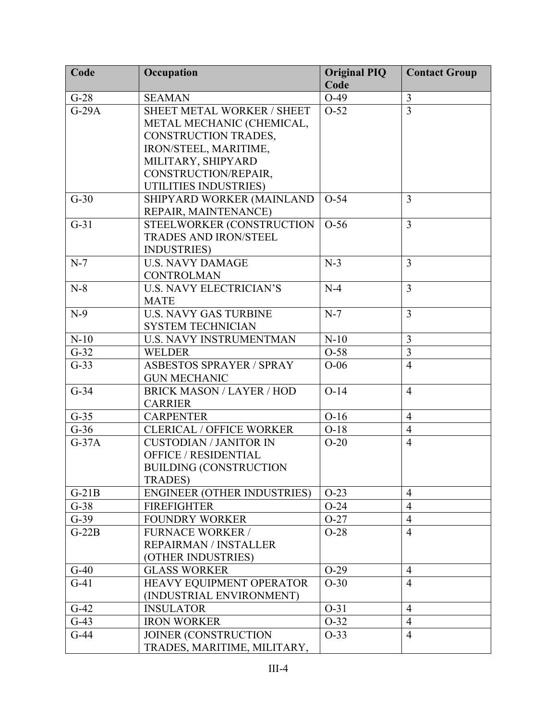| Code    | Occupation                         | <b>Original PIQ</b><br>Code | <b>Contact Group</b> |
|---------|------------------------------------|-----------------------------|----------------------|
| $G-28$  | <b>SEAMAN</b>                      | $O-49$                      | $\mathfrak{Z}$       |
| $G-29A$ | SHEET METAL WORKER / SHEET         | $O-52$                      | $\overline{3}$       |
|         | METAL MECHANIC (CHEMICAL,          |                             |                      |
|         | CONSTRUCTION TRADES,               |                             |                      |
|         | IRON/STEEL, MARITIME,              |                             |                      |
|         | MILITARY, SHIPYARD                 |                             |                      |
|         | CONSTRUCTION/REPAIR,               |                             |                      |
|         | UTILITIES INDUSTRIES)              |                             |                      |
| $G-30$  | SHIPYARD WORKER (MAINLAND          | $O-54$                      | 3                    |
|         | REPAIR, MAINTENANCE)               |                             |                      |
| $G-31$  | STEELWORKER (CONSTRUCTION          | $O-56$                      | 3                    |
|         | <b>TRADES AND IRON/STEEL</b>       |                             |                      |
|         | <b>INDUSTRIES</b> )                |                             |                      |
| $N-7$   | <b>U.S. NAVY DAMAGE</b>            | $N-3$                       | 3                    |
|         | <b>CONTROLMAN</b>                  |                             |                      |
| $N-8$   | <b>U.S. NAVY ELECTRICIAN'S</b>     | $N-4$                       | $\overline{3}$       |
|         | <b>MATE</b>                        |                             |                      |
| $N-9$   | <b>U.S. NAVY GAS TURBINE</b>       | $N-7$                       | $\overline{3}$       |
|         | <b>SYSTEM TECHNICIAN</b>           |                             |                      |
| $N-10$  | <b>U.S. NAVY INSTRUMENTMAN</b>     | $N-10$                      | $\overline{3}$       |
| $G-32$  | <b>WELDER</b>                      | $O-58$                      | $\overline{3}$       |
| $G-33$  | <b>ASBESTOS SPRAYER / SPRAY</b>    | $O-06$                      | $\overline{4}$       |
|         | <b>GUN MECHANIC</b>                |                             |                      |
| $G-34$  | <b>BRICK MASON / LAYER / HOD</b>   | $O-14$                      | $\overline{4}$       |
|         | <b>CARRIER</b>                     |                             |                      |
| $G-35$  | <b>CARPENTER</b>                   | $O-16$                      | $\overline{4}$       |
| $G-36$  | <b>CLERICAL / OFFICE WORKER</b>    | $O-18$                      | $\overline{4}$       |
| $G-37A$ | <b>CUSTODIAN / JANITOR IN</b>      | $O-20$                      | $\overline{4}$       |
|         | <b>OFFICE / RESIDENTIAL</b>        |                             |                      |
|         | <b>BUILDING (CONSTRUCTION</b>      |                             |                      |
|         | <b>TRADES)</b>                     |                             |                      |
| $G-21B$ | <b>ENGINEER (OTHER INDUSTRIES)</b> | $O-23$                      | $\overline{4}$       |
| $G-38$  | <b>FIREFIGHTER</b>                 | $O-24$                      | $\overline{4}$       |
| $G-39$  | <b>FOUNDRY WORKER</b>              | $O-27$                      | $\overline{4}$       |
| $G-22B$ | <b>FURNACE WORKER /</b>            | $O-28$                      | $\overline{4}$       |
|         | REPAIRMAN / INSTALLER              |                             |                      |
|         | (OTHER INDUSTRIES)                 |                             |                      |
| $G-40$  | <b>GLASS WORKER</b>                | $O-29$                      | $\overline{4}$       |
| $G-41$  | HEAVY EQUIPMENT OPERATOR           | $O-30$                      | $\overline{4}$       |
|         | (INDUSTRIAL ENVIRONMENT)           |                             |                      |
| $G-42$  | <b>INSULATOR</b>                   | $O-31$                      | $\overline{4}$       |
| $G-43$  | <b>IRON WORKER</b>                 | $O-32$                      | $\overline{4}$       |
| $G-44$  | JOINER (CONSTRUCTION               | $O-33$                      | $\overline{4}$       |
|         | TRADES, MARITIME, MILITARY,        |                             |                      |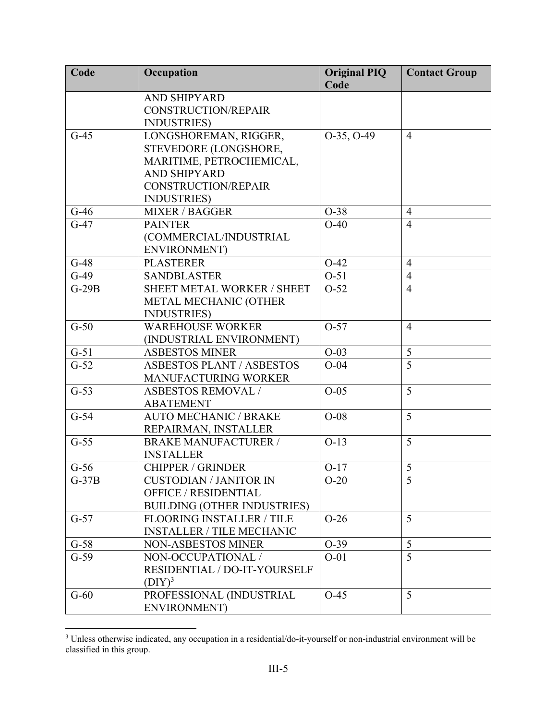| Code    | Occupation                         | <b>Original PIQ</b><br>Code | <b>Contact Group</b> |
|---------|------------------------------------|-----------------------------|----------------------|
|         | <b>AND SHIPYARD</b>                |                             |                      |
|         | <b>CONSTRUCTION/REPAIR</b>         |                             |                      |
|         | <b>INDUSTRIES</b> )                |                             |                      |
| $G-45$  | LONGSHOREMAN, RIGGER,              | $O-35, O-49$                | $\overline{4}$       |
|         | STEVEDORE (LONGSHORE,              |                             |                      |
|         | MARITIME, PETROCHEMICAL,           |                             |                      |
|         | <b>AND SHIPYARD</b>                |                             |                      |
|         | <b>CONSTRUCTION/REPAIR</b>         |                             |                      |
|         | <b>INDUSTRIES</b> )                |                             |                      |
| $G-46$  | <b>MIXER / BAGGER</b>              | $O-38$                      | $\overline{4}$       |
| $G-47$  | <b>PAINTER</b>                     | $O-40$                      | $\overline{4}$       |
|         | (COMMERCIAL/INDUSTRIAL             |                             |                      |
|         | <b>ENVIRONMENT</b> )               |                             |                      |
| $G-48$  | <b>PLASTERER</b>                   | $O-42$                      | $\overline{4}$       |
| $G-49$  | <b>SANDBLASTER</b>                 | $O-51$                      | $\overline{4}$       |
| $G-29B$ | SHEET METAL WORKER / SHEET         | $O-52$                      | $\overline{4}$       |
|         | METAL MECHANIC (OTHER              |                             |                      |
|         | <b>INDUSTRIES</b> )                |                             |                      |
| $G-50$  | <b>WAREHOUSE WORKER</b>            | $O-57$                      | $\overline{4}$       |
|         | (INDUSTRIAL ENVIRONMENT)           |                             |                      |
| $G-51$  | <b>ASBESTOS MINER</b>              | $O-03$                      | 5                    |
| $G-52$  | <b>ASBESTOS PLANT / ASBESTOS</b>   | $O-04$                      | $\overline{5}$       |
|         | MANUFACTURING WORKER               |                             |                      |
| $G-53$  | <b>ASBESTOS REMOVAL /</b>          | $O-05$                      | 5                    |
|         | <b>ABATEMENT</b>                   |                             |                      |
| $G-54$  | <b>AUTO MECHANIC / BRAKE</b>       | $O-08$                      | 5                    |
|         | REPAIRMAN, INSTALLER               |                             |                      |
| $G-55$  | <b>BRAKE MANUFACTURER /</b>        | $O-13$                      | 5                    |
|         | <b>INSTALLER</b>                   |                             |                      |
| $G-56$  | <b>CHIPPER / GRINDER</b>           | $O-17$                      | 5                    |
| $G-37B$ | <b>CUSTODIAN / JANITOR IN</b>      | $O-20$                      | 5                    |
|         | <b>OFFICE / RESIDENTIAL</b>        |                             |                      |
|         | <b>BUILDING (OTHER INDUSTRIES)</b> |                             |                      |
| $G-57$  | <b>FLOORING INSTALLER / TILE</b>   | $O-26$                      | 5                    |
|         | <b>INSTALLER / TILE MECHANIC</b>   |                             |                      |
| $G-58$  | <b>NON-ASBESTOS MINER</b>          | $O-39$                      | 5                    |
| $G-59$  | NON-OCCUPATIONAL /                 | $O-01$                      | 5                    |
|         | RESIDENTIAL / DO-IT-YOURSELF       |                             |                      |
|         | $(DIY)^3$                          |                             |                      |
| $G-60$  | PROFESSIONAL (INDUSTRIAL           | $O-45$                      | 5                    |
|         | <b>ENVIRONMENT)</b>                |                             |                      |

<sup>&</sup>lt;sup>3</sup> Unless otherwise indicated, any occupation in a residential/do-it-yourself or non-industrial environment will be classified in this group.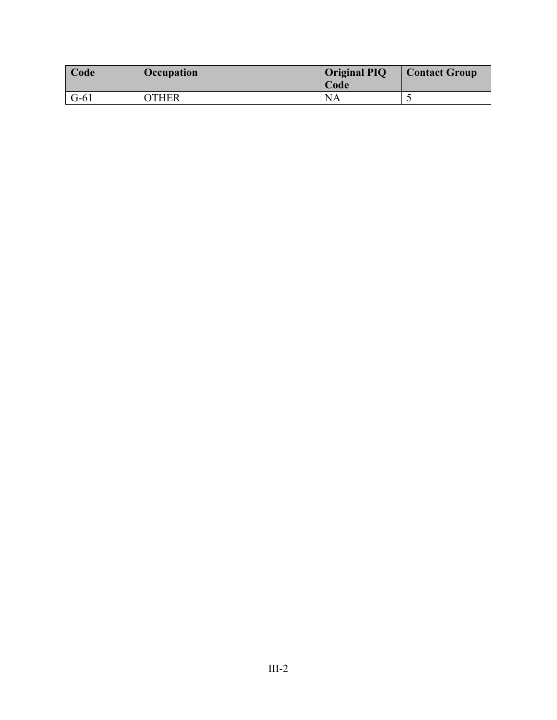| <b>Code</b> | Occupation   | <b>Original PIQ</b><br>Code | <b>Contact Group</b> |
|-------------|--------------|-----------------------------|----------------------|
| $G-61$      | <b>OTHER</b> | <b>NA</b>                   |                      |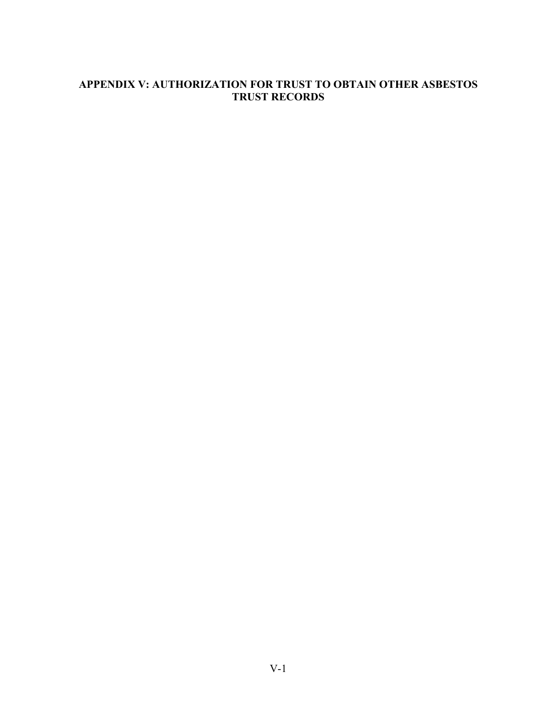### **APPENDIX V: AUTHORIZATION FOR TRUST TO OBTAIN OTHER ASBESTOS TRUST RECORDS**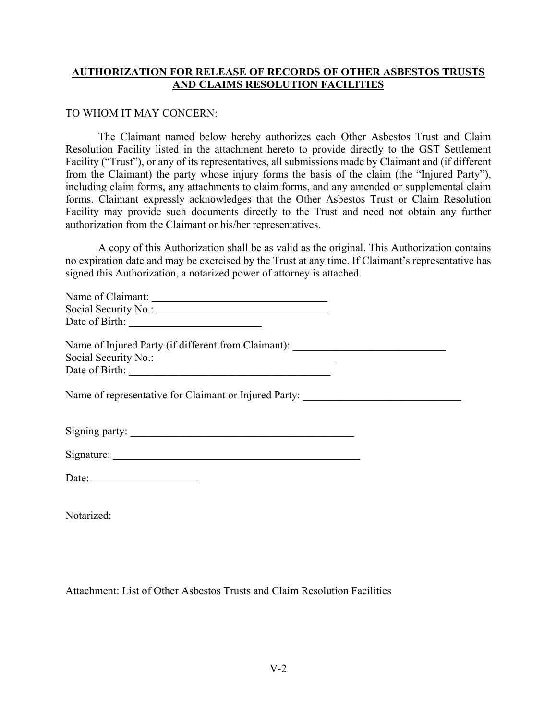### **AUTHORIZATION FOR RELEASE OF RECORDS OF OTHER ASBESTOS TRUSTS AND CLAIMS RESOLUTION FACILITIES**

#### TO WHOM IT MAY CONCERN:

The Claimant named below hereby authorizes each Other Asbestos Trust and Claim Resolution Facility listed in the attachment hereto to provide directly to the GST Settlement Facility ("Trust"), or any of its representatives, all submissions made by Claimant and (if different from the Claimant) the party whose injury forms the basis of the claim (the "Injured Party"), including claim forms, any attachments to claim forms, and any amended or supplemental claim forms. Claimant expressly acknowledges that the Other Asbestos Trust or Claim Resolution Facility may provide such documents directly to the Trust and need not obtain any further authorization from the Claimant or his/her representatives.

A copy of this Authorization shall be as valid as the original. This Authorization contains no expiration date and may be exercised by the Trust at any time. If Claimant's representative has signed this Authorization, a notarized power of attorney is attached.

| Name of Claimant:    |  |  |
|----------------------|--|--|
| Social Security No.: |  |  |
| Date of Birth:       |  |  |
|                      |  |  |

Name of Injured Party (if different from Claimant): \_\_\_\_\_\_\_\_\_\_\_\_\_\_\_\_\_\_\_\_\_\_\_\_\_\_\_\_ Social Security No.: \_\_\_\_\_\_\_\_\_\_\_\_\_\_\_\_\_\_\_\_\_\_\_\_\_\_\_\_\_\_\_\_\_ Date of Birth:

Name of representative for Claimant or Injured Party:

| Signature: |  |
|------------|--|
|            |  |

Notarized:

Attachment: List of Other Asbestos Trusts and Claim Resolution Facilities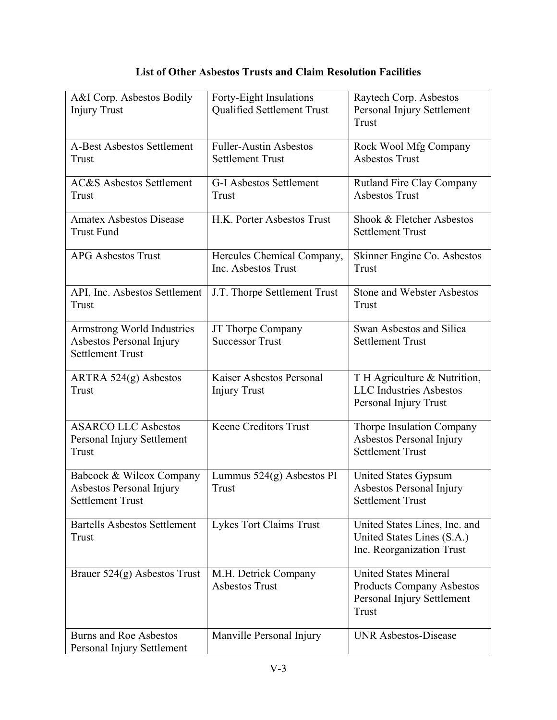# **List of Other Asbestos Trusts and Claim Resolution Facilities**

| A&I Corp. Asbestos Bodily<br><b>Injury Trust</b>                                         | Forty-Eight Insulations<br>Qualified Settlement Trust    | Raytech Corp. Asbestos<br>Personal Injury Settlement<br>Trust                                           |
|------------------------------------------------------------------------------------------|----------------------------------------------------------|---------------------------------------------------------------------------------------------------------|
| <b>A-Best Asbestos Settlement</b><br>Trust                                               | <b>Fuller-Austin Asbestos</b><br><b>Settlement Trust</b> | Rock Wool Mfg Company<br><b>Asbestos Trust</b>                                                          |
| <b>AC&amp;S</b> Asbestos Settlement<br><b>Trust</b>                                      | G-I Asbestos Settlement<br>Trust                         | Rutland Fire Clay Company<br><b>Asbestos Trust</b>                                                      |
| <b>Amatex Asbestos Disease</b><br><b>Trust Fund</b>                                      | H.K. Porter Asbestos Trust                               | Shook & Fletcher Asbestos<br><b>Settlement Trust</b>                                                    |
| <b>APG Asbestos Trust</b>                                                                | Hercules Chemical Company,<br>Inc. Asbestos Trust        | Skinner Engine Co. Asbestos<br><b>Trust</b>                                                             |
| API, Inc. Asbestos Settlement<br><b>Trust</b>                                            | J.T. Thorpe Settlement Trust                             | <b>Stone and Webster Asbestos</b><br>Trust                                                              |
| <b>Armstrong World Industries</b><br>Asbestos Personal Injury<br><b>Settlement Trust</b> | JT Thorpe Company<br><b>Successor Trust</b>              | Swan Asbestos and Silica<br><b>Settlement Trust</b>                                                     |
| ARTRA $524(g)$ Asbestos<br><b>Trust</b>                                                  | Kaiser Asbestos Personal<br><b>Injury Trust</b>          | T H Agriculture & Nutrition,<br><b>LLC</b> Industries Asbestos<br>Personal Injury Trust                 |
| <b>ASARCO LLC Asbestos</b><br>Personal Injury Settlement<br>Trust                        | <b>Keene Creditors Trust</b>                             | Thorpe Insulation Company<br>Asbestos Personal Injury<br><b>Settlement Trust</b>                        |
| Babcock & Wilcox Company<br>Asbestos Personal Injury<br><b>Settlement Trust</b>          | Lummus $524(g)$ Asbestos PI<br><b>Trust</b>              | United States Gypsum<br>Asbestos Personal Injury<br><b>Settlement Trust</b>                             |
| <b>Bartells Asbestos Settlement</b><br>Trust                                             | Lykes Tort Claims Trust                                  | United States Lines, Inc. and<br>United States Lines (S.A.)<br>Inc. Reorganization Trust                |
| Brauer $524(g)$ Asbestos Trust                                                           | M.H. Detrick Company<br><b>Asbestos Trust</b>            | <b>United States Mineral</b><br><b>Products Company Asbestos</b><br>Personal Injury Settlement<br>Trust |
| <b>Burns and Roe Asbestos</b><br>Personal Injury Settlement                              | Manville Personal Injury                                 | <b>UNR Asbestos-Disease</b>                                                                             |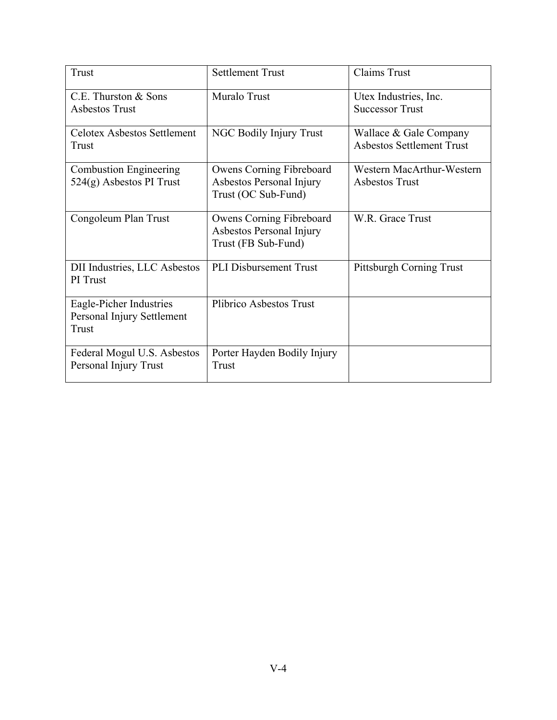| <b>Trust</b>                                                   | <b>Settlement Trust</b>                                                     | <b>Claims Trust</b>                                        |
|----------------------------------------------------------------|-----------------------------------------------------------------------------|------------------------------------------------------------|
| C.E. Thurston & Sons<br>Asbestos Trust                         | Muralo Trust                                                                | Utex Industries, Inc.<br><b>Successor Trust</b>            |
| <b>Celotex Asbestos Settlement</b><br>Trust                    | NGC Bodily Injury Trust                                                     | Wallace & Gale Company<br><b>Asbestos Settlement Trust</b> |
| <b>Combustion Engineering</b><br>$524(g)$ Asbestos PI Trust    | Owens Corning Fibreboard<br>Asbestos Personal Injury<br>Trust (OC Sub-Fund) | Western MacArthur-Western<br><b>Asbestos Trust</b>         |
| Congoleum Plan Trust                                           | Owens Corning Fibreboard<br>Asbestos Personal Injury<br>Trust (FB Sub-Fund) | W.R. Grace Trust                                           |
| <b>DII</b> Industries, LLC Asbestos<br>PI Trust                | PLI Disbursement Trust                                                      | Pittsburgh Corning Trust                                   |
| Eagle-Picher Industries<br>Personal Injury Settlement<br>Trust | Plibrico Asbestos Trust                                                     |                                                            |
| Federal Mogul U.S. Asbestos<br>Personal Injury Trust           | Porter Hayden Bodily Injury<br>Trust                                        |                                                            |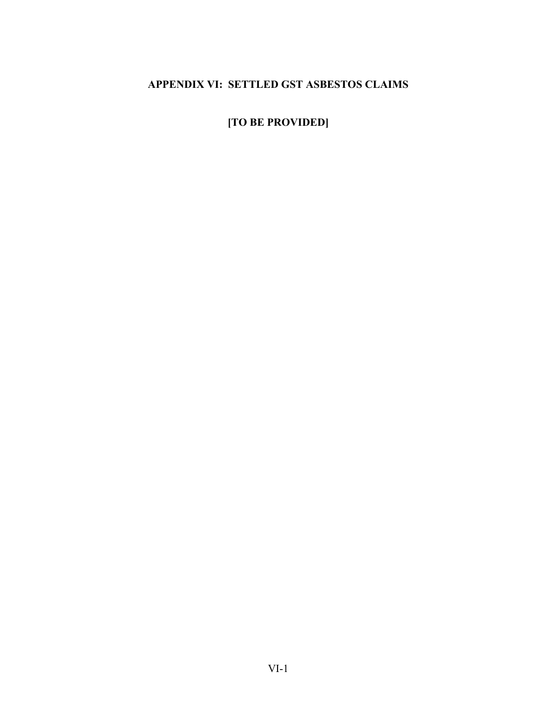# **APPENDIX VI: SETTLED GST ASBESTOS CLAIMS**

**[TO BE PROVIDED]**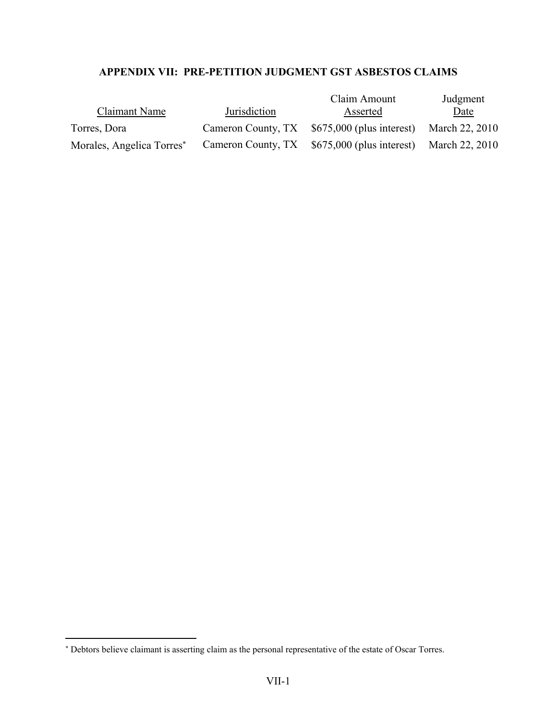## **APPENDIX VII: PRE-PETITION JUDGMENT GST ASBESTOS CLAIMS**

| Claimant Name                         | Jurisdiction       | Claim Amount<br>Asserted                                    | Judgment<br>Date |
|---------------------------------------|--------------------|-------------------------------------------------------------|------------------|
| Torres, Dora                          | Cameron County, TX | \$675,000 (plus interest) March 22, 2010                    |                  |
| Morales, Angelica Torres <sup>*</sup> |                    | Cameron County, TX \$675,000 (plus interest) March 22, 2010 |                  |

 $\overline{a}$ 

 Debtors believe claimant is asserting claim as the personal representative of the estate of Oscar Torres.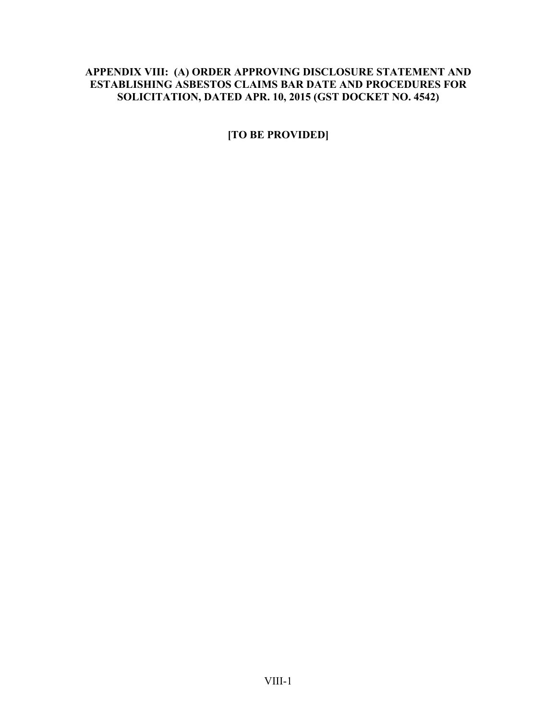### **APPENDIX VIII: (A) ORDER APPROVING DISCLOSURE STATEMENT AND ESTABLISHING ASBESTOS CLAIMS BAR DATE AND PROCEDURES FOR SOLICITATION, DATED APR. 10, 2015 (GST DOCKET NO. 4542)**

**[TO BE PROVIDED]**